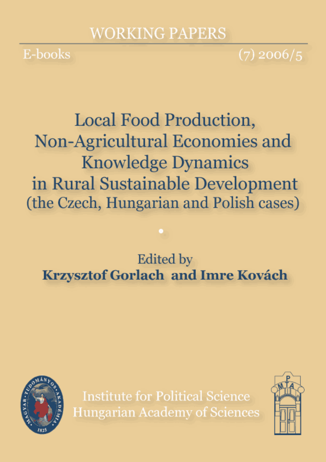# **WORKING PAPERS**

E-books

 $(7)$  2006/5

**Local Food Production,** Non-Agricultural Economies and **Knowledge Dynamics** in Rural Sustainable Development (the Czech, Hungarian and Polish cases)

**Edited** by **Krzysztof Gorlach and Imre Kovách** 



**Institute for Political Science Hungarian Academy of Sciences** 

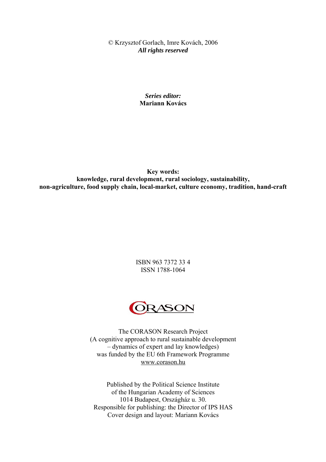© Krzysztof Gorlach, Imre Kovách, 2006 *All rights reserved* 

> *Series editor:*  **Mariann Kovács**

**Key words: knowledge, rural development, rural sociology, sustainability, non-agriculture, food supply chain, local-market, culture economy, tradition, hand-craft** 

> ISBN 963 7372 33 4 ISSN 1788-1064



The CORASON Research Project (A cognitive approach to rural sustainable development – dynamics of expert and lay knowledges) was funded by the EU 6th Framework Programme <www.corason.hu>

Published by the Political Science Institute of the Hungarian Academy of Sciences 1014 Budapest, Országház u. 30. Responsible for publishing: the Director of IPS HAS Cover design and layout: Mariann Kovács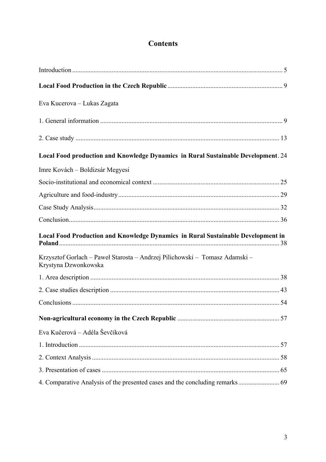# **Contents**

| Eva Kucerova – Lukas Zagata                                                                         |  |
|-----------------------------------------------------------------------------------------------------|--|
|                                                                                                     |  |
|                                                                                                     |  |
| Local Food production and Knowledge Dynamics in Rural Sustainable Development. 24                   |  |
| Imre Kovách – Boldizsár Megyesi                                                                     |  |
|                                                                                                     |  |
|                                                                                                     |  |
|                                                                                                     |  |
|                                                                                                     |  |
| Local Food Production and Knowledge Dynamics in Rural Sustainable Development in                    |  |
| Krzysztof Gorlach – Paweł Starosta – Andrzej Pilichowski – Tomasz Adamski –<br>Krystyna Dzwonkowska |  |
|                                                                                                     |  |
|                                                                                                     |  |
|                                                                                                     |  |
|                                                                                                     |  |
| Eva Kučerová – Adéla Ševčíková                                                                      |  |
|                                                                                                     |  |
|                                                                                                     |  |
|                                                                                                     |  |
|                                                                                                     |  |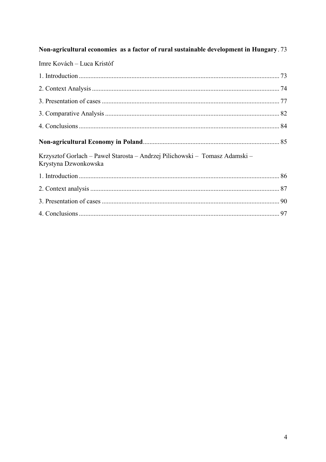| Non-agricultural economies as a factor of rural sustainable development in Hungary. 73              |  |
|-----------------------------------------------------------------------------------------------------|--|
| Imre Kovách – Luca Kristóf                                                                          |  |
|                                                                                                     |  |
|                                                                                                     |  |
|                                                                                                     |  |
|                                                                                                     |  |
|                                                                                                     |  |
|                                                                                                     |  |
| Krzysztof Gorlach – Paweł Starosta – Andrzej Pilichowski – Tomasz Adamski –<br>Krystyna Dzwonkowska |  |
|                                                                                                     |  |
|                                                                                                     |  |
|                                                                                                     |  |
|                                                                                                     |  |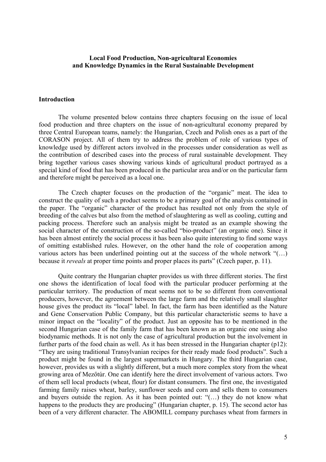### <span id="page-4-0"></span>**Local Food Production, Non-agricultural Economies and Knowledge Dynamics in the Rural Sustainable Development**

### **Introduction**

 The volume presented below contains three chapters focusing on the issue of local food production and three chapters on the issue of non-agricultural economy prepared by three Central European teams, namely: the Hungarian, Czech and Polish ones as a part of the CORASON project. All of them try to address the problem of role of various types of knowledge used by different actors involved in the processes under consideration as well as the contribution of described cases into the process of rural sustainable development. They bring together various cases showing various kinds of agricultural product portrayed as a special kind of food that has been produced in the particular area and/or on the particular farm and therefore might be perceived as a local one.

 The Czech chapter focuses on the production of the "organic" meat. The idea to construct the quality of such a product seems to be a primary goal of the analysis contained in the paper. The "organic" character of the product has resulted not only from the style of breeding of the calves but also from the method of slaughtering as well as cooling, cutting and packing process. Therefore such an analysis might be treated as an example showing the social character of the construction of the so-called "bio-product" (an organic one). Since it has been almost entirely the social process it has been also quite interesting to find some ways of omitting established rules. However, on the other hand the role of cooperation among various actors has been underlined pointing out at the success of the whole network "(…) because it *reveals* at proper time points and proper places its parts" (Czech paper, p. 11).

 Quite contrary the Hungarian chapter provides us with three different stories. The first one shows the identification of local food with the particular producer performing at the particular territory. The production of meat seems not to be so different from conventional producers, however, the agreement between the large farm and the relatively small slaughter house gives the product its "local" label. In fact, the farm has been identified as the Nature and Gene Conservation Public Company, but this particular characteristic seems to have a minor impact on the "locality" of the product. Just an opposite has to be mentioned in the second Hungarian case of the family farm that has been known as an organic one using also biodynamic methods. It is not only the case of agricultural production but the involvement in further parts of the food chain as well. As it has been stressed in the Hungarian chapter (p12): "They are using traditional Transylvanian recipes for their ready made food products". Such a product might be found in the largest supermarkets in Hungary. The third Hungarian case, however, provides us with a slightly different, but a much more complex story from the wheat growing area of Mezőtúr. One can identify here the direct involvement of various actors. Two of them sell local products (wheat, flour) for distant consumers. The first one, the investigated farming family raises wheat, barley, sunflower seeds and corn and sells them to consumers and buyers outside the region. As it has been pointed out: "(…) they do not know what happens to the products they are producing" (Hungarian chapter, p. 15). The second actor has been of a very different character. The ABOMILL company purchases wheat from farmers in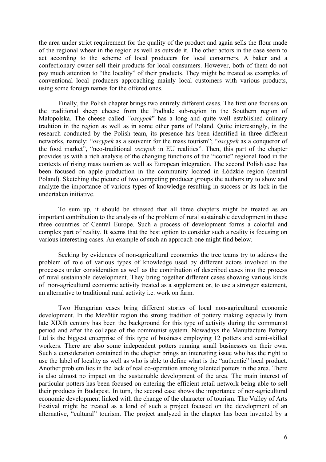the area under strict requirement for the quality of the product and again sells the flour made of the regional wheat in the region as well as outside it. The other actors in the case seem to act according to the scheme of local producers for local consumers. A baker and a confectionary owner sell their products for local consumers. However, both of them do not pay much attention to "the locality" of their products. They might be treated as examples of conventional local producers approaching mainly local customers with various products, using some foreign names for the offered ones.

 Finally, the Polish chapter brings two entirely different cases. The first one focuses on the traditional sheep cheese from the Podhale sub-region in the Southern region of Małopolska. The cheese called *"oscypek*" has a long and quite well established culinary tradition in the region as well as in some other parts of Poland. Quite interestingly, in the research conducted by the Polish team, its presence has been identified in three different networks, namely: "*oscypek* as a souvenir for the mass tourism"; "*oscypek* as a conqueror of the food market", "neo-traditional *oscypek* in EU realities". Then, this part of the chapter provides us with a rich analysis of the changing functions of the "iconic" regional food in the contexts of rising mass tourism as well as European integration. The second Polish case has been focused on apple production in the community located in Łódzkie region (central Poland). Sketching the picture of two competing producer groups the authors try to show and analyze the importance of various types of knowledge resulting in success or its lack in the undertaken initiative.

 To sum up, it should be stressed that all three chapters might be treated as an important contribution to the analysis of the problem of rural sustainable development in these three countries of Central Europe. Such a process of development forms a colorful and complex part of reality. It seems that the best option to consider such a reality is focusing on various interesting cases. An example of such an approach one might find below.

Seeking by evidences of non-agricultural economies the tree teams try to address the problem of role of various types of knowledge used by different actors involved in the processes under consideration as well as the contribution of described cases into the process of rural sustainable development. They bring together different cases showing various kinds of non-agricultural economic activity treated as a supplement or, to use a stronger statement, an alternative to traditional rural activity i.e. work on farm.

Two Hungarian cases bring different stories of local non-agricultural economic development. In the Mezőtúr region the strong tradition of pottery making especially from late XIXth century has been the background for this type of activity during the communist period and after the collapse of the communist system. Nowadays the Manufacture Pottery Ltd is the biggest enterprise of this type of business employing 12 potters and semi-skilled workers. There are also some independent potters running small businesses on their own. Such a consideration contained in the chapter brings an interesting issue who has the right to use the label of locality as well as who is able to define what is the "authentic" local product. Another problem lies in the lack of real co-operation among talented potters in the area. There is also almost no impact on the sustainable development of the area. The main interest of particular potters has been focused on entering the efficient retail network being able to sell their products in Budapest. In turn, the second case shows the importance of non-agricultural economic development linked with the change of the character of tourism. The Valley of Arts Festival might be treated as a kind of such a project focused on the development of an alternative, "cultural" tourism. The project analyzed in the chapter has been invented by a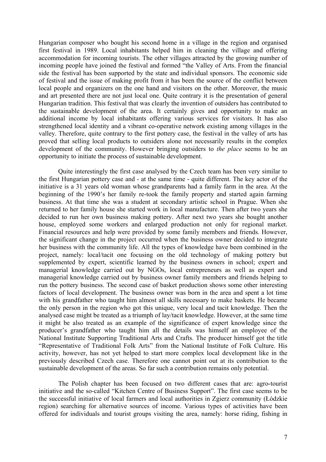Hungarian composer who bought his second home in a village in the region and organised first festival in 1989. Local inhabitants helped him in cleaning the village and offering accommodation for incoming tourists. The other villages attracted by the growing number of incoming people have joined the festival and formed "the Valley of Arts. From the financial side the festival has been supported by the state and individual sponsors. The economic side of festival and the issue of making profit from it has been the source of the conflict between local people and organizers on the one hand and visitors on the other. Moreover, the music and art presented there are not just local one. Quite contrary it is the presentation of general Hungarian tradition. This festival that was clearly the invention of outsiders has contributed to the sustainable development of the area. It certainly gives and opportunity to make an additional income by local inhabitants offering various services for visitors. It has also strengthened local identity and a vibrant co-operative network existing among villages in the valley. Therefore, quite contrary to the first pottery case, the festival in the valley of arts has proved that selling local products to outsiders alone not necessarily results in the complex development of the community. However bringing outsiders to *the place* seems to be an opportunity to initiate the process of sustainable development.

 Quite interestingly the first case analysed by the Czech team has been very similar to the first Hungarian pottery case and - at the same time - quite different. The key actor of the initiative is a 31 years old woman whose grandparents had a family farm in the area. At the beginning of the 1990's her family re-took the family property and started again farming business. At that time she was a student at secondary artistic school in Prague. When she returned to her family house she started work in local manufacture. Then after two years she decided to run her own business making pottery. After next two years she bought another house, employed some workers and enlarged production not only for regional market. Financial resources and help were provided by some family members and friends. However, the significant change in the project occurred when the business owner decided to integrate her business with the community life. All the types of knowledge have been combined in the project, namely: local/tacit one focusing on the old technology of making pottery but supplemented by expert, scientific learned by the business owners in school; expert and managerial knowledge carried out by NGOs, local entrepreneurs as well as expert and managerial knowledge carried out by business owner family members and friends helping to run the pottery business. The second case of basket production shows some other interesting factors of local development. The business owner was born in the area and spent a lot time with his grandfather who taught him almost all skills necessary to make baskets. He became the only person in the region who got this unique, very local and tacit knowledge. Then the analysed case might be treated as a triumph of lay/tacit knowledge. However, at the same time it might be also treated as an example of the significance of expert knowledge since the producer's grandfather who taught him all the details was himself an employee of the National Institute Supporting Traditional Arts and Crafts. The producer himself got the title "Representative of Traditional Folk Arts" from the National Institute of Folk Culture. His activity, however, has not yet helped to start more complex local development like in the previously described Czech case. Therefore one cannot point out at its contribution to the sustainable development of the areas. So far such a contribution remains only potential.

 The Polish chapter has been focused on two different cases that are: agro-tourist initiative and the so-called "Kitchen Centre of Business Support". The first case seems to be the successful initiative of local farmers and local authorities in Zgierz community (Łódzkie region) searching for alternative sources of income. Various types of activities have been offered for individuals and tourist groups visiting the area, namely: horse riding, fishing in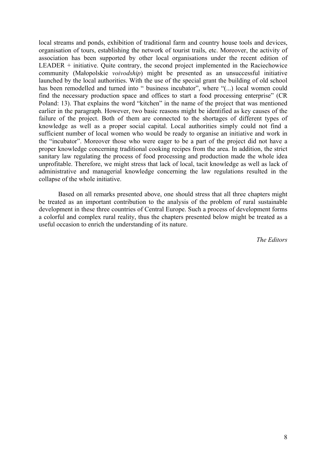local streams and ponds, exhibition of traditional farm and country house tools and devices, organisation of tours, establishing the network of tourist trails, etc. Moreover, the activity of association has been supported by other local organisations under the recent edition of LEADER + initiative. Quite contrary, the second project implemented in the Raciechowice community (Małopolskie *voivodship*) might be presented as an unsuccessful initiative launched by the local authorities. With the use of the special grant the building of old school has been remodelled and turned into " business incubator", where "(...) local women could find the necessary production space and offices to start a food processing enterprise" (CR Poland: 13). That explains the word "kitchen" in the name of the project that was mentioned earlier in the paragraph. However, two basic reasons might be identified as key causes of the failure of the project. Both of them are connected to the shortages of different types of knowledge as well as a proper social capital. Local authorities simply could not find a sufficient number of local women who would be ready to organise an initiative and work in the "incubator". Moreover those who were eager to be a part of the project did not have a proper knowledge concerning traditional cooking recipes from the area. In addition, the strict sanitary law regulating the process of food processing and production made the whole idea unprofitable. Therefore, we might stress that lack of local, tacit knowledge as well as lack of administrative and managerial knowledge concerning the law regulations resulted in the collapse of the whole initiative.

 Based on all remarks presented above, one should stress that all three chapters might be treated as an important contribution to the analysis of the problem of rural sustainable development in these three countries of Central Europe. Such a process of development forms a colorful and complex rural reality, thus the chapters presented below might be treated as a useful occasion to enrich the understanding of its nature.

*The Editors*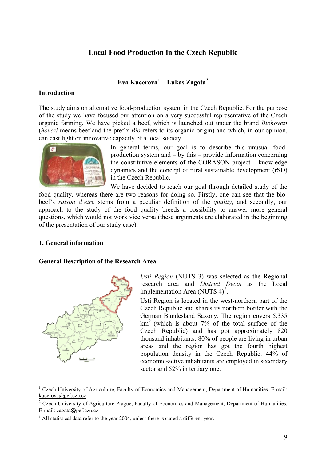# **Local Food Production in the Czech Republic**

# **Eva Kucerova[1](#page-8-1) – Lukas Zagata[2](#page-8-2)**

### <span id="page-8-0"></span>**Introduction**

The study aims on alternative food-production system in the Czech Republic. For the purpose of the study we have focused our attention on a very successful representative of the Czech organic farming. We have picked a beef, which is launched out under the brand *Biohovezi* (*hovezi* means beef and the prefix *Bio* refers to its organic origin) and which, in our opinion, can cast light on innovative capacity of a local society.



In general terms, our goal is to describe this unusual foodproduction system and – by this – provide information concerning the constitutive elements of the CORASON project – knowledge dynamics and the concept of rural sustainable development (rSD) in the Czech Republic.

We have decided to reach our goal through detailed study of the food quality, whereas there are two reasons for doing so. Firstly, one can see that the biobeef's *raison d'etre* stems from a peculiar definition of the *quality,* and secondly, our approach to the study of the food quality breeds a possibility to answer more general questions, which would not work vice versa (these arguments are elaborated in the beginning of the presentation of our study case).

# **1. General information**

1

# **General Description of the Research Area**



*Usti Region* (NUTS 3) was selected as the Regional research area and *District Decin* as the Local implementation Area (NUTS  $4)^3$  $4)^3$ .

Usti Region is located in the west-northern part of the Czech Republic and shares its northern border with the German Bundesland Saxony. The region covers 5.335  $km<sup>2</sup>$  (which is about 7% of the total surface of the Czech Republic) and has got approximately 820 thousand inhabitants. 80% of people are living in urban areas and the region has got the fourth highest population density in the Czech Republic. 44% of economic-active inhabitants are employed in secondary sector and 52% in tertiary one.

<span id="page-8-1"></span><sup>&</sup>lt;sup>1</sup> Czech University of Agriculture, Faculty of Economics and Management, Department of Humanities. E-mail: [kucerova@pef.czu.cz](mailto:kucerova@pef.czu.cz)

<span id="page-8-2"></span><sup>&</sup>lt;sup>2</sup> Czech University of Agriculture Prague, Faculty of Economics and Management, Department of Humanities. E-mail: zagata@pef.czu.cz

<span id="page-8-3"></span> $3$  All statistical data refer to the year 2004, unless there is stated a different year.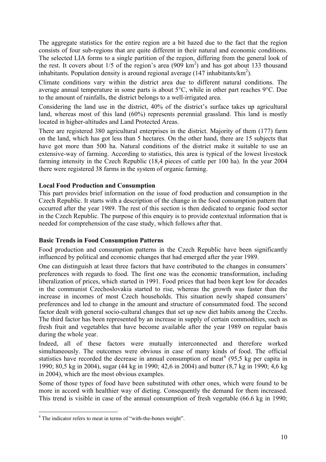The aggregate statistics for the entire region are a bit hazed due to the fact that the region consists of four sub-regions that are quite different in their natural and economic conditions. The selected LIA forms to a single partition of the region, differing from the general look of the rest. It covers about  $1/5$  of the region's area (909 km<sup>2</sup>) and has got about 133 thousand inhabitants. Population density is around regional average  $(147 \text{ inhabitants/km}^2)$ .

Climate conditions vary within the district area due to different natural conditions. The average annual temperature in some parts is about 5°C, while in other part reaches 9°C. Due to the amount of rainfalls, the district belongs to a well-irrigated area.

Considering the land use in the district, 40% of the district's surface takes up agricultural land, whereas most of this land (60%) represents perennial grassland. This land is mostly located in higher-altitudes and Land Protected Areas.

There are registered 380 agricultural enterprises in the district. Majority of them (177) farm on the land, which has got less than 5 hectares. On the other hand, there are 15 subjects that have got more than 500 ha. Natural conditions of the district make it suitable to use an extensive-way of farming. According to statistics, this area is typical of the lowest livestock farming intensity in the Czech Republic (18,4 pieces of cattle per 100 ha). In the year 2004 there were registered 38 farms in the system of organic farming.

# **Local Food Production and Consumption**

This part provides brief information on the issue of food production and consumption in the Czech Republic. It starts with a description of the change in the food consumption pattern that occurred after the year 1989. The rest of this section is then dedicated to organic food sector in the Czech Republic. The purpose of this enquiry is to provide contextual information that is needed for comprehension of the case study, which follows after that.

# **Basic Trends in Food Consumption Patterns**

Food production and consumption patterns in the Czech Republic have been significantly influenced by political and economic changes that had emerged after the year 1989.

One can distinguish at least three factors that have contributed to the changes in consumers' preferences with regards to food. The first one was the economic transformation, including liberalization of prices, which started in 1991. Food prices that had been kept low for decades in the communist Czechoslovakia started to rise, whereas the growth was faster than the increase in incomes of most Czech households. This situation newly shaped consumers' preferences and led to change in the amount and structure of consummated food. The second factor dealt with general socio-cultural changes that set up new diet habits among the Czechs. The third factor has been represented by an increase in supply of certain commodities, such as fresh fruit and vegetables that have become available after the year 1989 on regular basis during the whole year.

Indeed, all of these factors were mutually interconnected and therefore worked simultaneously. The outcomes were obvious in case of many kinds of food. The official statistics have recorded the decrease in annual consumption of meat<sup>[4](#page-9-0)</sup> (95,5 kg per capita in 1990; 80,5 kg in 2004), sugar (44 kg in 1990; 42,6 in 2004) and butter (8,7 kg in 1990; 4,6 kg in 2004), which are the most obvious examples.

Some of those types of food have been substituted with other ones, which were found to be more in accord with healthier way of dieting. Consequently the demand for them increased. This trend is visible in case of the annual consumption of fresh vegetable (66.6 kg in 1990;

<span id="page-9-0"></span><sup>1</sup> <sup>4</sup> The indicator refers to meat in terms of "with-the-bones weight".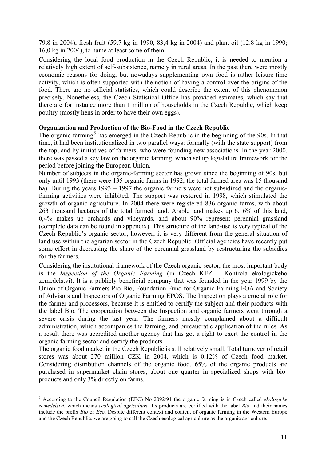79,8 in 2004), fresh fruit (59.7 kg in 1990, 83,4 kg in 2004) and plant oil (12.8 kg in 1990; 16,0 kg in 2004), to name at least some of them.

Considering the local food production in the Czech Republic, it is needed to mention a relatively high extent of self-subsistence, namely in rural areas. In the past there were mostly economic reasons for doing, but nowadays supplementing own food is rather leisure-time activity, which is often supported with the notion of having a control over the origins of the food. There are no official statistics, which could describe the extent of this phenomenon precisely. Nonetheless, the Czech Statistical Office has provided estimates, which say that there are for instance more than 1 million of households in the Czech Republic, which keep poultry (mostly hens in order to have their own eggs).

### **Organization and Production of the Bio-Food in the Czech Republic**

The organic farming<sup>[5](#page-10-0)</sup> has emerged in the Czech Republic in the beginning of the 90s. In that time, it had been institutionalized in two parallel ways: formally (with the state support) from the top, and by initiatives of farmers, who were founding new associations. In the year 2000, there was passed a key law on the organic farming, which set up legislature framework for the period before joining the European Union.

Number of subjects in the organic-farming sector has grown since the beginning of 90s, but only until 1993 (there were 135 organic farms in 1992; the total farmed area was 15 thousand ha). During the years 1993 – 1997 the organic farmers were not subsidized and the organicfarming activities were inhibited. The support was restored in 1998, which stimulated the growth of organic agriculture. In 2004 there were registered 836 organic farms, with about 263 thousand hectares of the total farmed land. Arable land makes up 6.16% of this land, 0,4% makes up orchards and vineyards, and about 90% represent perennial grassland (complete data can be found in appendix). This structure of the land-use is very typical of the Czech Republic's organic sector; however, it is very different from the general situation of land use within the agrarian sector in the Czech Republic. Official agencies have recently put some effort in decreasing the share of the perennial grassland by restructuring the subsidies for the farmers.

Considering the institutional framework of the Czech organic sector, the most important body is the *Inspection of the Organic Farming* (in Czech KEZ – Kontrola ekologickeho zemedelstvi). It is a publicly beneficial company that was founded in the year 1999 by the Union of Organic Farmers Pro-Bio, Foundation Fund for Organic Farming FOA and Society of Advisors and Inspectors of Organic Farming EPOS. The Inspection plays a crucial role for the farmer and processors, because it is entitled to certify the subject and their products with the label Bio. The cooperation between the Inspection and organic farmers went through a severe crisis during the last year. The farmers mostly complained about a difficult administration, which accompanies the farming, and bureaucratic application of the rules. As a result there was accredited another agency that has got a right to exert the control in the organic farming sector and certify the products.

The organic food market in the Czech Republic is still relatively small. Total turnover of retail stores was about 270 million CZK in 2004, which is 0.12% of Czech food market. Considering distribution channels of the organic food, 65% of the organic products are purchased in supermarket chain stores, about one quarter in specialized shops with bioproducts and only 3% directly on farms.

1

<span id="page-10-0"></span><sup>5</sup> According to the Council Regulation (EEC) No 2092/91 the organic farming is in Czech called *ekologicke zemedelstvi*, which means *ecological agriculture*. Its products are certified with the label *Bio* and their names include the prefix *Bio* or *Eco*. Despite different context and content of organic farming in the Western Europe and the Czech Republic, we are going to call the Czech ecological agriculture as the organic agriculture.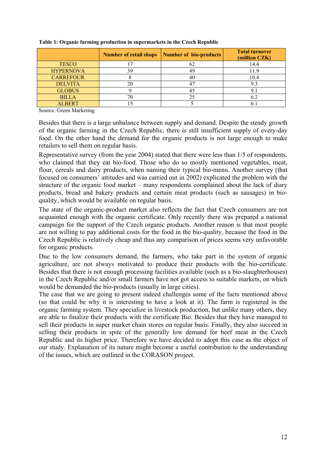|                  | <b>Number of retail shops</b> | Number of bio-products | <b>Total turnover</b><br>(million CZK) |
|------------------|-------------------------------|------------------------|----------------------------------------|
| <b>TESCO</b>     |                               | 62                     | 14.4                                   |
| <b>HYPERNOVA</b> | 39                            | 49                     | 11.9                                   |
| <b>CARREFOUR</b> |                               | 40                     | 10.4                                   |
| <b>DELVITA</b>   | 20                            | 4 <sup>7</sup>         |                                        |
| <b>GLOBUS</b>    |                               | 4.                     |                                        |
| <b>BILLA</b>     |                               | 25                     |                                        |
| <b>ALBERT</b>    |                               |                        |                                        |

**Table 1: Organic farming production in supermarkets in the Czech Republic** 

Source: Green Marketing

Besides that there is a large unbalance between supply and demand. Despite the steady growth of the organic farming in the Czech Republic, there is still insufficient supply of every-day food. On the other hand the demand for the organic products is not large enough to make retailers to sell them on regular basis.

Representative survey (from the year 2004) stated that there were less than 1/5 of respondents, who claimed that they eat bio-food. Those who do so mostly mentioned vegetables, meat, flour, cereals and dairy products, when naming their typical bio-menu. Another survey (that focused on consumers' attitudes and was carried out in 2002) explicated the problem with the structure of the organic food market – many respondents complained about the lack of diary products, bread and bakery products and certain meat products (such as sausages) in bioquality, which would be available on regular basis.

The state of the organic-product market also reflects the fact that Czech consumers are not acquainted enough with the organic certificate. Only recently there was prepared a national campaign for the support of the Czech organic products. Another reason is that most people are not willing to pay additional costs for the food in the bio-quality, because the food in the Czech Republic is relatively cheap and thus any comparison of prices seems very unfavorable for organic products.

Due to the low consumers demand, the farmers, who take part in the system of organic agriculture, are not always motivated to produce their products with the bio-certificate. Besides that there is not enough processing facilities available (such as a bio-slaughterhouses) in the Czech Republic and/or small farmers have not got access to suitable markets, on which would be demanded the bio-products (usually in large cities).

The case that we are going to present indeed challenges some of the facts mentioned above (so that could be why it is interesting to have a look at it). The farm is registered in the organic farming system. They specialize in livestock production, but unlike many others, they are able to finalize their products with the certificate Bio. Besides that they have managed to sell their products in super market chain stores on regular basis. Finally, they also succeed in selling their products in spite of the generally low demand for beef meat in the Czech Republic and its higher price. Therefore we have decided to adopt this case as the object of our study. Explanation of its nature might become a useful contribution to the understanding of the issues, which are outlined in the CORASON project.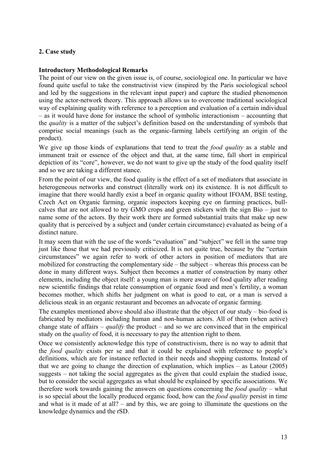# <span id="page-12-0"></span>**2. Case study**

### **Introductory Methodological Remarks**

The point of our view on the given issue is, of course, sociological one. In particular we have found quite useful to take the constructivist view (inspired by the Paris sociological school and led by the suggestions in the relevant input paper) and capture the studied phenomenon using the actor-network theory. This approach allows us to overcome traditional sociological way of explaining quality with reference to a perception and evaluation of a certain individual – as it would have done for instance the school of symbolic interactionism – accounting that the *quality* is a matter of the subject's definition based on the understanding of symbols that comprise social meanings (such as the organic-farming labels certifying an origin of the product).

We give up those kinds of explanations that tend to treat the *food quality* as a stable and immanent trait or essence of the object and that, at the same time, fall short in empirical depiction of its "core", however, we do not want to give up the study of the food quality itself and so we are taking a different stance.

From the point of our view, the food quality is the effect of a set of mediators that associate in heterogeneous networks and construct (literally work on) its existence. It is not difficult to imagine that there would hardly exist a beef in organic quality without IFOAM, BSE testing, Czech Act on Organic farming, organic inspectors keeping eye on farming practices, bullcalves that are not allowed to try GMO crops and green stickers with the sign Bio – just to name some of the actors. By their work there are formed substantial traits that make up new quality that is perceived by a subject and (under certain circumstance) evaluated as being of a distinct nature.

It may seem that with the use of the words "evaluation" and "subject" we fell in the same trap just like those that we had previously criticized. It is not quite true, because by the "certain" circumstances" we again refer to work of other actors in position of mediators that are mobilized for constructing the complementary side – the subject – whereas this process can be done in many different ways. Subject then becomes a matter of construction by many other elements, including the object itself: a young man is more aware of food quality after reading new scientific findings that relate consumption of organic food and men's fertility, a woman becomes mother, which shifts her judgment on what is good to eat, or a man is served a delicious steak in an organic restaurant and becomes an advocate of organic farming.

The examples mentioned above should also illustrate that the object of our study – bio-food is fabricated by mediators including human and non-human actors. All of them (when active) change state of affairs – *qualify* the product – and so we are convinced that in the empirical study on the *quality* of food, it is necessary to pay the attention right to them.

Once we consistently acknowledge this type of constructivism, there is no way to admit that the *food quality* exists per se and that it could be explained with reference to people's definitions, which are for instance reflected in their needs and shopping customs. Instead of that we are going to change the direction of explanation, which implies – as Latour (2005) suggests – not taking the social aggregates as the given that could explain the studied issue, but to consider the social aggregates as what should be explained by specific associations. We therefore work towards gaining the answers on questions concerning the *food quality* – what is so special about the locally produced organic food, how can the *food quality* persist in time and what is it made of at all? – and by this, we are going to illuminate the questions on the knowledge dynamics and the rSD.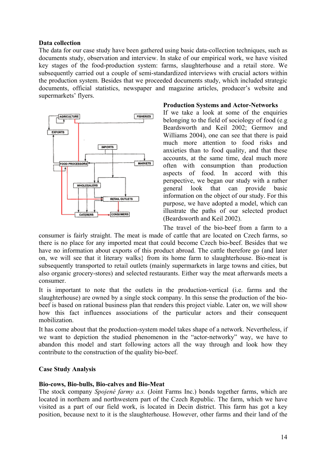### **Data collection**

The data for our case study have been gathered using basic data-collection techniques, such as documents study, observation and interview. In stake of our empirical work, we have visited key stages of the food-production system: farms, slaughterhouse and a retail store. We subsequently carried out a couple of semi-standardized interviews with crucial actors within the production system. Besides that we proceeded documents study, which included strategic documents, official statistics, newspaper and magazine articles, producer's website and supermarkets' flyers.



### **Production Systems and Actor-Networks**

If we take a look at some of the enquiries belonging to the field of sociology of food (e.g Beardsworth and Keil 2002; Germov and Williams 2004), one can see that there is paid much more attention to food risks and anxieties than to food quality, and that these accounts, at the same time, deal much more often with consumption than production aspects of food. In accord with this perspective, we began our study with a rather general look that can provide basic information on the object of our study. For this purpose, we have adopted a model, which can illustrate the paths of our selected product (Beardsworth and Keil 2002).

The travel of the bio-beef from a farm to a consumer is fairly straight. The meat is made of cattle that are located on Czech farms, so there is no place for any imported meat that could become Czech bio-beef. Besides that we have no information about exports of this product abroad. The cattle therefore go (and later on, we will see that it literary walks} from its home farm to slaughterhouse. Bio-meat is subsequently transported to retail outlets (mainly supermarkets in large towns and cities, but also organic grocery-stores) and selected restaurants. Either way the meat afterwards meets a consumer.

It is important to note that the outlets in the production-vertical (i.e. farms and the slaughterhouse) are owned by a single stock company. In this sense the production of the biobeef is based on rational business plan that renders this project viable. Later on, we will show how this fact influences associations of the particular actors and their consequent mobilization.

It has come about that the production-system model takes shape of a network. Nevertheless, if we want to depiction the studied phenomenon in the "actor-networky" way, we have to abandon this model and start following actors all the way through and look how they contribute to the construction of the quality bio-beef.

### **Case Study Analysis**

### **Bio-cows, Bio-bulls, Bio-calves and Bio-Meat**

The stock company *Spojené farmy a.s.* (Joint Farms Inc.) bonds together farms, which are located in northern and northwestern part of the Czech Republic. The farm, which we have visited as a part of our field work, is located in Decin district. This farm has got a key position, because next to it is the slaughterhouse. However, other farms and their land of the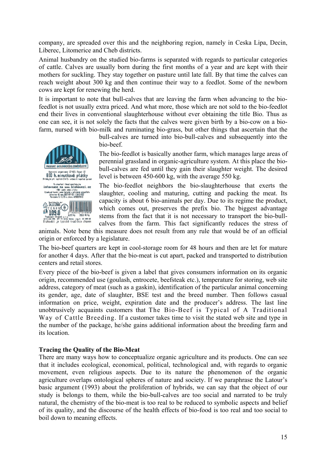company, are spreaded over this and the neighboring region, namely in Ceska Lipa, Decin, Liberec, Litomerice and Cheb districts.

Animal husbandry on the studied bio-farms is separated with regards to particular categories of cattle. Calves are usually born during the first months of a year and are kept with their mothers for suckling. They stay together on pasture until late fall. By that time the calves can reach weight about 300 kg and then continue their way to a feedlot. Some of the newborn cows are kept for renewing the herd.

It is important to note that bull-calves that are leaving the farm when advancing to the biofeedlot is not usually extra priced. And what more, those which are not sold to the bio-feedlot end their lives in conventional slaughterhouse without ever obtaining the title Bio. Thus as one can see, it is not solely the facts that the calves were given birth by a bio-cow on a biofarm, nursed with bio-milk and ruminating bio-grass, but other things that ascertain that the

bull-calves are turned into bio-bull-calves and subsequently into the bio-beef.

The bio-feedlot is basically another farm, which manages large areas of perennial grassland in organic-agriculture system. At this place the biobull-calves are fed until they gain their slaughter weight. The desired level is between 450-600 kg, with the average 550 kg.

The bio-feedlot neighbors the bio-slaughterhouse that exerts the slaughter, cooling and maturing, cutting and packing the meat. Its capacity is about 6 bio-animals per day. Due to its regime the product, which comes out, preserves the prefix bio. The biggest advantage stems from the fact that it is not necessary to transport the bio-bullcalves from the farm. This fact significantly reduces the stress of

animals. Note bene this measure does not result from any rule that would be of an official origin or enforced by a legislature.

The bio-beef quarters are kept in cool-storage room for 48 hours and then are let for mature for another 4 days. After that the bio-meat is cut apart, packed and transported to distribution centers and retail stores.

Every piece of the bio-beef is given a label that gives consumers information on its organic origin, recommended use (goulash, entrocete, beefsteak etc.), temperature for storing, web site address, category of meat (such as a gaskin), identification of the particular animal concerning its gender, age, date of slaughter, BSE test and the breed number. Then follows casual information on price, weight, expiration date and the producer's address. The last line unobtrusively acquaints customers that The Bio-Beef is Typical of A Traditional Way of Cattle Breeding. If a customer takes time to visit the stated web site and type in the number of the package, he/she gains additional information about the breeding farm and its location.

### **Tracing the Quality of the Bio-Meat**

arganizacal (2-62) Found BIO h. minutkové plátky<br>Majn při zaplot 045 vrho k nasladky Proteint that systems to<br>informace has weed biomovezidezes<br>has a set of the system of the state awist musa ballanik v at<br>(sa 45 mm, 8527187/05<br>vero 5, 17, 175 v chovu d

 $127219$ Predment: Bapara s.n.e.<br>Bighouëzi ja typické tradičním chouem<br>Bighouëzi ja typické tradičním chouem

4 71122006  $0.1090$ 

There are many ways how to conceptualize organic agriculture and its products. One can see that it includes ecological, economical, political, technological and, with regards to organic movement, even religious aspects. Due to its nature the phenomenon of the organic agriculture overlaps ontological spheres of nature and society. If we paraphrase the Latour's basic argument (1993) about the proliferation of hybrids, we can say that the object of our study is belongs to them, while the bio-bull-calves are too social and narrated to be truly natural, the chemistry of the bio-meat is too real to be reduced to symbolic aspects and belief of its quality, and the discourse of the health effects of bio-food is too real and too social to boil down to meaning effects.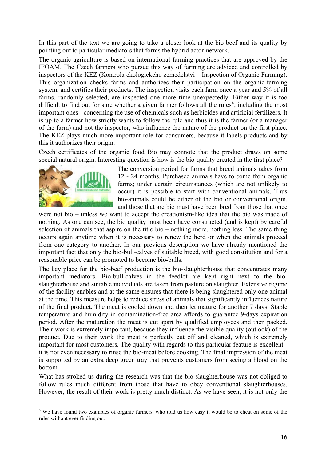In this part of the text we are going to take a closer look at the bio-beef and its quality by pointing out to particular mediators that forms the hybrid actor-network.

The organic agriculture is based on international farming practices that are approved by the IFOAM. The Czech farmers who pursue this way of farming are adviced and controlled by inspectors of the KEZ (Kontrola ekologickeho zemedelstvi – Inspection of Organic Farming). This organization checks farms and authorizes their participation on the organic-farming system, and certifies their products. The inspection visits each farm once a year and 5% of all farms, randomly selected, are inspected one more time unexpectedly. Either way it is too difficult to find out for sure whether a given farmer follows all the rules<sup>[6](#page-15-0)</sup>, including the most important ones - concerning the use of chemicals such as herbicides and artificial fertilizers. It is up to a farmer how strictly wants to follow the rule and thus it is the farmer (or a manager of the farm) and not the inspector, who influence the nature of the product on the first place. The KEZ plays much more important role for consumers, because it labels products and by this it authorizes their origin.

Czech certificates of the organic food Bio may connote that the product draws on some special natural origin. Interesting question is how is the bio-quality created in the first place?



1

The conversion period for farms that breed animals takes from 12 - 24 months. Purchased animals have to come from organic farms; under certain circumstances (which are not unlikely to occur) it is possible to start with conventional animals. Thus bio-animals could be either of the bio or conventional origin, and those that are bio must have been bred from those that once

were not bio – unless we want to accept the creationism-like idea that the bio was made of nothing. As one can see, the bio quality must been have constructed (and is kept) by careful selection of animals that aspire on the title bio – nothing more, nothing less. The same thing occurs again anytime when it is necessary to renew the herd or when the animals proceed from one category to another. In our previous description we have already mentioned the important fact that only the bio-bull-calves of suitable breed, with good constitution and for a reasonable price can be promoted to become bio-bulls.

The key place for the bio-beef production is the bio-slaughterhouse that concentrates many important mediators. Bio-bull-calves in the feedlot are kept right next to the bioslaughterhouse and suitable individuals are taken from pasture on slaughter. Extensive regime of the facility enables and at the same ensures that there is being slaughtered only one animal at the time. This measure helps to reduce stress of animals that significantly influences nature of the final product. The meat is cooled down and then let mature for another 7 days. Stable temperature and humidity in contamination-free area affords to guarantee 9-days expiration period. After the maturation the meat is cut apart by qualified employees and then packed. Their work is extremely important, because they influence the visible quality (outlook) of the product. Due to their work the meat is perfectly cut off and cleaned, which is extremely important for most customers. The quality with regards to this particular feature is excellent it is not even necessary to rinse the bio-meat before cooking. The final impression of the meat is supported by an extra deep green tray that prevents customers from seeing a blood on the bottom.

What has stroked us during the research was that the bio-slaughterhouse was not obliged to follow rules much different from those that have to obey conventional slaughterhouses. However, the result of their work is pretty much distinct. As we have seen, it is not only the

<span id="page-15-0"></span><sup>&</sup>lt;sup>6</sup> We have found two examples of organic farmers, who told us how easy it would be to cheat on some of the rules without ever finding out.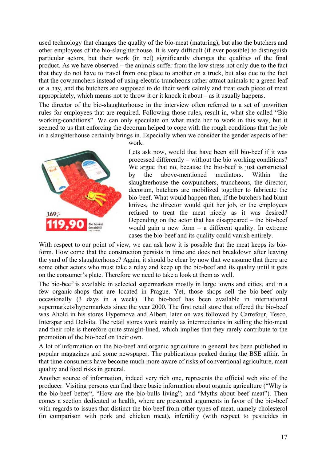used technology that changes the quality of the bio-meat (maturing), but also the butchers and other employees of the bio-slaughterhouse. It is very difficult (if ever possible) to distinguish particular actors, but their work (in net) significantly changes the qualities of the final product. As we have observed – the animals suffer from the low stress not only due to the fact that they do not have to travel from one place to another on a truck, but also due to the fact that the cowpunchers instead of using electric truncheons rather attract animals to a green leaf or a hay, and the butchers are supposed to do their work calmly and treat each piece of meat appropriately, which means not to throw it or it knock it about – as it usually happens.

The director of the bio-slaughterhouse in the interview often referred to a set of unwritten rules for employees that are required. Following those rules, result in, what she called "Bio working-conditions". We can only speculate on what made her to work in this way, but it seemed to us that enforcing the decorum helped to cope with the rough conditions that the job in a slaughterhouse certainly brings in. Especially when we consider the gender aspects of her



work.

Lets ask now, would that have been still bio-beef if it was processed differently – without the bio working conditions? We argue that no, because the bio-beef is just constructed by the above-mentioned mediators. Within the slaughterhouse the cowpunchers, truncheons, the director, decorum, butchers are mobilized together to fabricate the bio-beef. What would happen then, if the butchers had blunt knives, the director would quit her job, or the employees refused to treat the meat nicely as it was desired? Depending on the actor that has disappeared – the bio-beef would gain a new form – a different quality. In extreme cases the bio-beef and its quality could vanish entirely.

With respect to our point of view, we can ask how it is possible that the meat keeps its bioform. How come that the construction persists in time and does not breakdown after leaving the yard of the slaughterhouse? Again, it should be clear by now that we assume that there are some other actors who must take a relay and keep up the bio-beef and its quality until it gets on the consumer's plate. Therefore we need to take a look at them as well.

The bio-beef is available in selected supermarkets mostly in large towns and cities, and in a few organic-shops that are located in Prague. Yet, those shops sell the bio-beef only occasionally (3 days in a week). The bio-beef has been available in international supermarkets/hypermarkets since the year 2000. The first retail store that offered the bio-beef was Ahold in his stores Hypernova and Albert, later on was followed by Carrefour, Tesco, Interspar and Delvita. The retail stores work mainly as intermediaries in selling the bio-meat and their role is therefore quite straight-lined, which implies that they rarely contribute to the promotion of the bio-beef on their own.

A lot of information on the bio-beef and organic agriculture in general has been published in popular magazines and some newspaper. The publications peaked during the BSE affair. In that time consumers have become much more aware of risks of conventional agriculture, meat quality and food risks in general.

Another source of information, indeed very rich one, represents the official web site of the producer. Visiting persons can find there basic information about organic agriculture ("Why is the bio-beef better", "How are the bio-bulls living"; and "Myths about beef meat"). Then comes a section dedicated to health, where are presented arguments in favor of the bio-beef with regards to issues that distinct the bio-beef from other types of meat, namely cholesterol (in comparison with pork and chicken meat), infertility (with respect to pesticides in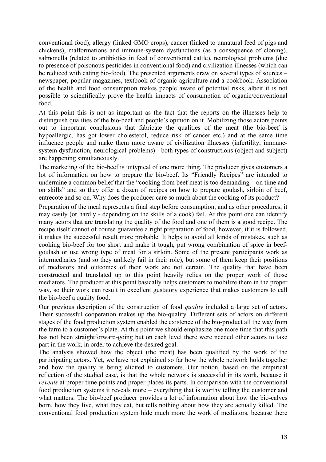conventional food), allergy (linked GMO crops), cancer (linked to unnatural feed of pigs and chickens), malformations and immune-system dysfunctions (as a consequence of cloning), salmonella (related to antibiotics in feed of conventional cattle), neurological problems (due to presence of poisonous pesticides in conventional food) and civilization illnesses (which can be reduced with eating bio-food). The presented arguments draw on several types of sources – newspaper, popular magazines, textbook of organic agriculture and a cookbook. Association of the health and food consumption makes people aware of potential risks, albeit it is not possible to scientifically prove the health impacts of consumption of organic/conventional food.

At this point this is not as important as the fact that the reports on the illnesses help to distinguish qualities of the bio-beef and people's opinion on it. Mobilizing those actors points out to important conclusions that fabricate the qualities of the meat (the bio-beef is hypoallergic, has got lower cholesterol, reduce risk of cancer etc.) and at the same time influence people and make them more aware of civilization illnesses (infertility, immunesystem dysfunction, neurological problems) - both types of constructions (object and subject) are happening simultaneously.

The marketing of the bio-beef is untypical of one more thing. The producer gives customers a lot of information on how to prepare the bio-beef. Its "Friendly Recipes" are intended to undermine a common belief that the "cooking from beef meat is too demanding – on time and on skills" and so they offer a dozen of recipes on how to prepare goulash, sirloin of beef, entrecote and so on. Why does the producer care so much about the cooking of its product?

Preparation of the meal represents a final step before consumption, and as other procedures, it may easily (or hardly - depending on the skills of a cook) fail. At this point one can identify many actors that are translating the quality of the food and one of them is a good recipe. The recipe itself cannot of course guarantee a right preparation of food, however, if it is followed, it makes the successful result more probable. It helps to avoid all kinds of mistakes, such as cooking bio-beef for too short and make it tough, put wrong combination of spice in beefgoulash or use wrong type of meat for a sirloin. Some of the present participants work as intermediaries (and so they unlikely fail in their role), but some of them keep their positions of mediators and outcomes of their work are not certain. The quality that have been constructed and translated up to this point heavily relies on the proper work of those mediators. The producer at this point basically helps customers to mobilize them in the proper way, so their work can result in excellent gustatory experience that makes customers to call the bio-beef a quality food.

Our previous description of the construction of food *quality* included a large set of actors. Their successful cooperation makes up the bio-quality. Different sets of actors on different stages of the food production system enabled the existence of the bio-product all the way from the farm to a customer's plate. At this point we should emphasize one more time that this path has not been straightforward-going but on each level there were needed other actors to take part in the work, in order to achieve the desired goal.

The analysis showed how the object (the meat) has been qualified by the work of the participating actors. Yet, we have not explained so far how the whole network holds together and how the quality is being elicited to customers. Our notion, based on the empirical reflection of the studied case, is that the whole network is successful in its work, because it *reveals* at proper time points and proper places its parts. In comparison with the conventional food production systems it reveals more – everything that is worthy telling the customer and what matters. The bio-beef producer provides a lot of information about how the bio-calves born, how they live, what they eat, but tells nothing about how they are actually killed. The conventional food production system hide much more the work of mediators, because there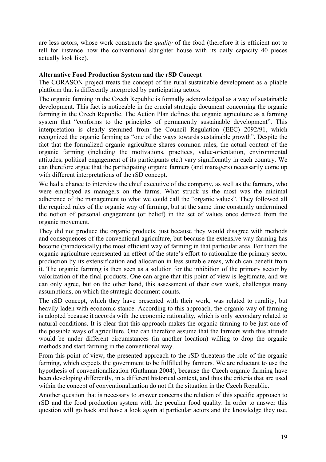are less actors, whose work constructs the *quality* of the food (therefore it is efficient not to tell for instance how the conventional slaughter house with its daily capacity 40 pieces actually look like).

### **Alternative Food Production System and the rSD Concept**

The CORASON project treats the concept of the rural sustainable development as a pliable platform that is differently interpreted by participating actors.

The organic farming in the Czech Republic is formally acknowledged as a way of sustainable development. This fact is noticeable in the crucial strategic document concerning the organic farming in the Czech Republic. The Action Plan defines the organic agriculture as a farming system that "conforms to the principles of permanently sustainable development". This interpretation is clearly stemmed from the Council Regulation (EEC) 2092/91, which recognized the organic farming as "one of the ways towards sustainable growth". Despite the fact that the formalized organic agriculture shares common rules, the actual content of the organic farming (including the motivations, practices, value-orientation, environmental attitudes, political engagement of its participants etc.) vary significantly in each country. We can therefore argue that the participating organic farmers (and managers) necessarily come up with different interpretations of the rSD concept.

We had a chance to interview the chief executive of the company, as well as the farmers, who were employed as managers on the farms. What struck us the most was the minimal adherence of the management to what we could call the "organic values". They followed all the required rules of the organic way of farming, but at the same time constantly undermined the notion of personal engagement (or belief) in the set of values once derived from the organic movement.

They did not produce the organic products, just because they would disagree with methods and consequences of the conventional agriculture, but because the extensive way farming has become (paradoxically) the most efficient way of farming in that particular area. For them the organic agriculture represented an effect of the state's effort to rationalize the primary sector production by its extensification and allocation in less suitable areas, which can benefit from it. The organic farming is then seen as a solution for the inhibition of the primary sector by valorization of the final products. One can argue that this point of view is legitimate, and we can only agree, but on the other hand, this assessment of their own work, challenges many assumptions, on which the strategic document counts.

The rSD concept, which they have presented with their work, was related to rurality, but heavily laden with economic stance. According to this approach, the organic way of farming is adopted because it accords with the economic rationality, which is only secondary related to natural conditions. It is clear that this approach makes the organic farming to be just one of the possible ways of agriculture. One can therefore assume that the farmers with this attitude would be under different circumstances (in another location) willing to drop the organic methods and start farming in the conventional way.

From this point of view, the presented approach to the rSD threatens the role of the organic farming, which expects the government to be fulfilled by farmers. We are reluctant to use the hypothesis of conventionalization (Guthman 2004), because the Czech organic farming have been developing differently, in a different historical context, and thus the criteria that are used within the concept of conventionalization do not fit the situation in the Czech Republic.

Another question that is necessary to answer concerns the relation of this specific approach to rSD and the food production system with the peculiar food quality. In order to answer this question will go back and have a look again at particular actors and the knowledge they use.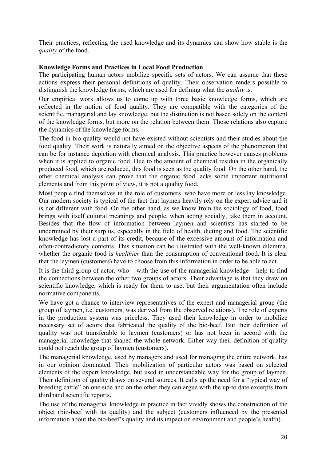Their practices, reflecting the used knowledge and its dynamics can show how stable is the *quality* of the food.

# **Knowledge Forms and Practices in Local Food Production**

The participating human actors mobilize specific sets of actors. We can assume that these actions express their personal definitions of quality. Their observation renders possible to distinguish the knowledge forms, which are used for defining what the *quality* is.

Our empirical work allows us to come up with three basic knowledge forms, which are reflected in the notion of food quality. They are compatible with the categories of the scientific, managerial and lay knowledge, but the distinction is not based solely on the content of the knowledge forms, but more on the relation between them. Those relations also capture the dynamics of the knowledge forms.

The food in bio quality would not have existed without scientists and their studies about the food quality. Their work is naturally aimed on the objective aspects of the phenomenon that can be for instance depiction with chemical analysis. This practice however causes problems when it is applied to organic food. Due to the amount of chemical residua in the organically produced food, which are reduced, this food is seen as the quality food. On the other hand, the other chemical analysis can prove that the organic food lacks some important nutritional elements and from this point of view, it is not a quality food.

Most people find themselves in the role of customers, who have more or less lay knowledge. Our modern society is typical of the fact that laymen heavily rely on the expert advice and it is not different with food. On the other hand, as we know from the sociology of food, food brings with itself cultural meanings and people, when acting socially, take them in account. Besides that the flow of information between laymen and scientists has started to be undermined by their surplus, especially in the field of health, dieting and food. The scientific knowledge has lost a part of its credit, because of the excessive amount of information and often-contradictory contents. This situation can be illustrated with the well-known dilemma, whether the organic food is *healthier* than the consumption of conventional food. It is clear that the laymen (customers) have to choose from this information in order to be able to act.

It is the third group of actor, who – with the use of the managerial knowledge – help to find the connections between the other two groups of actors. Their advantage is that they draw on scientific knowledge, which is ready for them to use, but their argumentation often include normative components.

We have got a chance to interview representatives of the expert and managerial group (the group of laymen, i.e. customers, was derived from the observed relations). The role of experts in the production system was priceless. They used their knowledge in order to mobilize necessary set of actors that fabricated the quality of the bio-beef. But their definition of quality was not transferable to laymen (customers) or has not been in accord with the managerial knowledge that shaped the whole network. Either way their definition of quality could not reach the group of laymen (customers).

The managerial knowledge, used by managers and used for managing the entire network, has in our opinion dominated. Their mobilization of particular actors was based on selected elements of the expert knowledge, but used in understandable way for the group of laymen. Their definition of quality draws on several sources. It calls up the need for a "typical way of breeding cattle" on one side and on the other they can argue with the up-to date excerpts from thirdhand scientific reports.

The use of the managerial knowledge in practice in fact vividly shows the construction of the object (bio-beef with its quality) and the subject (customers influenced by the presented information about the bio-beef's quality and its impact on environment and people's health).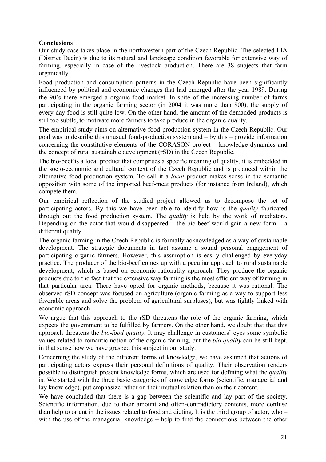# **Conclusions**

Our study case takes place in the northwestern part of the Czech Republic. The selected LIA (District Decin) is due to its natural and landscape condition favorable for extensive way of farming, especially in case of the livestock production. There are 38 subjects that farm organically.

Food production and consumption patterns in the Czech Republic have been significantly influenced by political and economic changes that had emerged after the year 1989. During the 90's there emerged a organic-food market. In spite of the increasing number of farms participating in the organic farming sector (in 2004 it was more than 800), the supply of every-day food is still quite low. On the other hand, the amount of the demanded products is still too subtle, to motivate more farmers to take produce in the organic quality.

The empirical study aims on alternative food-production system in the Czech Republic. Our goal was to describe this unusual food-production system and – by this – provide information concerning the constitutive elements of the CORASON project – knowledge dynamics and the concept of rural sustainable development (rSD) in the Czech Republic.

The bio-beef is a local product that comprises a specific meaning of quality, it is embedded in the socio-economic and cultural context of the Czech Republic and is produced within the alternative food production system. To call it a *local* product makes sense in the semantic opposition with some of the imported beef-meat products (for instance from Ireland), which compete them.

Our empirical reflection of the studied project allowed us to decompose the set of participating actors. By this we have been able to identify how is the *quality* fabricated through out the food production system. The *quality* is held by the work of mediators. Depending on the actor that would disappeared – the bio-beef would gain a new form  $- a$ different quality.

The organic farming in the Czech Republic is formally acknowledged as a way of sustainable development. The strategic documents in fact assume a sound personal engagement of participating organic farmers. However, this assumption is easily challenged by everyday practice. The producer of the bio-beef comes up with a peculiar approach to rural sustainable development, which is based on economic-rationality approach. They produce the organic products due to the fact that the extensive way farming is the most efficient way of farming in that particular area. There have opted for organic methods, because it was rational. The observed rSD concept was focused on agriculture (organic farming as a way to support less favorable areas and solve the problem of agricultural surpluses), but was tightly linked with economic approach.

We argue that this approach to the rSD threatens the role of the organic farming, which expects the government to be fulfilled by farmers. On the other hand, we doubt that that this approach threatens the *bio-food quality*. It may challenge in customers' eyes some symbolic values related to romantic notion of the organic farming, but the *bio quality* can be still kept, in that sense how we have grasped this subject in our study.

Concerning the study of the different forms of knowledge, we have assumed that actions of participating actors express their personal definitions of quality. Their observation renders possible to distinguish present knowledge forms, which are used for defining what the *quality*  is. We started with the three basic categories of knowledge forms (scientific, managerial and lay knowledge), put emphasize rather on their mutual relation than on their content.

We have concluded that there is a gap between the scientific and lay part of the society. Scientific information, due to their amount and often-contradictory contents, more confuse than help to orient in the issues related to food and dieting. It is the third group of actor, who – with the use of the managerial knowledge – help to find the connections between the other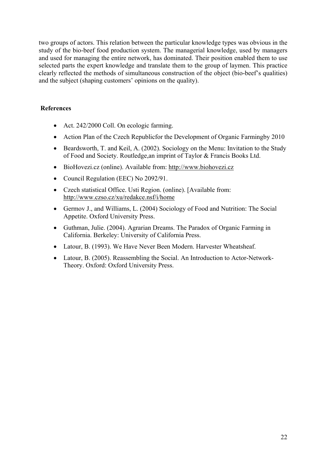two groups of actors. This relation between the particular knowledge types was obvious in the study of the bio-beef food production system. The managerial knowledge, used by managers and used for managing the entire network, has dominated. Their position enabled them to use selected parts the expert knowledge and translate them to the group of laymen. This practice clearly reflected the methods of simultaneous construction of the object (bio-beef's qualities) and the subject (shaping customers' opinions on the quality).

# **References**

- Act. 242/2000 Coll. On ecologic farming.
- Action Plan of the Czech Republicfor the Development of Organic Farmingby 2010
- Beardsworth, T. and Keil, A. (2002). Sociology on the Menu: Invitation to the Study of Food and Society. Routledge,an imprint of Taylor & Francis Books Ltd.
- BioHovezi.cz (online). Available from: [http://www.biohovezi.cz](http://www.biohovezi.cz/)
- Council Regulation (EEC) No 2092/91.
- Czech statistical Office. Usti Region. (online). [Available from: <http://www.czso.cz/xu/redakce.nsf/i/home>
- Germov J., and Williams, L. (2004) Sociology of Food and Nutrition: The Social Appetite. Oxford University Press.
- Guthman, Julie. (2004). Agrarian Dreams. The Paradox of Organic Farming in California. Berkeley: University of California Press.
- Latour, B. (1993). We Have Never Been Modern. Harvester Wheatsheaf.
- Latour, B. (2005). Reassembling the Social. An Introduction to Actor-Network-Theory. Oxford: Oxford University Press.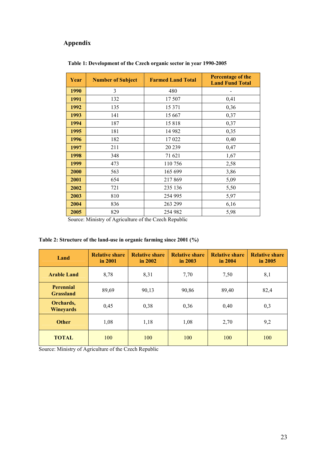# **Appendix**

| Year | <b>Number of Subject</b> | <b>Farmed Land Total</b> | Percentage of the<br><b>Land Fund Total</b> |
|------|--------------------------|--------------------------|---------------------------------------------|
| 1990 | 3                        | 480                      |                                             |
| 1991 | 132                      | 17 507                   | 0,41                                        |
| 1992 | 135                      | 15 371                   | 0,36                                        |
| 1993 | 141                      | 15 667                   | 0,37                                        |
| 1994 | 187                      | 15818                    | 0,37                                        |
| 1995 | 181                      | 14 982                   | 0,35                                        |
| 1996 | 182                      | 17 022                   | 0,40                                        |
| 1997 | 211                      | 20 239                   | 0,47                                        |
| 1998 | 348                      | 71 621                   | 1,67                                        |
| 1999 | 473                      | 110756                   | 2,58                                        |
| 2000 | 563                      | 165 699                  | 3,86                                        |
| 2001 | 654                      | 217869                   | 5,09                                        |
| 2002 | 721                      | 235 136                  | 5,50                                        |
| 2003 | 810                      | 254 995                  | 5,97                                        |
| 2004 | 836                      | 263 299                  | 6,16                                        |
| 2005 | 829                      | 254 982                  | 5,98                                        |

### **Table 1: Development of the Czech organic sector in year 1990-2005**

Source: Ministry of Agriculture of the Czech Republic

# **Table 2: Structure of the land-use in organic farming since 2001 (%)**

| Land                          | <b>Relative share</b><br>in 2001 | <b>Relative share</b><br>in $2002$ | <b>Relative share</b><br>in $2003$ | <b>Relative share</b><br>in 2004 | <b>Relative share</b><br>in $2005$ |
|-------------------------------|----------------------------------|------------------------------------|------------------------------------|----------------------------------|------------------------------------|
| <b>Arable Land</b>            | 8,78                             | 8,31                               | 7,70                               | 7,50                             | 8,1                                |
| Perennial<br><b>Grassland</b> | 89,69                            | 90,13                              | 90,86                              | 89,40                            | 82,4                               |
| Orchards,<br><b>Wineyards</b> | 0,45                             | 0,38                               | 0,36                               | 0,40                             | 0,3                                |
| <b>Other</b>                  | 1,08                             | 1,18                               | 1,08                               | 2,70                             | 9,2                                |
| <b>TOTAL</b>                  | 100                              | 100                                | 100                                | 100                              | 100                                |

Source: Ministry of Agriculture of the Czech Republic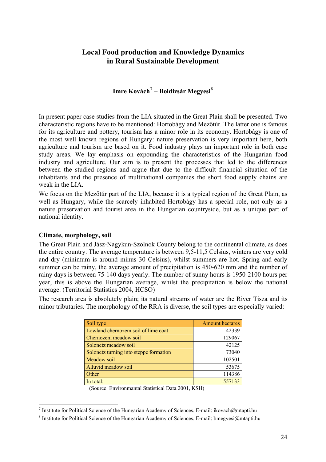# <span id="page-23-0"></span>**Local Food production and Knowledge Dynamics in Rural Sustainable Development**

# **Imre Kovách**[7](#page-23-1)  **– Boldizsár Megyesi**[8](#page-23-2)

In present paper case studies from the LIA situated in the Great Plain shall be presented. Two characteristic regions have to be mentioned: Hortobágy and Mezőtúr. The latter one is famous for its agriculture and pottery, tourism has a minor role in its economy. Hortobágy is one of the most well known regions of Hungary: nature preservation is very important here, both agriculture and tourism are based on it. Food industry plays an important role in both case study areas. We lay emphasis on expounding the characteristics of the Hungarian food industry and agriculture. Our aim is to present the processes that led to the differences between the studied regions and argue that due to the difficult financial situation of the inhabitants and the presence of multinational companies the short food supply chains are weak in the LIA.

We focus on the Mezőtúr part of the LIA, because it is a typical region of the Great Plain, as well as Hungary, while the scarcely inhabited Hortobágy has a special role, not only as a nature preservation and tourist area in the Hungarian countryside, but as a unique part of national identity.

# **Climate, morphology, soil**

The Great Plain and Jász-Nagykun-Szolnok County belong to the continental climate, as does the entire country. The average temperature is between 9,5-11,5 Celsius, winters are very cold and dry (minimum is around minus 30 Celsius), whilst summers are hot. Spring and early summer can be rainy, the average amount of precipitation is 450-620 mm and the number of rainy days is between 75-140 days yearly. The number of sunny hours is 1950-2100 hours per year, this is above the Hungarian average, whilst the precipitation is below the national average. (Territorial Statistics 2004, HCSO)

The research area is absolutely plain; its natural streams of water are the River Tisza and its minor tributaries. The morphology of the RRA is diverse, the soil types are especially varied:

| Soil type                              | <b>Amount hectares</b> |
|----------------------------------------|------------------------|
| Lowland chernozem soil of lime coat    | 42339                  |
| Chernozem meadow soil                  | 129067                 |
| Solonetz meadow soil                   | 42125                  |
| Solonetz turning into steppe formation | 73040                  |
| Meadow soil                            | 102501                 |
| Alluvid meadow soil                    | 53675                  |
| Other                                  | 114386                 |
| In total:                              | 557133                 |

(Source: Environmantal Statistical Data 2001, KSH)

<span id="page-23-1"></span><sup>&</sup>lt;sup>7</sup> Institute for Political Science of the Hungarian Academy of Sciences. E-mail: ikovach@mtapti.hu

<span id="page-23-2"></span><sup>&</sup>lt;sup>8</sup> Institute for Political Science of the Hungarian Academy of Sciences. E-mail: bmegyesi $@$ mtapti.hu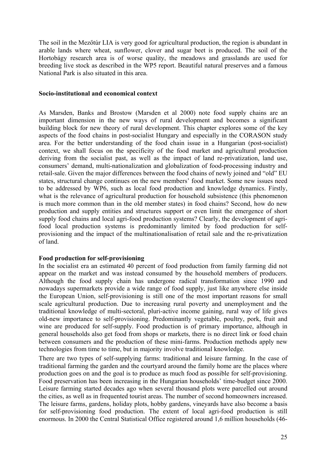<span id="page-24-0"></span>The soil in the Mezőtúr LIA is very good for agricultural production, the region is abundant in arable lands where wheat, sunflower, clover and sugar beet is produced. The soil of the Hortobágy research area is of worse quality, the meadows and grasslands are used for breeding live stock as described in the WP5 report. Beautiful natural preserves and a famous National Park is also situated in this area.

### **Socio-institutional and economical context**

As Marsden, Banks and Brostow (Marsden et al 2000) note food supply chains are an important dimension in the new ways of rural development and becomes a significant building block for new theory of rural development. This chapter explores some of the key aspects of the food chains in post-socialist Hungary and especially in the CORASON study area. For the better understanding of the food chain issue in a Hungarian (post-socialist) context, we shall focus on the specificity of the food market and agricultural production deriving from the socialist past, as well as the impact of land re-privatization, land use, consumers' demand, multi-nationalization and globalization of food-processing industry and retail-sale. Given the major differences between the food chains of newly joined and "old" EU states, structural change continues on the new members' food market. Some new issues need to be addressed by WP6, such as local food production and knowledge dynamics. Firstly, what is the relevance of agricultural production for household subsistence (this phenomenon is much more common than in the old member states) in food chains? Second, how do new production and supply entities and structures support or even limit the emergence of short supply food chains and local agri-food production systems? Clearly, the development of agrifood local production systems is predominantly limited by food production for selfprovisioning and the impact of the multinationalisation of retail sale and the re-privatization of land.

# **Food production for self-provisioning**

In the socialist era an estimated 40 percent of food production from family farming did not appear on the market and was instead consumed by the household members of producers. Although the food supply chain has undergone radical transformation since 1990 and nowadays supermarkets provide a wide range of food supply, just like anywhere else inside the European Union, self-provisioning is still one of the most important reasons for small scale agricultural production. Due to increasing rural poverty and unemployment and the traditional knowledge of multi-sectoral, pluri-active income gaining, rural way of life gives old-new importance to self-provisioning. Predominantly vegetable, poultry, pork, fruit and wine are produced for self-supply. Food production is of primary importance, although in general households also get food from shops or markets, there is no direct link or food chain between consumers and the production of these mini-farms. Production methods apply new technologies from time to time, but in majority involve traditional knowledge.

There are two types of self-supplying farms: traditional and leisure farming. In the case of traditional farming the garden and the courtyard around the family home are the places where production goes on and the goal is to produce as much food as possible for self-provisioning. Food preservation has been increasing in the Hungarian households' time-budget since 2000. Leisure farming started decades ago when several thousand plots were parcelled out around the cities, as well as in frequented tourist areas. The number of second homeowners increased. The leisure farms, gardens, holiday plots, hobby gardens, vineyards have also become a basis for self-provisioning food production. The extent of local agri-food production is still enormous. In 2000 the Central Statistical Office registered around 1,6 million households (46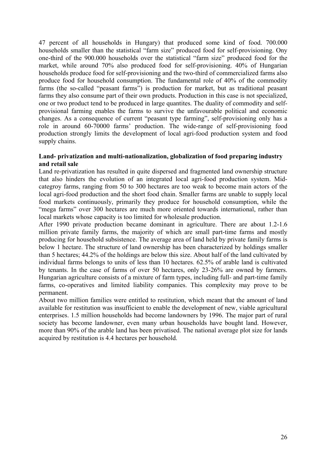47 percent of all households in Hungary) that produced some kind of food. 700.000 households smaller than the statistical "farm size" produced food for self-provisioning. Ony one-third of the 900.000 households over the statistical "farm size" produced food for the market, while around 70% also produced food for self-provisioning. 40% of Hungarian households produce food for self-provisioning and the two-third of commercialized farms also produce food for household consumption. The fundamental role of 40% of the commodity farms (the so-called "peasant farms") is production for market, but as traditional peasant farms they also consume part of their own products. Production in this case is not specialized, one or two product tend to be produced in large quantites. The duality of commodity and selfprovisional farming enables the farms to survive the unfavourable political and economic changes. As a consequence of current "peasant type farming", self-provisioning only has a role in around 60-70000 farms' production. The wide-range of self-provisioning food production strongly limits the development of local agri-food production system and food supply chains.

### **Land- privatization and multi-nationalization, globalization of food preparing industry and retail sale**

Land re-privatization has resulted in quite dispersed and fragmented land ownership structure that also hinders the evolution of an integrated local agri-food production system. Midcategroy farms, ranging from 50 to 300 hectares are too weak to become main actors of the local agri-food production and the short food chain. Smaller farms are unable to supply local food markets continuously, primarily they produce for household consumption, while the "mega farms" over 300 hectares are much more oriented towards international, rather than local markets whose capacity is too limited for wholesale production.

After 1990 private production became dominant in agriculture. There are about 1.2-1.6 million private family farms, the majority of which are small part-time farms and mostly producing for household subsistence. The average area of land held by private family farms is below 1 hectare. The structure of land ownership has been characterized by holdings smaller than 5 hectares; 44.2% of the holdings are below this size. About half of the land cultivated by individual farms belongs to units of less than 10 hectares. 62.5% of arable land is cultivated by tenants. In the case of farms of over 50 hectares, only 23-26% are owned by farmers. Hungarian agriculture consists of a mixture of farm types, including full- and part-time family farms, co-operatives and limited liability companies. This complexity may prove to be permanent.

About two million families were entitled to restitution, which meant that the amount of land available for restitution was insufficient to enable the development of new, viable agricultural enterprises. 1.5 million households had become landowners by 1996. The major part of rural society has become landowner, even many urban households have bought land. However, more than 90% of the arable land has been privatised. The national average plot size for lands acquired by restitution is 4.4 hectares per household.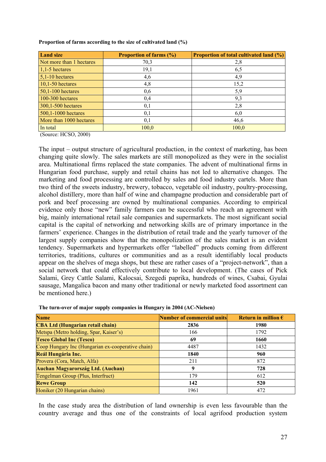| <b>Land size</b>         | <b>Proportion of farms (%)</b> | <b>Proportion of total cultivated land (%)</b> |
|--------------------------|--------------------------------|------------------------------------------------|
| Not more than 1 hectares | 70,3                           | 2,8                                            |
| $1,1-5$ hectares         | 19,1                           | 6,5                                            |
| $5,1-10$ hectares        | 4,6                            | 4,9                                            |
| $10,1-50$ hectares       | 4,8                            | 15,2                                           |
| $50,1-100$ hectares      | 0,6                            | 5,9                                            |
| 100-300 hectares         | 0,4                            | 9,3                                            |
| 300,1-500 hectares       | 0,1                            | 2,8                                            |
| 500,1-1000 hectares      | 0,1                            | 6,0                                            |
| More than 1000 hectares  | 0,1                            | 46,6                                           |
| In total                 | 100,0                          | 100,0                                          |

**Proportion of farms according to the size of cultivated land (%)** 

(Source: HCSO, 2000)

The input – output structure of agricultural production, in the context of marketing, has been changing quite slowly. The sales markets are still monopolized as they were in the socialist area. Multinational firms replaced the state companies. The advent of multinational firms in Hungarian food purchase, supply and retail chains has not led to alternative changes. The marketing and food processing are controlled by sales and food industry cartels. More than two third of the sweets industry, brewery, tobacco, vegetable oil industry, poultry-processing, alcohol distillery, more than half of wine and champagne production and considerable part of pork and beef processing are owned by multinational companies. According to empirical evidence only those "new" family farmers can be successful who reach an agreement with big, mainly international retail sale companies and supermarkets. The most significant social capital is the capital of networking and networking skills are of primary importance in the farmers' experience. Changes in the distribution of retail trade and the yearly turnover of the largest supply companies show that the monopolization of the sales market is an evident tendency. Supermarkets and hypermarkets offer "labelled" products coming from different territories, traditions, cultures or communities and as a result identifiably local products appear on the shelves of mega shops, but these are rather cases of a "project-network", than a social network that could effectively contribute to local development. (The cases of Pick Salami, Grey Cattle Salami, Kalocsai, Szegedi paprika, hundreds of wines, Csabai, Gyulai sausage, Mangalica bacon and many other traditional or newly marketed food assortment can be mentioned here.)

| <b>Name</b>                                       | Number of commercial units | Return in million $\epsilon$ |
|---------------------------------------------------|----------------------------|------------------------------|
| <b>CBA Ltd (Hungarian retail chain)</b>           | 2836                       | 1980                         |
| Metspa (Metro holding, Spar, Kaiser's)            | 166                        | 1792                         |
| <b>Tesco Global Inc (Tesco)</b>                   | 69                         | 1660                         |
| Coop Hungary Inc (Hungarian ex-cooperative chain) | 4487                       | 1432                         |
| Reál Hungária Inc.                                | 1840                       | 960                          |
| Provera (Cora, Match, Alfa)                       | 211                        | 872                          |
| <b>Auchan Magyarország Ltd. (Auchan)</b>          |                            | 728                          |
| Tengelman Group (Plus, Interfruct)                | 179                        | 612                          |
| <b>Rewe Group</b>                                 | 142                        | 520                          |
| Honiker (20 Hungarian chains)                     | 1961                       | 472                          |

**The turn-over of major supply companies in Hungary in 2004 (AC-Nielsen)** 

In the case study area the distribution of land ownership is even less favourable than the country average and thus one of the constraints of local agrifood production system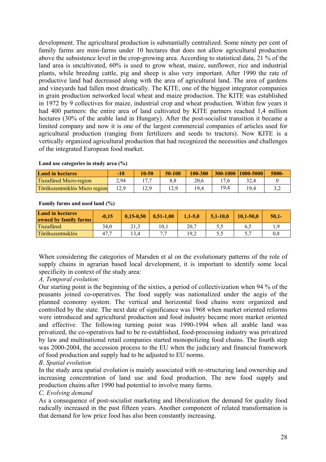development. The agricultural production is substantially centralized. Some ninety per cent of family farms are mini-farms under 10 hectares that does not allow agricultural production above the subsistence level in the crop-growing area. According to statistical data, 21 % of the land area is uncultivated, 60% is used to grow wheat, maize, sunflower, rice and industrial plants, while breeding cattle, pig and sheep is also very important. After 1990 the rate of productive land had decreased along with the area of agricultural land. The area of gardens and vineyards had fallen most drastically. The KITE, one of the biggest integrator companies in grain production networked local wheat and maize production. The KITE was established in 1972 by 9 collectives for maize, industrial crop and wheat production. Within few years it had 400 partners: the entire area of land cultivated by KITE partners reached 1,4 million hectares (30% of the arable land in Hungary). After the post-socialist transition it became a limited company and now it is one of the largest commercial companies of articles used for agricultural production (ranging from fertilizers and seeds to tractors). Now KITE is a vertically organized agricultural production that had recognized the necessities and challenges of the integrated European food market.

#### **Land use categories in study area (%)**

| <b>Land in hectares</b>        | -10  | 10-50        | 50-100 | 100-300 |      | 300-1000  1000-5000 | 5000- |
|--------------------------------|------|--------------|--------|---------|------|---------------------|-------|
| <b>Tiszafüred Micro-region</b> | 2,94 | $\sim$       | 8,8    | 20,6    |      | 32,4                |       |
| Törökszentmiklós Micro region  |      | 0 ۱<br>نہ⊿ ا |        | 19,4    | 19.4 | 19.4                |       |

#### **Family farms and used land (%)**

| <b>Land in hectares</b><br>owned by family farms | $-0.15$ | $0.15 - 0.50$ | $0,51-1,00$ | $1.1 - 5.0$ | $5.1 - 10.0$ | $10.1 - 50.0$ | $50.1 -$ |
|--------------------------------------------------|---------|---------------|-------------|-------------|--------------|---------------|----------|
| Tiszafüred                                       | 34,0    | 212<br>21,3   | 10.1        | 20.7        | ں ک          | 6.2           |          |
| Törökszentmiklós                                 | 47      | 13,4          |             | 19.2        | ں ک          | <u>ັ</u>      |          |

When considering the categories of Marsden et al on the evolutionary patterns of the role of supply chains in agrarian based local development, it is important to identify some local specificity in context of the study area:

# *A, Temporal evolution:*

Our starting point is the beginning of the sixties, a period of collectivization when 94 % of the peasants joined co-operatives. The food supply was nationalized under the aegis of the planned economy system. The vertical and horizontal food chains were organized and controlled by the state. The next date of significance was 1968 when market oriented reforms were introduced and agricultural production and food industry became more market oriented and effective. The following turning point was 1990-1994 when all arable land was privatized, the co-operatives had to be re-established, food-processing industry was privatized by law and multinational retail companies started monopolizing food chains. The fourth step was 2000-2004, the accession process to the EU when the judiciary and financial framework of food production and supply had to be adjusted to EU norms.

# *B, Spatial evolution*

In the study area spatial evolution is mainly associated with re-structuring land ownership and increasing concentration of land use and food production. The new food supply and production chains after 1990 had potential to involve many farms.

# *C, Evolving demand*

As a consequence of post-socialist marketing and liberalization the demand for quality food radically increased in the past fifteen years. Another component of related transformation is that demand for low price food has also been constantly increasing.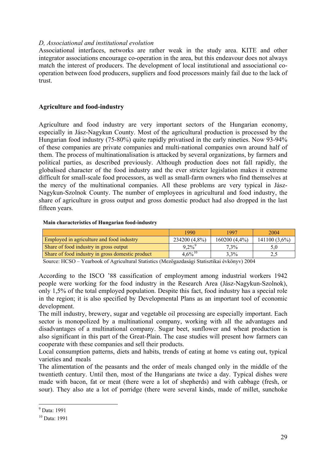### <span id="page-28-0"></span>*D, Associational and institutional evolution*

Associational interfaces, networks are rather weak in the study area. KITE and other integrator associations encourage co-operation in the area, but this endeavour does not always match the interest of producers. The development of local institutional and associational cooperation between food producers, suppliers and food processors mainly fail due to the lack of trust.

### **Agriculture and food-industry**

Agriculture and food industry are very important sectors of the Hungarian economy, especially in Jász-Nagykun County. Most of the agricultural production is processed by the Hungarian food industry (75-80%) quite rapidly privatised in the early nineties. Now 93-94% of these companies are private companies and multi-national companies own around half of them. The process of multinationalisation is attacked by several organizations, by farmers and political parties, as described previously. Although production does not fall rapidly, the globalised character of the food industry and the ever stricter legislation makes it extreme difficult for small-scale food processors, as well as small-farm owners who find themselves at the mercy of the multinational companies. All these problems are very typical in Jász-Nagykun-Szolnok County. The number of employees in agricultural and food industry, the share of agriculture in gross output and gross domestic product had also dropped in the last fifteen years.

#### **Main characteristics of Hungarian food-industry**

|                                                  | 1990                 | 1997        | 2004            |
|--------------------------------------------------|----------------------|-------------|-----------------|
| Employed in agriculture and food industry        | 234200 (4,8%)        | 160200(4,4% | $141100(3.6\%)$ |
| Share of food industry in gross output           | $9.2\%$ <sup>9</sup> | 7.3%        | 5.0             |
| Share of food industry in gross domestic product | $4.6\%^{10}$         | 3,3%        | ∠               |

Source: HCSO – Yearbook of Agricultural Statistics (Mezőgazdasági Statisztikai évkönyv) 2004

According to the ISCO '88 cassification of employment among industrial workers 1942 people were working for the food industry in the Research Area (Jász-Nagykun-Szolnok), only 1,5% of the total employed population. Despite this fact, food industry has a special role in the region; it is also specified by Developmental Plans as an important tool of economic development.

The mill industry, brewery, sugar and vegetable oil processing are especially important. Each sector is monopolized by a multinational company, working with all the advantages and disadvantages of a multinational company. Sugar beet, sunflower and wheat production is also significant in this part of the Great-Plain. The case studies will present how farmers can cooperate with these companies and sell their products.

Local consumption patterns, diets and habits, trends of eating at home vs eating out, typical varieties and meals

The alimentation of the peasants and the order of meals changed only in the middle of the twentieth century. Until then, most of the Hungarians ate twice a day. Typical dishes were made with bacon, fat or meat (there were a lot of shepherds) and with cabbage (fresh, or sour). They also ate a lot of porridge (there were several kinds, made of millet, sunchoke

1

<span id="page-28-1"></span><sup>9</sup> Data: 1991

<span id="page-28-2"></span><sup>10</sup> Data: 1991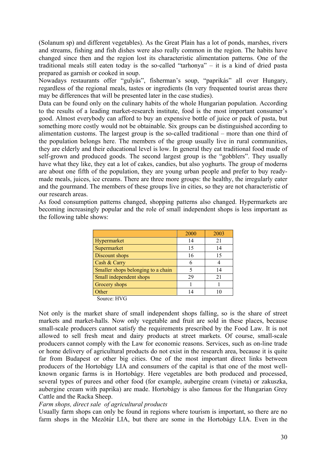(Solanum sp) and different vegetables). As the Great Plain has a lot of ponds, marshes, rivers and streams, fishing and fish dishes were also really common in the region. The habits have changed since then and the region lost its characteristic alimentation patterns. One of the traditional meals still eaten today is the so-called "tarhonya" – it is a kind of dried pasta prepared as garnish or cooked in soup.

Nowadays restaurants offer "gulyás", fisherman's soup, "paprikás" all over Hungary, regardless of the regional meals, tastes or ingredients (In very frequented tourist areas there may be differences that will be presented later in the case studies).

Data can be found only on the culinary habits of the whole Hungarian population. According to the results of a leading market-research institute, food is the most important consumer's good. Almost everybody can afford to buy an expensive bottle of juice or pack of pasta, but something more costly would not be obtainable. Six groups can be distinguished according to alimentation customs. The largest group is the so-called traditional – more than one third of the population belongs here. The members of the group usually live in rural communities, they are elderly and their educational level is low. In general they eat traditional food made of self-grown and produced goods. The second largest group is the "gobblers". They usually have what they like, they eat a lot of cakes, candies, but also yoghurts. The group of moderns are about one fifth of the population, they are young urban people and prefer to buy readymade meals, juices, ice creams. There are three more groups: the healthy, the irregularly eater and the gourmand. The members of these groups live in cities, so they are not characteristic of our research areas.

As food consumption patterns changed, shopping patterns also changed. Hypermarkets are becoming increasingly popular and the role of small independent shops is less important as the following table shows:

|                                    | 2000 | 2003 |
|------------------------------------|------|------|
| Hypermarket                        | 14   | 21   |
| Supermarket                        | 15   | 14   |
| Discount shops                     | 16   | 15   |
| Cash & Carry                       |      |      |
| Smaller shops belonging to a chain |      | 14   |
| Small independent shops            | 29   | 21   |
| Grocery shops                      |      |      |
| <b></b> ther                       | l 4  |      |

Source: HVG

Not only is the market share of small independent shops falling, so is the share of street markets and market-halls. Now only vegetable and fruit are sold in these places, because small-scale producers cannot satisfy the requirements prescribed by the Food Law. It is not allowed to sell fresh meat and dairy products at street markets. Of course, small-scale producers cannot comply with the Law for economic reasons. Services, such as on-line trade or home delivery of agricultural products do not exist in the research area, because it is quite far from Budapest or other big cities. One of the most important direct links between producers of the Hortobágy LIA and consumers of the capital is that one of the most wellknown organic farms is in Hortobágy. Here vegetables are both produced and processed, several types of purees and other food (for example, aubergine cream (vineta) or zakuszka, aubergine cream with paprika) are made. Hortobágy is also famous for the Hungarian Grey Cattle and the Racka Sheep.

### *Farm shops, direct sale of agricultural products*

Usually farm shops can only be found in regions where tourism is important, so there are no farm shops in the Mezőtúr LIA, but there are some in the Hortobágy LIA. Even in the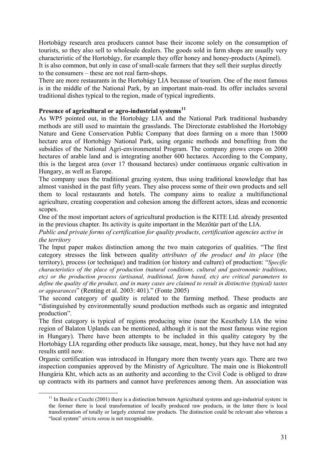Hortobágy research area producers cannot base their income solely on the consumption of tourists, so they also sell to wholesale dealers. The goods sold in farm shops are usually very characteristic of the Hortobágy, for example they offer honey and honey-products (Apimel). It is also common, but only in case of small-scale farmers that they sell their surplus directly to the consumers – these are not real farm-shops.

There are more restaurants in the Hortobágy LIA because of tourism. One of the most famous is in the middle of the National Park, by an important main-road. Its offer includes several traditional dishes typical to the region, made of typical ingredients.

# **Presence of agricultural or agro-industrial systems[11](#page-30-0)**

As WP5 pointed out, in the Hortobágy LIA and the National Park traditional husbandry methods are still used to maintain the grasslands. The Directorate established the Hortobágy Nature and Gene Conservation Public Company that does farming on a more than 15000 hectare area of Hortobágy National Park, using organic methods and benefiting from the subsidies of the National Agri-environmental Program. The company grows crops on 2000 hectares of arable land and is integrating another 600 hectares. According to the Company, this is the largest area (over 17 thousand hectares) under continuous organic cultivation in Hungary, as well as Europe.

The company uses the traditional grazing system, thus using traditional knowledge that has almost vanished in the past fifty years. They also process some of their own products and sell them to local restaurants and hotels. The company aims to realize a multifunctional agriculture, creating cooperation and cohesion among the different actors, ideas and economic scopes.

One of the most important actors of agricultural production is the KITE Ltd. already presented in the previous chapter. Its activity is quite important in the Mezőtúr part of the LIA.

*Public and private forms of certification for quality products, certification agencies active in the territory* 

The Input paper makes distinction among the two main categories of qualities. "The first category stresses the link between quality *attributes of the product and its place* (the territory), process (or technique) and tradition (or history and culture) of production: "*Specific characteristics of the place of production (natural conditions, cultural and gastronomic traditions, etc) or the production process (artisanal, traditional, farm based, etc) are critical parameters to define the quality of the product, and in many cases are claimed to result in distinctive (typical) tastes or appearances*" (Renting et al. 2003: 401)." (Fonte 2005)

The second category of quality is related to the farming method. These products are "distinguished by environmentally sound production methods such as organic and integrated production".

The first category is typical of regions producing wine (near the Keszthely LIA the wine region of Balaton Uplands can be mentioned, although it is not the most famous wine region in Hungary). There have been attempts to be included in this quality category by the Hortobágy LIA regarding other products like sausage, meat, honey, but they have not had any results until now.

Organic certification was introduced in Hungary more then twenty years ago. There are two inspection companies approved by the Ministry of Agriculture. The main one is Biokontroll Hungária Kht, which acts as an authority and according to the Civil Code is obliged to draw up contracts with its partners and cannot have preferences among them. An association was

<span id="page-30-0"></span> $11$  In Basile e Cecchi (2001) there is a distinction between Agricultural systems and ago-industrial system: in the former there is local transformation of locally produced raw products, in the latter there is local transformation of totally or largely external raw products. The distinction could be relevant also whereas a "local system" *strictu sensu* is not recognisable.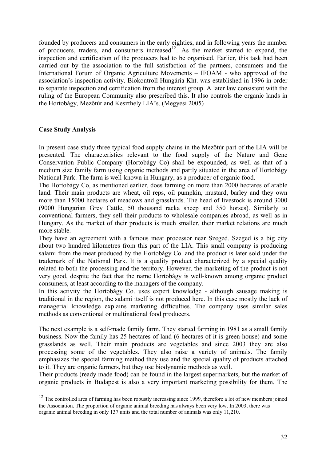<span id="page-31-0"></span>founded by producers and consumers in the early eighties, and in following years the number of producers, traders, and consumers increased<sup>[12](#page-31-1)</sup>. As the market started to expand, the inspection and certification of the producers had to be organised. Earlier, this task had been carried out by the association to the full satisfaction of the partners, consumers and the International Forum of Organic Agriculture Movements – IFOAM - who approved of the association's inspection activity. Biokontroll Hungária Kht. was established in 1996 in order to separate inspection and certification from the interest group. A later law consistent with the ruling of the European Community also prescribed this. It also controls the organic lands in the Hortobágy, Mezőtúr and Keszthely LIA's. (Megyesi 2005)

### **Case Study Analysis**

1

In present case study three typical food supply chains in the Mezőtúr part of the LIA will be presented. The characteristics relevant to the food supply of the Nature and Gene Conservation Public Company (Hortobágy Co) shall be expounded, as well as that of a medium size family farm using organic methods and partly situated in the area of Hortobágy National Park. The farm is well-known in Hungary, as a producer of organic food.

The Hortobágy Co, as mentioned earlier, does farming on more than 2000 hectares of arable land. Their main products are wheat, oil reps, oil pumpkin, mustard, barley and they own more than 15000 hectares of meadows and grasslands. The head of livestock is around 3000 (9000 Hungarian Grey Cattle, 50 thousand racka sheep and 350 horses). Similarly to conventional farmers, they sell their products to wholesale companies abroad, as well as in Hungary. As the market of their products is much smaller, their market relations are much more stable.

They have an agreement with a famous meat processor near Szeged. Szeged is a big city about two hundred kilometres from this part of the LIA. This small company is producing salami from the meat produced by the Hortobágy Co. and the product is later sold under the trademark of the National Park. It is a quality product characterized by a special quality related to both the processing and the territory. However, the marketing of the product is not very good, despite the fact that the name Hortobágy is well-known among organic product consumers, at least according to the managers of the company.

In this activity the Hortobágy Co. uses expert knowledge - although sausage making is traditional in the region, the salami itself is not produced here. In this case mostly the lack of managerial knowledge explains marketing difficulties. The company uses similar sales methods as conventional or multinational food producers.

The next example is a self-made family farm. They started farming in 1981 as a small family business. Now the family has 25 hectares of land (6 hectares of it is green-house) and some grasslands as well. Their main products are vegetables and since 2003 they are also processing some of the vegetables. They also raise a variety of animals. The family emphasizes the special farming method they use and the special quality of products attached to it. They are organic farmers, but they use biodynamic methods as well.

Their products (ready made food) can be found in the largest supermarkets, but the market of organic products in Budapest is also a very important marketing possibility for them. The

<span id="page-31-1"></span> $12$  The controlled area of farming has been robustly increasing since 1999, therefore a lot of new members joined the Association. The proportion of organic animal breeding has always been very low. In 2003, there was organic animal breeding in only 137 units and the total number of animals was only 11,210.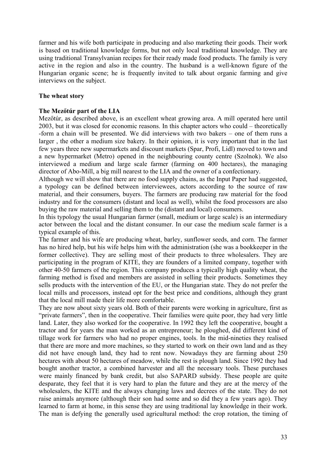farmer and his wife both participate in producing and also marketing their goods. Their work is based on traditional knowledge forms, but not only local traditional knowledge. They are using traditional Transylvanian recipes for their ready made food products. The family is very active in the region and also in the country. The husband is a well-known figure of the Hungarian organic scene; he is frequently invited to talk about organic farming and give interviews on the subject.

### **The wheat story**

### **The Mezőtúr part of the LIA**

Mezőtúr, as described above, is an excellent wheat growing area. A mill operated here until 2003, but it was closed for economic reasons. In this chapter actors who could – theoretically -form a chain will be presented. We did interviews with two bakers – one of them runs a larger , the other a medium size bakery. In their opinion, it is very important that in the last few years three new supermarkets and discount markets (Spar, Profi, Lidl) moved to town and a new hypermarket (Metro) opened in the neighbouring county centre (Szolnok). We also interviewed a medium and large scale farmer (farming on 400 hectares), the managing director of Abo-Mill, a big mill nearest to the LIA and the owner of a confectionary.

Although we will show that there are no food supply chains, as the Input Paper had suggested, a typology can be defined between interviewees, actors according to the source of raw material, and their consumers, buyers. The farmers are producing raw material for the food industry and for the consumers (distant and local as well), whilst the food processors are also buying the raw material and selling them to the (distant and local) consumers.

In this typology the usual Hungarian farmer (small, medium or large scale) is an intermediary actor between the local and the distant consumer. In our case the medium scale farmer is a typical example of this.

The farmer and his wife are producing wheat, barley, sunflower seeds, and corn. The farmer has no hired help, but his wife helps him with the administration (she was a bookkeeper in the former collective). They are selling most of their products to three wholesalers. They are participating in the program of KITE, they are founders of a limited company, together with other 40-50 farmers of the region. This company produces a typically high quality wheat, the farming method is fixed and members are assisted in selling their products. Sometimes they sells products with the intervention of the EU, or the Hungarian state. They do not prefer the local mills and processors, instead opt for the best price and conditions, although they grant that the local mill made their life more comfortable.

They are now about sixty years old. Both of their parents were working in agriculture, first as "private farmers", then in the cooperative. Their families were quite poor, they had very little land. Later, they also worked for the cooperative. In 1992 they left the cooperative, bought a tractor and for years the man worked as an entrepreneur; he ploughed, did different kind of tillage work for farmers who had no proper engines, tools. In the mid-nineties they realised that there are more and more machines, so they started to work on their own land and as they did not have enough land, they had to rent now. Nowadays they are farming about 250 hectares with about 50 hectares of meadow, while the rest is plough land. Since 1992 they had bought another tractor, a combined harvester and all the necessary tools. These purchases were mainly financed by bank credit, but also SAPARD subsidy. These people are quite desparate, they feel that it is very hard to plan the future and they are at the mercy of the wholesalers, the KITE and the always changing laws and decrees of the state. They do not raise animals anymore (although their son had some and so did they a few years ago). They learned to farm at home, in this sense they are using traditional lay knowledge in their work. The man is defying the generally used agricultural method: the crop rotation, the timing of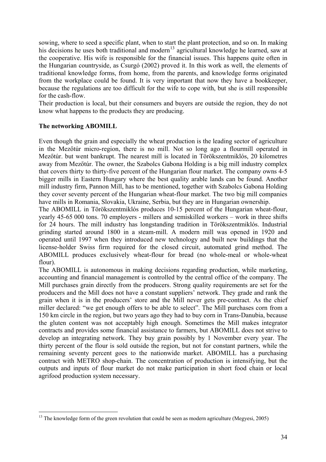sowing, where to seed a specific plant, when to start the plant protection, and so on. In making his decisions he uses both traditional and modern<sup>[13](#page-33-0)</sup> agricultural knowledge he learned, saw at the cooperative. His wife is responsible for the financial issues. This happens quite often in the Hungarian countryside, as Csurgó (2002) proved it. In this work as well, the elements of traditional knowledge forms, from home, from the parents, and knowledge forms originated from the workplace could be found. It is very important that now they have a bookkeeper, because the regulations are too difficult for the wife to cope with, but she is still responsible for the cash-flow.

Their production is local, but their consumers and buyers are outside the region, they do not know what happens to the products they are producing.

### **The networking ABOMILL**

Even though the grain and especially the wheat production is the leading sector of agriculture in the Mezőtúr micro-region, there is no mill. Not so long ago a flourmill operated in Mezőtúr. but went bankrupt. The nearest mill is located in Törökszentmiklós, 20 kilometres away from Mezőtúr. The owner, the Szabolcs Gabona Holding is a big mill industry complex that covers thirty to thirty-five percent of the Hungarian flour market. The company owns 4-5 bigger mills in Eastern Hungary where the best quality arable lands can be found. Another mill industry firm, Pannon Mill, has to be mentioned, together with Szabolcs Gabona Holding they cover seventy percent of the Hungarian wheat-flour market. The two big mill companies have mills in Romania, Slovakia, Ukraine, Serbia, but they are in Hungarian ownership.

The ABOMILL in Törökszentmiklós produces 10-15 percent of the Hungarian wheat-flour, yearly 45-65 000 tons. 70 employers - millers and semiskilled workers – work in three shifts for 24 hours. The mill industry has longstanding tradition in Törökszentmiklós. Industrial grinding started around 1800 in a steam-mill. A modern mill was opened in 1920 and operated until 1997 when they introduced new technology and built new buildings that the license-holder Swiss firm required for the closed circuit, automated grind method. The ABOMILL produces exclusively wheat-flour for bread (no whole-meal or whole-wheat flour).

The ABOMILL is autonomous in making decisions regarding production, while marketing, accounting and financial management is controlled by the central office of the company. The Mill purchases grain directly from the producers. Strong quality requirements are set for the producers and the Mill does not have a constant suppliers' network. They grade and rank the grain when it is in the producers' store and the Mill never gets pre-contract. As the chief miller declared: "we get enough offers to be able to select". The Mill purchases corn from a 150 km circle in the region, but two years ago they had to buy corn in Trans-Danubia, because the gluten content was not acceptably high enough. Sometimes the Mill makes integrator contracts and provides some financial assistance to farmers, but ABOMILL does not strive to develop an integrating network. They buy grain possibly by 1 November every year. The thirty percent of the flour is sold outside the region, but not for constant partners, while the remaining seventy percent goes to the nationwide market. ABOMILL has a purchasing contract with METRO shop-chain. The concentration of production is intensifying, but the outputs and inputs of flour market do not make participation in short food chain or local agrifood production system necessary.

<span id="page-33-0"></span><sup>1</sup> <sup>13</sup> The knowledge form of the green revolution that could be seen as modern agriculture (Megyesi, 2005)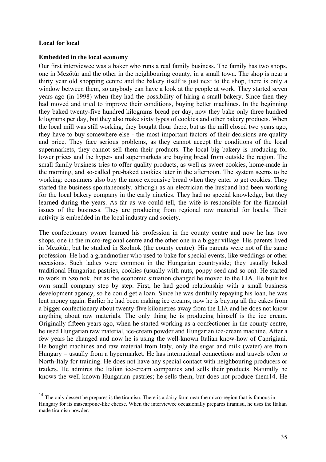### **Local for local**

1

### **Embedded in the local economy**

Our first interviewee was a baker who runs a real family business. The family has two shops, one in Mezőtúr and the other in the neighbouring county, in a small town. The shop is near a thirty year old shopping centre and the bakery itself is just next to the shop, there is only a window between them, so anybody can have a look at the people at work. They started seven years ago (in 1998) when they had the possibility of hiring a small bakery. Since then they had moved and tried to improve their conditions, buying better machines. In the beginning they baked twenty-five hundred kilograms bread per day, now they bake only three hundred kilograms per day, but they also make sixty types of cookies and other bakery products. When the local mill was still working, they bought flour there, but as the mill closed two years ago, they have to buy somewhere else - the most important factors of their decisions are quality and price. They face serious problems, as they cannot accept the conditions of the local supermarkets, they cannot sell them their products. The local big bakery is producing for lower prices and the hyper- and supermarkets are buying bread from outside the region. The small family business tries to offer quality products, as well as sweet cookies, home-made in the morning, and so-called pre-baked cookies later in the afternoon. The system seems to be working: consumers also buy the more expensive bread when they enter to get cookies. They started the business spontaneously, although as an electrician the husband had been working for the local bakery company in the early nineties. They had no special knowledge, but they learned during the years. As far as we could tell, the wife is responsible for the financial issues of the business. They are producing from regional raw material for locals. Their activity is embedded in the local industry and society.

The confectionary owner learned his profession in the county centre and now he has two shops, one in the micro-regional centre and the other one in a bigger village. His parents lived in Mezőtúr, but he studied in Szolnok (the county centre). His parents were not of the same profession. He had a grandmother who used to bake for special events, like weddings or other occasions. Such ladies were common in the Hungarian countryside; they usually baked traditional Hungarian pastries, cookies (usually with nuts, poppy-seed and so on). He started to work in Szolnok, but as the economic situation changed he moved to the LIA. He built his own small company step by step. First, he had good relationship with a small business development agency, so he could get a loan. Since he was dutifully repaying his loan, he was lent money again. Earlier he had been making ice creams, now he is buying all the cakes from a bigger confectionary about twenty-five kilometres away from the LIA and he does not know anything about raw materials. The only thing he is producing himself is the ice cream. Originally fifteen years ago, when he started working as a confectioner in the county centre, he used Hungarian raw material, ice-cream powder and Hungarian ice-cream machine. After a few years he changed and now he is using the well-known Italian know-how of Caprigiani. He bought machines and raw material from Italy, only the sugar and milk (water) are from Hungary – usually from a hypermarket. He has international connections and travels often to North-Italy for training. He does not have any special contact with neighbouring producers or traders. He admires the Italian ice-cream companies and sells their products. Naturally he knows the well-known Hungarian pastries; he sells them, but does not produce them[14](#page-34-0). He

<span id="page-34-0"></span><sup>&</sup>lt;sup>14</sup> The only dessert he prepares is the tiramisu. There is a dairy farm near the micro-region that is famous in Hungary for its mascarpone-like cheese. When the interviewee occasionally prepares tiramisu, he uses the Italian made tiramisu powder.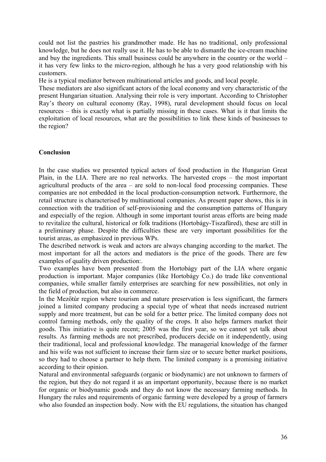<span id="page-35-0"></span>could not list the pastries his grandmother made. He has no traditional, only professional knowledge, but he does not really use it. He has to be able to dismantle the ice-cream machine and buy the ingredients. This small business could be anywhere in the country or the world – it has very few links to the micro-region, although he has a very good relationship with his customers.

He is a typical mediator between multinational articles and goods, and local people.

These mediators are also significant actors of the local economy and very characteristic of the present Hungarian situation. Analysing their role is very important. According to Christopher Ray's theory on cultural economy (Ray, 1998), rural development should focus on local resources – this is exactly what is partially missing in these cases. What is it that limits the exploitation of local resources, what are the possibilities to link these kinds of businesses to the region?

### **Conclusion**

In the case studies we presented typical actors of food production in the Hungarian Great Plain, in the LIA. There are no real networks. The harvested crops – the most important agricultural products of the area – are sold to non-local food processing companies. These companies are not embedded in the local production-consumption network. Furthermore, the retail structure is characterised by multinational companies. As present paper shows, this is in connection with the tradition of self-provisioning and the consumption patterns of Hungary and especially of the region. Although in some important tourist areas efforts are being made to revitalize the cultural, historical or folk traditions (Hortobágy-Tiszafüred), these are still in a preliminary phase. Despite the difficulties these are very important possibilities for the tourist areas, as emphasized in previous WPs.

The described network is weak and actors are always changing according to the market. The most important for all the actors and mediators is the price of the goods. There are few examples of quality driven production:.

Two examples have been presented from the Hortobágy part of the LIA where organic production is important. Major companies (like Hortobágy Co.) do trade like conventional companies, while smaller family enterprises are searching for new possibilities, not only in the field of production, but also in commerce.

In the Mezőtúr region where tourism and nature preservation is less significant, the farmers joined a limited company producing a special type of wheat that needs increased nutrient supply and more treatment, but can be sold for a better price. The limited company does not control farming methods, only the quality of the crops. It also helps farmers market their goods. This initiative is quite recent; 2005 was the first year, so we cannot yet talk about results. As farming methods are not prescribed, producers decide on it independently, using their traditional, local and professional knowledge. The managerial knowledge of the farmer and his wife was not sufficient to increase their farm size or to secure better market positions, so they had to choose a partner to help them. The limited company is a promising initiative according to their opinion.

Natural and environmental safeguards (organic or biodynamic) are not unknown to farmers of the region, but they do not regard it as an important opportunity, because there is no market for organic or biodynamic goods and they do not know the necessary farming methods. In Hungary the rules and requirements of organic farming were developed by a group of farmers who also founded an inspection body. Now with the EU regulations, the situation has changed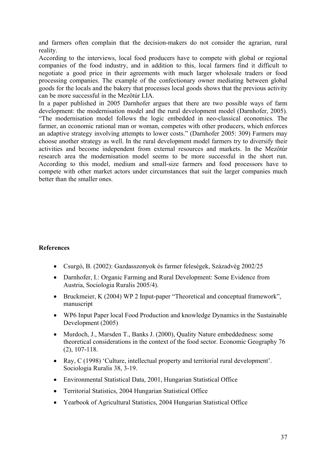and farmers often complain that the decision-makers do not consider the agrarian, rural reality.

According to the interviews, local food producers have to compete with global or regional companies of the food industry, and in addition to this, local farmers find it difficult to negotiate a good price in their agreements with much larger wholesale traders or food processing companies. The example of the confectionary owner mediating between global goods for the locals and the bakery that processes local goods shows that the previous activity can be more successful in the Mezőtúr LIA.

In a paper published in 2005 Darnhofer argues that there are two possible ways of farm development: the modernisation model and the rural development model (Darnhofer, 2005). "The modernisation model follows the logic embedded in neo-classical economics. The farmer, an economic rational man or woman, competes with other producers, which enforces an adaptive strategy involving attempts to lower costs." (Darnhofer 2005: 309) Farmers may choose another strategy as well. In the rural development model farmers try to diversify their activities and become independent from external resources and markets. In the Mezőtúr research area the modernisation model seems to be more successful in the short run. According to this model, medium and small-size farmers and food processors have to compete with other market actors under circumstances that suit the larger companies much better than the smaller ones.

# **References**

- Csurgó, B. (2002): Gazdasszonyok és farmer feleségek, Századvég 2002/25
- Darnhofer, I.: Organic Farming and Rural Development: Some Evidence from Austria, Sociologia Ruralis 2005/4).
- Bruckmeier, K (2004) WP 2 Input-paper "Theoretical and conceptual framework", manuscript
- WP6 Input Paper local Food Production and knowledge Dynamics in the Sustainable Development (2005)
- Murdoch, J., Marsden T., Banks J. (2000), Quality Nature embeddedness: some theoretical considerations in the context of the food sector. Economic Geography 76 (2), 107-118.
- Ray, C (1998) 'Culture, intellectual property and territorial rural development'. Sociologia Ruralis 38, 3-19.
- Environmental Statistical Data, 2001, Hungarian Statistical Office
- Territorial Statistics, 2004 Hungarian Statistical Office
- Yearbook of Agricultural Statistics, 2004 Hungarian Statistical Office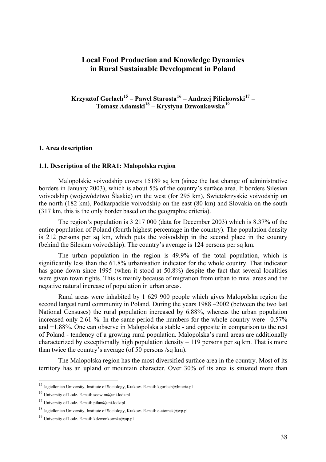# **Local Food Production and Knowledge Dynamics in Rural Sustainable Development in Poland**

**Krzysztof Gorlach[15](#page-37-0) – Paweł Starosta[16](#page-37-1) – Andrzej Pilichowski[17](#page-37-2) – Tomasz Adamski[18](#page-37-3) – Krystyna Dzwonkowska[19](#page-37-4)**

## **1. Area description**

### **1.1. Description of the RRA1: Malopolska region**

 Malopolskie voivodship covers 15189 sq km (since the last change of administrative borders in January 2003), which is about 5% of the country's surface area. It borders Silesian voivodship (województwo Śląskie) on the west (for 295 km), Swietokrzyskie voivodship on the north (182 km), Podkarpackie voivodship on the east (80 km) and Slovakia on the south (317 km, this is the only border based on the geographic criteria).

 The region's population is 3 217 000 (data for December 2003) which is 8.37% of the entire population of Poland (fourth highest percentage in the country). The population density is 212 persons per sq km, which puts the voivodship in the second place in the country (behind the Silesian voivodship). The country's average is 124 persons per sq km.

 The urban population in the region is 49.9% of the total population, which is significantly less than the 61.8% urbanisation indicator for the whole country. That indicator has gone down since 1995 (when it stood at 50.8%) despite the fact that several localities were given town rights. This is mainly because of migration from urban to rural areas and the negative natural increase of population in urban areas.

 Rural areas were inhabited by 1 629 900 people which gives Malopolska region the second largest rural community in Poland. During the years 1988 –2002 (between the two last National Censuses) the rural population increased by 6.88%, whereas the urban population increased only 2.61 %. In the same period the numbers for the whole country were  $-0.57\%$ and +1.88%. One can observe in Malopolska a stable - and opposite in comparison to the rest of Poland - tendency of a growing rural population. Malopolska's rural areas are additionally characterized by exceptionally high population density  $-119$  persons per sq km. That is more than twice the country's average (of 50 persons /sq km).

 The Malopolska region has the most diversified surface area in the country. Most of its territory has an upland or mountain character. Over 30% of its area is situated more than

1

<span id="page-37-0"></span><sup>&</sup>lt;sup>15</sup> Jagiellonian University, Institute of Sociology, Krakow. E-mail: [kgorlach@Interia.pl](mailto:kgorlach@Interia.pl)

<span id="page-37-1"></span><sup>16</sup> University of Lodz. E-mail: [socwim@uni.lodz.pl](mailto:socwim@uni.lodz.pl)

<span id="page-37-2"></span><sup>&</sup>lt;sup>17</sup> University of Lodz. E-mail: [pilan@uni.lodz.pl](mailto:pilan@uni.lodz.pl)

<span id="page-37-3"></span><sup>&</sup>lt;sup>18</sup> Jagiellonian University, Institute of Sociology, Krakow. E-mail: **e-atomek@wp.pl** 

<span id="page-37-4"></span><sup>&</sup>lt;sup>19</sup> University of Lodz. E-mail: [kdzwonkowska@op.pl](mailto:kdzwonkowska@op.pl)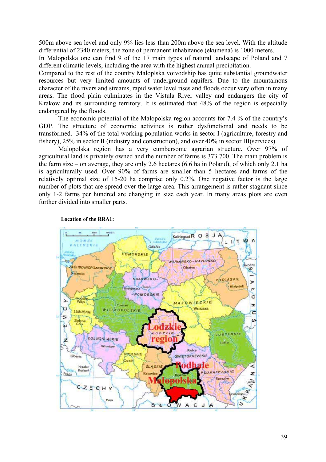500m above sea level and only 9% lies less than 200m above the sea level. With the altitude differential of 2340 meters, the zone of permanent inhabitance (ekumena) is 1000 meters.

In Malopolska one can find 9 of the 17 main types of natural landscape of Poland and 7 different climatic levels, including the area with the highest annual precipitation.

Compared to the rest of the country Maloplska voivodship has quite substantial groundwater resources but very limited amounts of underground aquifers. Due to the mountainous character of the rivers and streams, rapid water level rises and floods occur very often in many areas. The flood plain culminates in the Vistula River valley and endangers the city of Krakow and its surrounding territory. It is estimated that 48% of the region is especially endangered by the floods.

 The economic potential of the Malopolska region accounts for 7.4 % of the country's GDP. The structure of economic activities is rather dysfunctional and needs to be transformed. 34% of the total working population works in sector I (agriculture, forestry and fishery), 25% in sector II (industry and construction), and over 40% in sector III(services).

 Malopolska region has a very cumbersome agrarian structure. Over 97% of agricultural land is privately owned and the number of farms is 373 700. The main problem is the farm size – on average, they are only 2.6 hectares (6.6 ha in Poland), of which only 2.1 ha is agriculturally used. Over 90% of farms are smaller than 5 hectares and farms of the relatively optimal size of 15-20 ha comprise only 0.2%. One negative factor is the large number of plots that are spread over the large area. This arrangement is rather stagnant since only 1-2 farms per hundred are changing in size each year. In many areas plots are even further divided into smaller parts.



 **Location of the RRA1:**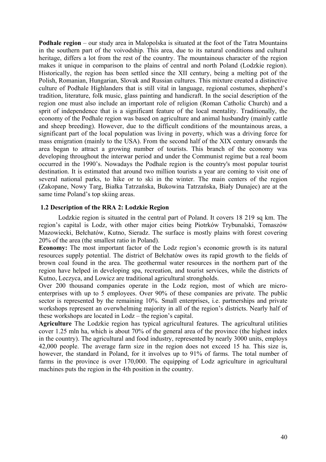**Podhale region** – our study area in Malopolska is situated at the foot of the Tatra Mountains in the southern part of the voivodship. This area, due to its natural conditions and cultural heritage, differs a lot from the rest of the country. The mountainous character of the region makes it unique in comparison to the plains of central and north Poland (Lodzkie region). Historically, the region has been settled since the XII century, being a melting pot of the Polish, Romanian, Hungarian, Slovak and Russian cultures. This mixture created a distinctive culture of Podhale Highlanders that is still vital in language, regional costumes, shepherd's tradition, literature, folk music, glass painting and handicraft. In the social description of the region one must also include an important role of religion (Roman Catholic Church) and a sprit of independence that is a significant feature of the local mentality. Traditionally, the economy of the Podhale region was based on agriculture and animal husbandry (mainly cattle and sheep breeding). However, due to the difficult conditions of the mountainous areas, a significant part of the local population was living in poverty, which was a driving force for mass emigration (mainly to the USA). From the second half of the XIX century onwards the area began to attract a growing number of tourists. This branch of the economy was developing throughout the interwar period and under the Communist regime but a real boom occurred in the 1990's. Nowadays the Podhale region is the country's most popular tourist destination. It is estimated that around two million tourists a year are coming to visit one of several national parks, to hike or to ski in the winter. The main centers of the region (Zakopane, Nowy Targ, Białka Tatrzańska, Bukowina Tatrzańska, Biały Dunajec) are at the same time Poland's top skiing areas.

## **1.2 Description of the RRA 2: Lodzkie Region**

 Lodzkie region is situated in the central part of Poland. It covers 18 219 sq km. The region's capital is Lodz, with other major cities being Piotrków Trybunalski, Tomaszów Mazowiecki, Bełchatów, Kutno, Sieradz. The surface is mostly plains with forest covering 20% of the area (the smallest ratio in Poland).

**Economy:** The most important factor of the Lodz region's economic growth is its natural resources supply potential. The district of Bełchatów owes its rapid growth to the fields of brown coal found in the area. The geothermal water resources in the northern part of the region have helped in developing spa, recreation, and tourist services, while the districts of Kutno, Leczyca, and Lowicz are traditional agricultural strongholds.

Over 200 thousand companies operate in the Lodz region, most of which are microenterprises with up to 5 employees. Over 90% of these companies are private. The public sector is represented by the remaining 10%. Small enterprises, i.e. partnerships and private workshops represent an overwhelming majority in all of the region's districts. Nearly half of these workshops are located in Lodz – the region's capital.

**Agriculture** The Lodzkie region has typical agricultural features. The agricultural utilities cover 1.25 mln ha, which is about 70% of the general area of the province (the highest index in the country). The agricultural and food industry, represented by nearly 3000 units, employs 42,000 people. The average farm size in the region does not exceed 15 ha. This size is, however, the standard in Poland, for it involves up to 91% of farms. The total number of farms in the province is over 170,000. The equipping of Lodz agriculture in agricultural machines puts the region in the 4th position in the country.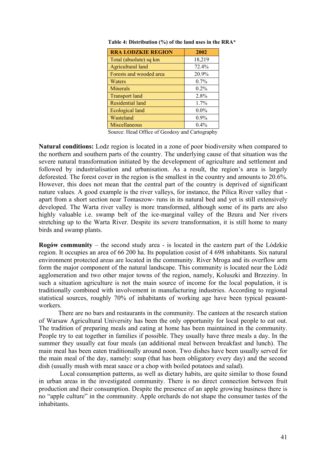| <b>RRA LODZKIE REGION</b> | 2002    |
|---------------------------|---------|
| Total (absolute) sq km    | 18,219  |
| <b>Agricultural land</b>  | 72.4%   |
| Forests and wooded area   | 20.9%   |
| Waters                    | $0.7\%$ |
| Minerals                  | $0.2\%$ |
| <b>Transport land</b>     | 2.8%    |
| Residential land          | 1.7%    |
| Ecological land           | $0.0\%$ |
| Wasteland                 | 0.9%    |
| Miscellaneous             | $0.4\%$ |

 **Table 4: Distribution (%) of the land uses in the RRA\*** 

Source: Head Office of Geodesy and Cartography

**Natural conditions:** Lodz region is located in a zone of poor biodiversity when compared to the northern and southern parts of the country. The underlying cause of that situation was the severe natural transformation initiated by the development of agriculture and settlement and followed by industrialisation and urbanisation. As a result, the region's area is largely deforested. The forest cover in the region is the smallest in the country and amounts to 20.6%. However, this does not mean that the central part of the country is deprived of significant nature values. A good example is the river valleys, for instance, the Pilica River valley that apart from a short section near Tomaszow- runs in its natural bed and yet is still extensively developed. The Warta river valley is more transformed, although some of its parts are also highly valuable i.e. swamp belt of the ice-marginal valley of the Bzura and Ner rivers stretching up to the Warta River. Despite its severe transformation, it is still home to many birds and swamp plants.

**Rogów community** – the second study area - is located in the eastern part of the Lódzkie region. It occupies an area of 66 200 ha. Its population cosist of 4 698 inhabitants. Six natural environment protected areas are located in the community. River Mroga and its overflow arm form the major component of the natural landscape. This community is located near the Lódź agglomeration and two other major towns of the region, namely, Koluszki and Brzeziny. In such a situation agriculture is not the main source of income for the local population, it is traditionally combined with involvement in manufacturing industries. According to regional statistical sources, roughly 70% of inhabitants of working age have been typical peasantworkers.

There are no bars and restaurants in the community. The canteen at the research station of Warsaw Agricultural University has been the only opportunity for local people to eat out. The tradition of preparing meals and eating at home has been maintained in the community. People try to eat together in families if possible. They usually have three meals a day. In the summer they usually eat four meals (an additional meal between breakfast and lunch). The main meal has been eaten traditionally around noon. Two dishes have been usually served for the main meal of the day, namely: soup (that has been obligatory every day) and the second dish (usually mush with meat sauce or a chop with boiled potatoes and salad).

 Local consumption patterns, as well as dietary habits, are quite similar to those found in urban areas in the investigated community. There is no direct connection between fruit production and their consumption. Despite the presence of an apple growing business there is no "apple culture" in the community. Apple orchards do not shape the consumer tastes of the inhabitants.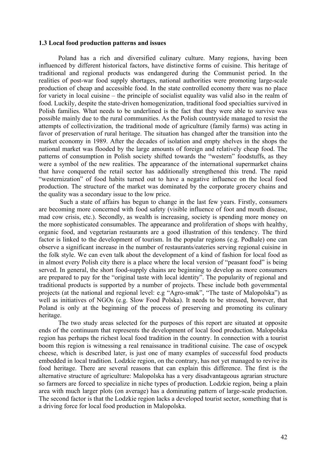### **1.3 Local food production patterns and issues**

 Poland has a rich and diversified culinary culture. Many regions, having been influenced by different historical factors, have distinctive forms of cuisine. This heritage of traditional and regional products was endangered during the Communist period. In the realities of post-war food supply shortages, national authorities were promoting large-scale production of cheap and accessible food. In the state controlled economy there was no place for variety in local cuisine – the principle of socialist equality was valid also in the realm of food. Luckily, despite the state-driven homogenization, traditional food specialties survived in Polish families. What needs to be underlined is the fact that they were able to survive was possible mainly due to the rural communities. As the Polish countryside managed to resist the attempts of collectivization, the traditional mode of agriculture (family farms) was acting in favor of preservation of rural heritage. The situation has changed after the transition into the market economy in 1989. After the decades of isolation and empty shelves in the shops the national market was flooded by the large amounts of foreign and relatively cheap food. The patterns of consumption in Polish society shifted towards the "western" foodstuffs, as they were a symbol of the new realities. The appearance of the international supermarket chains that have conquered the retail sector has additionally strengthened this trend. The rapid "westernization" of food habits turned out to have a negative influence on the local food production. The structure of the market was dominated by the corporate grocery chains and the quality was a secondary issue to the low price.

 Such a state of affairs has begun to change in the last few years. Firstly, consumers are becoming more concerned with food safety (visible influence of foot and mouth disease, mad cow crisis, etc.). Secondly, as wealth is increasing, society is spending more money on the more sophisticated consumables. The appearance and proliferation of shops with healthy, organic food, and vegetarian restaurants are a good illustration of this tendency. The third factor is linked to the development of tourism. In the popular regions (e.g. Podhale) one can observe a significant increase in the number of restaurants/eateries serving regional cuisine in the folk style. We can even talk about the development of a kind of fashion for local food as in almost every Polish city there is a place where the local version of "peasant food" is being served. In general, the short food-supply chains are beginning to develop as more consumers are prepared to pay for the "original taste with local identity". The popularity of regional and traditional products is supported by a number of projects. These include both governmental projects (at the national and regional level: e.g "Agro-smak", "The taste of Malopolska") as well as initiatives of NGOs (e.g. Slow Food Polska). It needs to be stressed, however, that Poland is only at the beginning of the process of preserving and promoting its culinary heritage.

 The two study areas selected for the purposes of this report are situated at opposite ends of the continuum that represents the development of local food production. Malopolska region has perhaps the richest local food tradition in the country. In connection with a tourist boom this region is witnessing a real renaissance in traditional cuisine. The case of oscypek cheese, which is described later, is just one of many examples of successful food products embedded in local tradition. Lodzkie region, on the contrary, has not yet managed to revive its food heritage. There are several reasons that can explain this difference. The first is the alternative structure of agriculture: Malopolska has a very disadvantageous agrarian structure so farmers are forced to specialize in niche types of production. Lodzkie region, being a plain area with much larger plots (on average) has a dominating pattern of large-scale production. The second factor is that the Lodzkie region lacks a developed tourist sector, something that is a driving force for local food production in Malopolska.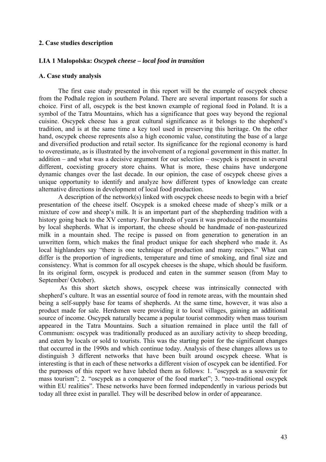## **2. Case studies description**

## **LIA 1 Malopolska:** *Oscypek cheese – local food in transition*

#### **A. Case study analysis**

 The first case study presented in this report will be the example of oscypek cheese from the Podhale region in southern Poland. There are several important reasons for such a choice. First of all, oscypek is the best known example of regional food in Poland. It is a symbol of the Tatra Mountains, which has a significance that goes way beyond the regional cuisine. Oscypek cheese has a great cultural significance as it belongs to the shepherd's tradition, and is at the same time a key tool used in preserving this heritage. On the other hand, oscypek cheese represents also a high economic value, constituting the base of a large and diversified production and retail sector. Its significance for the regional economy is hard to overestimate, as is illustrated by the involvement of a regional government in this matter. In addition – and what was a decisive argument for our selection – oscypek is present in several different, coexisting grocery store chains. What is more, these chains have undergone dynamic changes over the last decade. In our opinion, the case of oscypek cheese gives a unique opportunity to identify and analyze how different types of knowledge can create alternative directions in development of local food production.

 A description of the network(s) linked with oscypek cheese needs to begin with a brief presentation of the cheese itself. Oscypek is a smoked cheese made of sheep's milk or a mixture of cow and sheep's milk. It is an important part of the shepherding tradition with a history going back to the XV century. For hundreds of years it was produced in the mountains by local shepherds. What is important, the cheese should be handmade of non-pasteurized milk in a mountain shed. The recipe is passed on from generation to generation in an unwritten form, which makes the final product unique for each shepherd who made it. As local highlanders say "there is one technique of production and many recipes." What can differ is the proportion of ingredients, temperature and time of smoking, and final size and consistency. What is common for all oscypek cheeses is the shape, which should be fusiform. In its original form, oscypek is produced and eaten in the summer season (from May to September/ October).

 As this short sketch shows, oscypek cheese was intrinsically connected with shepherd's culture. It was an essential source of food in remote areas, with the mountain shed being a self-supply base for teams of shepherds. At the same time, however, it was also a product made for sale. Herdsmen were providing it to local villages, gaining an additional source of income. Oscypek naturally became a popular tourist commodity when mass tourism appeared in the Tatra Mountains. Such a situation remained in place until the fall of Communism: oscypek was traditionally produced as an auxiliary activity to sheep breeding, and eaten by locals or sold to tourists. This was the starting point for the significant changes that occurred in the 1990s and which continue today. Analysis of these changes allows us to distinguish 3 different networks that have been built around oscypek cheese. What is interesting is that in each of these networks a different vision of oscypek can be identified. For the purposes of this report we have labeled them as follows: 1. "oscypek as a souvenir for mass tourism"; 2. "oscypek as a conqueror of the food market"; 3. "neo-traditional oscypek within EU realities". These networks have been formed independently in various periods but today all three exist in parallel. They will be described below in order of appearance.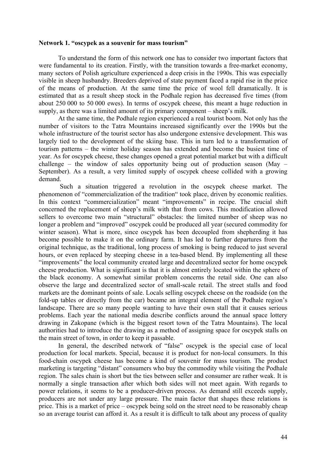### **Network 1. "oscypek as a souvenir for mass tourism"**

 To understand the form of this network one has to consider two important factors that were fundamental to its creation. Firstly, with the transition towards a free-market economy, many sectors of Polish agriculture experienced a deep crisis in the 1990s. This was especially visible in sheep husbandry. Breeders deprived of state payment faced a rapid rise in the price of the means of production. At the same time the price of wool fell dramatically. It is estimated that as a result sheep stock in the Podhale region has decreased five times (from about 250 000 to 50 000 ewes). In terms of oscypek cheese, this meant a huge reduction in supply, as there was a limited amount of its primary component – sheep's milk.

 At the same time, the Podhale region experienced a real tourist boom. Not only has the number of visitors to the Tatra Mountains increased significantly over the 1990s but the whole infrastructure of the tourist sector has also undergone extensive development. This was largely tied to the development of the skiing base. This in turn led to a transformation of tourism patterns – the winter holiday season has extended and become the busiest time of year. As for oscypek cheese, these changes opened a great potential market but with a difficult challenge – the window of sales opportunity being out of production season (May – September). As a result, a very limited supply of oscypek cheese collided with a growing demand.

 Such a situation triggered a revolution in the oscypek cheese market. The phenomenon of "commercialization of the tradition" took place, driven by economic realities. In this context "commercialization" meant "improvements" in recipe. The crucial shift concerned the replacement of sheep's milk with that from cows. This modification allowed sellers to overcome two main "structural" obstacles: the limited number of sheep was no longer a problem and "improved" oscypek could be produced all year (secured commodity for winter season). What is more, since oscypek has been decoupled from shepherding it has become possible to make it on the ordinary farm. It has led to further departures from the original technique, as the traditional, long process of smoking is being reduced to just several hours, or even replaced by steeping cheese in a tea-based blend. By implementing all these "improvements" the local community created large and decentralized sector for home oscypek cheese production. What is significant is that it is almost entirely located within the sphere of the black economy. A somewhat similar problem concerns the retail side. One can also observe the large and decentralized sector of small-scale retail. The street stalls and food markets are the dominant points of sale. Locals selling oscypek cheese on the roadside (on the fold-up tables or directly from the car) became an integral element of the Podhale region's landscape. There are so many people wanting to have their own stall that it causes serious problems. Each year the national media describe conflicts around the annual space lottery drawing in Zakopane (which is the biggest resort town of the Tatra Mountains). The local authorities had to introduce the drawing as a method of assigning space for oscypek stalls on the main street of town, in order to keep it passable.

 In general, the described network of "false" oscypek is the special case of local production for local markets. Special, because it is product for non-local consumers. In this food-chain oscypek cheese has become a kind of souvenir for mass tourism. The product marketing is targeting "distant" consumers who buy the commodity while visiting the Podhale region. The sales chain is short but the ties between seller and consumer are rather weak. It is normally a single transaction after which both sides will not meet again. With regards to power relations, it seems to be a producer-driven process. As demand still exceeds supply, producers are not under any large pressure. The main factor that shapes these relations is price. This is a market of price – oscypek being sold on the street need to be reasonably cheap so an average tourist can afford it. As a result it is difficult to talk about any process of quality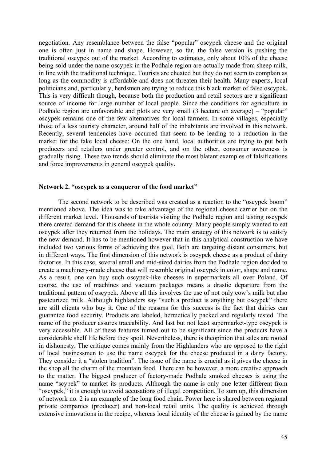negotiation. Any resemblance between the false "popular" oscypek cheese and the original one is often just in name and shape. However, so far, the false version is pushing the traditional oscypek out of the market. According to estimates, only about 10% of the cheese being sold under the name oscypek in the Podhale region are actually made from sheep milk, in line with the traditional technique. Tourists are cheated but they do not seem to complain as long as the commodity is affordable and does not threaten their health. Many experts, local politicians and, particularly, herdsmen are trying to reduce this black market of false oscypek. This is very difficult though, because both the production and retail sectors are a significant source of income for large number of local people. Since the conditions for agriculture in Podhale region are unfavorable and plots are very small (3 hectare on average) – "popular" oscypek remains one of the few alternatives for local farmers. In some villages, especially those of a less touristy character, around half of the inhabitants are involved in this network. Recently, several tendencies have occurred that seem to be leading to a reduction in the market for the fake local cheese: On the one hand, local authorities are trying to put both producers and retailers under greater control, and on the other, consumer awareness is gradually rising. These two trends should eliminate the most blatant examples of falsifications and force improvements in general oscypek quality.

### **Network 2. "oscypek as a conqueror of the food market"**

 The second network to be described was created as a reaction to the "oscypek boom" mentioned above. The idea was to take advantage of the regional cheese carrier but on the different market level. Thousands of tourists visiting the Podhale region and tasting oscypek there created demand for this cheese in the whole country. Many people simply wanted to eat oscypek after they returned from the holidays. The main strategy of this network is to satisfy the new demand. It has to be mentioned however that in this analytical construction we have included two various forms of achieving this goal. Both are targeting distant consumers, but in different ways. The first dimension of this network is oscypek cheese as a product of dairy factories. In this case, several small and mid-sized dairies from the Podhale region decided to create a machinery-made cheese that will resemble original oscypek in color, shape and name. As a result, one can buy such oscypek-like cheeses in supermarkets all over Poland. Of course, the use of machines and vacuum packages means a drastic departure from the traditional pattern of oscypek. Above all this involves the use of not only cow's milk but also pasteurized milk. Although highlanders say "such a product is anything but oscypek" there are still clients who buy it. One of the reasons for this success is the fact that dairies can guarantee food security. Products are labeled, hermetically packed and regularly tested. The name of the producer assures traceability. And last but not least supermarket-type oscypek is very accessible. All of these features turned out to be significant since the products have a considerable shelf life before they spoil. Nevertheless, there is theopinion that sales are rooted in dishonesty. The critique comes mainly from the Highlanders who are opposed to the right of local businessmen to use the name oscypek for the cheese produced in a dairy factory. They consider it a "stolen tradition". The issue of the name is crucial as it gives the cheese in the shop all the charm of the mountain food. There can be however, a more creative approach to the matter. The biggest producer of factory-made Podhale smoked cheeses is using the name "scypek" to market its products. Although the name is only one letter different from "oscypek," it is enough to avoid accusations of illegal competition. To sum up, this dimension of network no. 2 is an example of the long food chain. Power here is shared between regional private companies (producer) and non-local retail units. The quality is achieved through extensive innovations in the recipe, whereas local identity of the cheese is gained by the name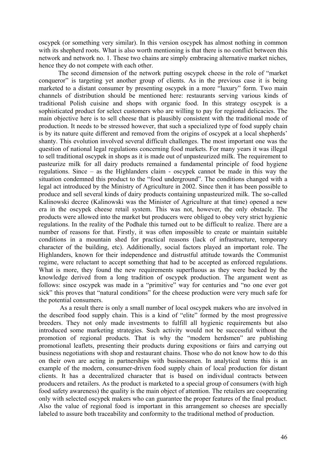oscypek (or something very similar). In this version oscypek has almost nothing in common with its shepherd roots. What is also worth mentioning is that there is no conflict between this network and network no. 1. These two chains are simply embracing alternative market niches, hence they do not compete with each other.

 The second dimension of the network putting oscypek cheese in the role of "market conqueror" is targeting yet another group of clients. As in the previous case it is being marketed to a distant consumer by presenting oscypek in a more "luxury" form. Two main channels of distribution should be mentioned here: restaurants serving various kinds of traditional Polish cuisine and shops with organic food. In this strategy oscypek is a sophisticated product for select customers who are willing to pay for regional delicacies. The main objective here is to sell cheese that is plausibly consistent with the traditional mode of production. It needs to be stressed however, that such a specialized type of food supply chain is by its nature quite different and removed from the origins of oscypek at a local shepherds' shanty. This evolution involved several difficult challenges. The most important one was the question of national legal regulations concerning food markets. For many years it was illegal to sell traditional oscypek in shops as it is made out of unpasteurized milk. The requirement to pasteurize milk for all dairy products remained a fundamental principle of food hygiene regulations. Since – as the Highlanders claim - oscypek cannot be made in this way the situation condemned this product to the "food underground". The conditions changed with a legal act introduced by the Ministry of Agriculture in 2002. Since then it has been possible to produce and sell several kinds of dairy products containing unpasteurized milk. The so-called Kalinowski decree (Kalinowski was the Minister of Agriculture at that time) opened a new era in the oscypek cheese retail system. This was not, however, the only obstacle. The products were allowed into the market but producers were obliged to obey very strict hygienic regulations. In the reality of the Podhale this turned out to be difficult to realize. There are a number of reasons for that. Firstly, it was often impossible to create or maintain suitable conditions in a mountain shed for practical reasons (lack of infrastructure, temporary character of the building, etc). Additionally, social factors played an important role. The Highlanders, known for their independence and distrustful attitude towards the Communist regime, were reluctant to accept something that had to be accepted as enforced regulations. What is more, they found the new requirements superfluous as they were backed by the knowledge derived from a long tradition of oscypek production. The argument went as follows: since oscypek was made in a "primitive" way for centuries and "no one ever got sick" this proves that "natural conditions" for the cheese production were very much safe for the potential consumers.

 As a result there is only a small number of local oscypek makers who are involved in the described food supply chain. This is a kind of "elite" formed by the most progressive breeders. They not only made investments to fulfill all hygienic requirements but also introduced some marketing strategies. Such activity would not be successful without the promotion of regional products. That is why the "modern herdsmen" are publishing promotional leaflets, presenting their products during expositions or fairs and carrying out business negotiations with shop and restaurant chains. Those who do not know how to do this on their own are acting in partnerships with businessmen. In analytical terms this is an example of the modern, consumer-driven food supply chain of local production for distant clients. It has a decentralized character that is based on individual contracts between producers and retailers. As the product is marketed to a special group of consumers (with high food safety awareness) the quality is the main object of attention. The retailers are cooperating only with selected oscypek makers who can guarantee the proper features of the final product. Also the value of regional food is important in this arrangement so cheeses are specially labeled to assure both traceability and conformity to the traditional method of production.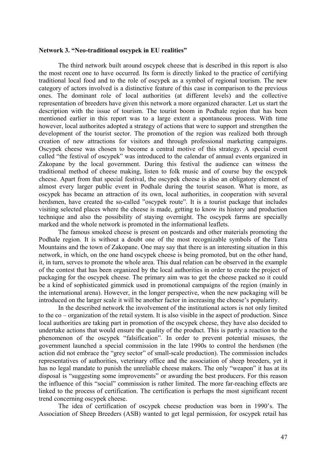#### **Network 3. "Neo-traditional oscypek in EU realities"**

 The third network built around oscypek cheese that is described in this report is also the most recent one to have occurred. Its form is directly linked to the practice of certifying traditional local food and to the role of oscypek as a symbol of regional tourism. The new category of actors involved is a distinctive feature of this case in comparison to the previous ones. The dominant role of local authorities (at different levels) and the collective representation of breeders have given this network a more organized character. Let us start the description with the issue of tourism. The tourist boom in Podhale region that has been mentioned earlier in this report was to a large extent a spontaneous process. With time however, local authorites adopted a strategy of actions that were to support and strengthen the development of the tourist sector. The promotion of the region was realized both through creation of new attractions for visitors and through professional marketing campaigns. Oscypek cheese was chosen to become a central motive of this strategy. A special event called "the festival of oscypek" was introduced to the calendar of annual events organized in Zakopane by the local government. During this festival the audience can witness the traditional method of cheese making, listen to folk music and of course buy the oscypek cheese. Apart from that special festival, the oscypek cheese is also an obligatory element of almost every larger public event in Podhale during the tourist season. What is more, as oscypek has became an attraction of its own, local authorities, in cooperation with several herdsmen, have created the so-called "oscypek route". It is a tourist package that includes visiting selected places where the cheese is made, getting to know its history and production technique and also the possibility of staying overnight. The oscypek farms are specially marked and the whole network is promoted in the informational leaflets.

 The famous smoked cheese is present on postcards and other materials promoting the Podhale region. It is without a doubt one of the most recognizable symbols of the Tatra Mountains and the town of Zakopane. One may say that there is an interesting situation in this network, in which, on the one hand oscypek cheese is being promoted, but on the other hand, it, in turn, serves to promote the whole area. This dual relation can be observed in the example of the contest that has been organized by the local authorities in order to create the project of packaging for the oscypek cheese. The primary aim was to get the cheese packed so it could be a kind of sophisticated gimmick used in promotional campaigns of the region (mainly in the international arena). However, in the longer perspective, when the new packaging will be introduced on the larger scale it will be another factor in increasing the cheese's popularity.

 In the described network the involvement of the institutional actors is not only limited to the co – organization of the retail system. It is also visible in the aspect of production. Since local authorities are taking part in promotion of the oscypek cheese, they have also decided to undertake actions that would ensure the quality of the product. This is partly a reaction to the phenomenon of the oscypek "falsification". In order to prevent potential misuses, the government launched a special commission in the late 1990s to control the herdsmen (the action did not embrace the "grey sector" of small-scale production). The commission includes representatives of authorities, veterinary office and the association of sheep breeders, yet it has no legal mandate to punish the unreliable cheese makers. The only "weapon" it has at its disposal is "suggesting some improvements" or awarding the best producers. For this reason the influence of this "social" commission is rather limited. The more far-reaching effects are linked to the process of certification. The certification is perhaps the most significant recent trend concerning oscypek cheese.

 The idea of certification of oscypek cheese production was born in 1990's. The Association of Sheep Breeders (ASB) wanted to get legal permission, for oscypek retail has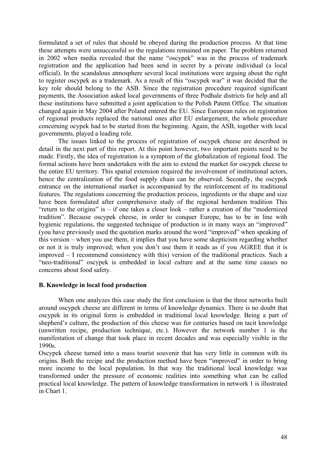formulated a set of rules that should be obeyed during the production process. At that time these attempts were unsuccessful so the regulations remained on paper. The problem returned in 2002 when media revealed that the name "oscypek" was in the process of trademark registration and the application had been send in secret by a private individual (a local official). In the scandalous atmosphere several local institutions were arguing about the right to register oscypek as a trademark. As a result of this "oscypek war" it was decided that the key role should belong to the ASB. Since the registration procedure required significant payments, the Association asked local governments of three Podhale districts for help and all these institutions have submitted a joint application to the Polish Patent Office. The situation changed again in May 2004 after Poland entered the EU. Since European rules on registration of regional products replaced the national ones after EU enlargement, the whole procedure concerning ocypek had to be started from the beginning. Again, the ASB, together with local governments, played a leading role.

 The issues linked to the process of registration of oscypek cheese are described in detail in the next part of this report. At this point however, two important points need to be made. Firstly, the idea of registration is a symptom of the globalization of regional food. The formal actions have been undertaken with the aim to extend the market for oscypek cheese to the entire EU territory. This spatial extension required the involvement of institutional actors, hence the centralization of the food supply chain can be observed. Secondly, the oscypek entrance on the international market is accompanied by the reinforcement of its traditional features. The regulations concerning the production process, ingredients or the shape and size have been formulated after comprehensive study of the regional herdsmen tradition This "return to the origins" is – if one takes a closer look – rather a creation of the "modernized tradition". Because oscypek cheese, in order to conquer Europe, has to be in line with hygienic regulations, the suggested technique of production is in many ways an "improved" (you have previously used the quotation marks around the word "improved" when speaking of this version – when you use them, it implies that you have some skepticism regarding whether or not it is truly improved; when you don't use them it reads as if you AGREE that it is improved – I recommend consistency with this) version of the traditional practices. Such a "neo-traditional" oscypek is embedded in local culture and at the same time causes no concerns about food safety.

## **B. Knowledge in local food production**

When one analyzes this case study the first conclusion is that the three networks built around oscypek cheese are different in terms of knowledge dynamics. There is no doubt that oscypek in its original form is embedded in traditional local knowledge. Being a part of shepherd's culture, the production of this cheese was for centuries based on tacit knowledge (unwritten recipe, production technique, etc.). However the network number 1 is the manifestation of change that took place in recent decades and was especially visible in the 1990s.

Oscypek cheese turned into a mass tourist souvenir that has very little in common with its origins. Both the recipe and the production method have been "improved" in order to bring more income to the local population. In that way the traditional local knowledge was transformed under the pressure of economic realities into something what can be called practical local knowledge. The pattern of knowledge transformation in network 1 is illustrated in Chart 1.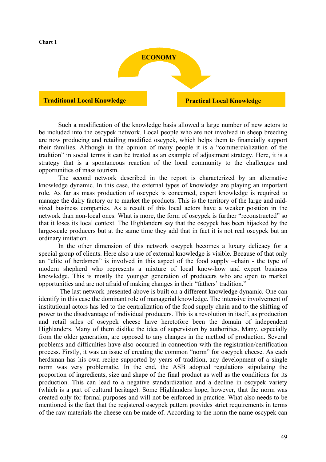

 Such a modification of the knowledge basis allowed a large number of new actors to be included into the oscypek network. Local people who are not involved in sheep breeding are now producing and retailing modified oscypek, which helps them to financially support their families. Although in the opinion of many people it is a "commercialization of the tradition" in social terms it can be treated as an example of adjustment strategy. Here, it is a strategy that is a spontaneous reaction of the local community to the challenges and opportunities of mass tourism.

 The second network described in the report is characterized by an alternative knowledge dynamic. In this case, the external types of knowledge are playing an important role. As far as mass production of oscypek is concerned, expert knowledge is required to manage the dairy factory or to market the products. This is the territory of the large and midsized business companies. As a result of this local actors have a weaker position in the network than non-local ones. What is more, the form of oscypek is further "reconstructed" so that it loses its local context. The Highlanders say that the oscypek has been hijacked by the large-scale producers but at the same time they add that in fact it is not real oscypek but an ordinary imitation.

 In the other dimension of this network oscypek becomes a luxury delicacy for a special group of clients. Here also a use of external knowledge is visible. Because of that only an "elite of herdsmen" is involved in this aspect of the food supply –chain - the type of modern shepherd who represents a mixture of local know-how and expert business knowledge. This is mostly the younger generation of producers who are open to market opportunities and are not afraid of making changes in their "fathers' tradition."

 The last network presented above is built on a different knowledge dynamic. One can identify in this case the dominant role of managerial knowledge. The intensive involvement of institutional actors has led to the centralization of the food supply chain and to the shifting of power to the disadvantage of individual producers. This is a revolution in itself, as production and retail sales of oscypek cheese have heretofore been the domain of independent Highlanders. Many of them dislike the idea of supervision by authorities. Many, especially from the older generation, are opposed to any changes in the method of production. Several problems and difficulties have also occurred in connection with the registration/certification process. Firstly, it was an issue of creating the common "norm" for oscypek cheese. As each herdsman has his own recipe supported by years of tradition, any development of a single norm was very problematic. In the end, the ASB adopted regulations stipulating the proportion of ingredients, size and shape of the final product as well as the conditions for its production. This can lead to a negative standardization and a decline in oscypek variety (which is a part of cultural heritage). Some Highlanders hope, however, that the norm was created only for formal purposes and will not be enforced in practice. What also needs to be mentioned is the fact that the registered oscypek pattern provides strict requirements in terms of the raw materials the cheese can be made of. According to the norm the name oscypek can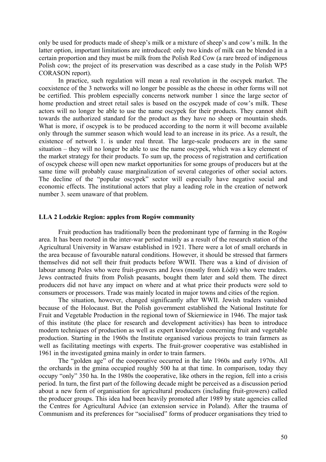only be used for products made of sheep's milk or a mixture of sheep's and cow's milk. In the latter option, important limitations are introduced: only two kinds of milk can be blended in a certain proportion and they must be milk from the Polish Red Cow (a rare breed of indigenous Polish cow; the project of its preservation was described as a case study in the Polish WP5 CORASON report).

 In practice, such regulation will mean a real revolution in the oscypek market. The coexistence of the 3 networks will no longer be possible as the cheese in other forms will not be certified. This problem especially concerns network number 1 since the large sector of home production and street retail sales is based on the oscypek made of cow's milk. These actors will no longer be able to use the name oscypek for their products. They cannot shift towards the authorized standard for the product as they have no sheep or mountain sheds. What is more, if oscypek is to be produced according to the norm it will become available only through the summer season which would lead to an increase in its price. As a result, the existence of network 1. is under real threat. The large-scale producers are in the same situation – they will no longer be able to use the name oscypek, which was a key element of the market strategy for their products. To sum up, the process of registration and certification of oscypek cheese will open new market opportunities for some groups of producers but at the same time will probably cause marginalization of several categories of other social actors. The decline of the "popular oscypek" sector will especially have negative social and economic effects. The institutional actors that play a leading role in the creation of network number 3. seem unaware of that problem.

### **LLA 2 Lodzkie Region: apples from Rogów community**

Fruit production has traditionally been the predominant type of farming in the Rogów area. It has been rooted in the inter-war period mainly as a result of the research station of the Agricultural University in Warsaw established in 1921. There were a lot of small orchards in the area because of favourable natural conditions. However, it should be stressed that farmers themselves did not sell their fruit products before WWII. There was a kind of division of labour among Poles who were fruit-growers and Jews (mostly from Łódź) who were traders. Jews contracted fruits from Polish peasants, bought them later and sold them. The direct producers did not have any impact on where and at what price their products were sold to consumers or processors. Trade was mainly located in major towns and cities of the region.

 The situation, however, changed significantly after WWII. Jewish traders vanished because of the Holocaust. But the Polish government established the National Institute for Fruit and Vegetable Production in the regional town of Skierniewice in 1946. The major task of this institute (the place for research and development activities) has been to introduce modern techniques of production as well as expert knowledge concerning fruit and vegetable production. Starting in the 1960s the Institute organised various projects to train farmers as well as facilitating meetings with experts. The fruit-grower cooperative was established in 1961 in the investigated gmina mainly in order to train farmers.

 The "golden age" of the cooperative occurred in the late 1960s and early 1970s. All the orchards in the gmina occupied roughly 500 ha at that time. In comparison, today they occupy "only" 350 ha. In the 1980s the cooperative, like others in the region, fell into a crisis period. In turn, the first part of the following decade might be perceived as a discussion period about a new form of organisation for agricultural producers (including fruit-growers) called the producer groups. This idea had been heavily promoted after 1989 by state agencies called the Centres for Agricultural Advice (an extension service in Poland). After the trauma of Communism and its preferences for "socialised" forms of producer organisations they tried to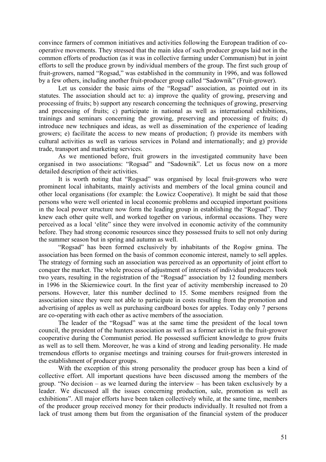convince farmers of common initiatives and activities following the European tradition of cooperative movements. They stressed that the main idea of such producer groups laid not in the common efforts of production (as it was in collective farming under Communism) but in joint efforts to sell the produce grown by individual members of the group. The first such group of fruit-growers, named "Rogsad," was established in the community in 1996, and was followed by a few others, including another fruit-producer group called "Sadownik" (Fruit-grower).

 Let us consider the basic aims of the "Rogsad" association, as pointed out in its statutes. The association should act to: a) improve the quality of growing, preserving and processing of fruits; b) support any research concerning the techniques of growing, preserving and processing of fruits; c) participate in national as well as international exhibitions, trainings and seminars concerning the growing, preserving and processing of fruits; d) introduce new techniques and ideas, as well as dissemination of the experience of leading growers; e) facilitate the access to new means of production; f) provide its members with cultural activities as well as various services in Poland and internationally; and g) provide trade, transport and marketing services.

As we mentioned before, fruit growers in the investigated community have been organised in two associations: "Rogsad" and "Sadownik". Let us focus now on a more detailed description of their activities.

It is worth noting that "Rogsad" was organised by local fruit-growers who were prominent local inhabitants, mainly activists and members of the local gmina council and other local organisations (for example: the Łowicz Cooperative). It might be said that those persons who were well oriented in local economic problems and occupied important positions in the local power structure now form the leading group in establishing the "Rogsad". They knew each other quite well, and worked together on various, informal occasions. They were perceived as a local 'elite" since they were involved in economic activity of the community before. They had strong economic resources since they possessed fruits to sell not only during the summer season but in spring and autumn as well.

"Rogsad" has been formed exclusively by inhabitants of the Rogów gmina. The association has been formed on the basis of common economic interest, namely to sell apples. The strategy of forming such an association was perceived as an opportunity of joint effort to conquer the market. The whole process of adjustment of interests of individual producers took two years, resulting in the registration of the "Rogsad" association by 12 founding members in 1996 in the Skierniewice court. In the first year of activity membership increased to 20 persons. However, later this number declined to 15. Some members resigned from the association since they were not able to participate in costs resulting from the promotion and advertising of apples as well as purchasing cardboard boxes for apples. Today only 7 persons are co-operating with each other as active members of the association.

The leader of the "Rogsad" was at the same time the president of the local town council, the president of the hunters association as well as a former activist in the fruit-grower cooperative during the Communist period. He possessed sufficient knowledge to grow fruits as well as to sell them. Moreover, he was a kind of strong and leading personality. He made tremendous efforts to organise meetings and training courses for fruit-growers interested in the establishment of producer groups.

With the exception of this strong personality the producer group has been a kind of collective effort. All important questions have been discussed among the members of the group. "No decision – as we learned during the interview – has been taken exclusively by a leader. We discussed all the issues concerning production, sale, promotion as well as exhibitions". All major efforts have been taken collectively while, at the same time, members of the producer group received money for their products individually. It resulted not from a lack of trust among them but from the organisation of the financial system of the producer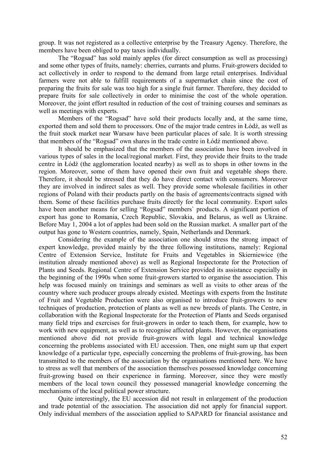group. It was not registered as a collective enterprise by the Treasury Agency. Therefore, the members have been obliged to pay taxes individually.

The "Rogsad" has sold mainly apples (for direct consumption as well as processing) and some other types of fruits, namely: cherries, currants and plums. Fruit-growers decided to act collectively in order to respond to the demand from large retail enterprises. Individual farmers were not able to fulfill requirements of a supermarket chain since the cost of preparing the fruits for sale was too high for a single fruit farmer. Therefore, they decided to prepare fruits for sale collectively in order to minimise the cost of the whole operation. Moreover, the joint effort resulted in reduction of the cost of training courses and seminars as well as meetings with experts.

Members of the "Rogsad" have sold their products locally and, at the same time, exported them and sold them to processors. One of the major trade centres in Łódź, as well as the fruit stock market near Warsaw have been particular places of sale. It is worth stressing that members of the "Rogsad" own shares in the trade centre in Łódź mentioned above.

It should be emphasized that the members of the association have been involved in various types of sales in the local/regional market. First, they provide their fruits to the trade centre in Łódź (the agglomeration located nearby) as well as to shops in other towns in the region. Moreover, some of them have opened their own fruit and vegetable shops there. Therefore, it should be stressed that they do have direct contact with consumers. Moreover they are involved in indirect sales as well. They provide some wholesale facilities in other regions of Poland with their products partly on the basis of agreements/contracts signed with them. Some of these facilities purchase fruits directly for the local community. Export sales have been another means for selling "Rogsad" members` products. A significant portion of export has gone to Romania, Czech Republic, Slovakia, and Belarus, as well as Ukraine. Before May 1, 2004 a lot of apples had been sold on the Russian market. A smaller part of the output has gone to Western countries, namely, Spain, Netherlands and Denmark.

Considering the example of the association one should stress the strong impact of expert knowledge, provided mainly by the three following institutions, namely: Regional Centre of Extension Service, Institute for Fruits and Vegetables in Skierniewice (the institution already mentioned above) as well as Regional Inspectorate for the Protection of Plants and Seeds. Regional Centre of Extension Service provided its assistance especially in the beginning of the 1990s when some fruit-growers started to organise the association. This help was focused mainly on trainings and seminars as well as visits to other areas of the country where such producer groups already existed. Meetings with experts from the Institute of Fruit and Vegetable Production were also organised to introduce fruit-growers to new techniques of production, protection of plants as well as new breeds of plants. The Centre, in collaboration with the Regional Inspectorate for the Protection of Plants and Seeds organised many field trips and exercises for fruit-growers in order to teach them, for example, how to work with new equipment, as well as to recognise affected plants. However, the organisations mentioned above did not provide fruit-growers with legal and technical knowledge concerning the problems associated with EU accession. Then, one might sum up that expert knowledge of a particular type, especially concerning the problems of fruit-growing, has been transmitted to the members of the association by the organisations mentioned here. We have to stress as well that members of the association themselves possessed knowledge concerning fruit-growing based on their experience in farming. Moreover, since they were mostly members of the local town council they possessed managerial knowledge concerning the mechanisms of the local political power structure.

Quite interestingly, the EU accession did not result in enlargement of the production and trade potential of the association. The association did not apply for financial support. Only individual members of the association applied to SAPARD for financial assistance and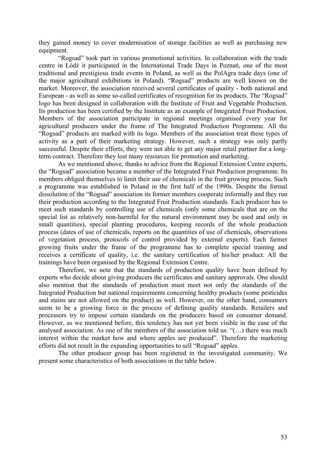they gained money to cover modernisation of storage facilities as well as purchasing new equipment.

"Rogsad" took part in various promotional activities. In collaboration with the trade centre in Łódź it participated in the International Trade Days in Poznań, one of the most traditional and prestigious trade events in Poland, as well as the PolAgra trade days (one of the major agricultural exhibitions in Poland). "Rogsad" products are well known on the market. Moreover, the association received several certificates of quality - both national and European - as well as some so-called certificates of recognition for its products. The "Rogsad" logo has been designed in collaboration with the Institute of Fruit and Vegetable Production. Its production has been certified by the Institute as an example of Integrated Fruit Production. Members of the association participate in regional meetings organised every year for agricultural producers under the frame of The Integrated Production Programme. All the "Rogsad" products are marked with its logo. Members of the association treat these types of activity as a part of their marketing strategy. However, such a strategy was only partly successful. Despite their efforts, they were not able to get any major retail partner for a longterm contract. Therefore they lost many resources for promotion and marketing.

As we mentioned above, thanks to advice from the Regional Extension Centre experts, the "Rogsad" association became a member of the Integrated Fruit Production programme. Its members obliged themselves to limit their use of chemicals in the fruit growing process. Such a programme was established in Poland in the first half of the 1990s. Despite the formal dissolution of the "Rogsad" association its former members cooperate informally and they run their production according to the Integrated Fruit Production standards. Each producer has to meet such standards by controlling use of chemicals (only some chemicals that are on the special list as relatively non-harmful for the natural environment may be used and only in small quantities), special planting procedures, keeping records of the whole production process (dates of use of chemicals, reports on the quantities of use of chemicals, observations of vegetation process, protocols of control provided by external experts). Each farmer growing fruits under the frame of the programme has to complete special training and receives a certificate of quality, i.e. the sanitary certification of his/her product. All the trainings have been organised by the Regional Extension Centre.

Therefore, we note that the standards of production quality have been defined by experts who decide about giving producers the certificates and sanitary approvals. One should also mention that the standards of production must meet not only the standards of the Integrated Production but national requirements concerning healthy products (some pesticides and stains are not allowed on the product) as well. However, on the other hand, consumers seem to be a growing force in the process of defining quality standards. Retailers and processors try to impose certain standards on the producers based on consumer demand. However, as we mentioned before, this tendency has not yet been visible in the case of the analysed association. As one of the members of the association told us: "(…) there was much interest within the market how and where apples are produced". Therefore the marketing efforts did not result in the expanding opportunities to sell "Rogsad" apples.

The other producer group has been registered in the investigated community. We present some characteristics of both associations in the table below.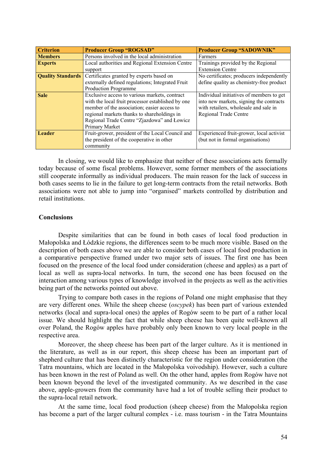| <b>Criterion</b>         | <b>Producer Group "ROGSAD"</b>                    | <b>Producer Group "SADOWNIK"</b>         |
|--------------------------|---------------------------------------------------|------------------------------------------|
| <b>Members</b>           | Persons involved in the local administration      | Farmers                                  |
| <b>Experts</b>           | Local authorities and Regional Extension Centre   | Trainings provided by the Regional       |
|                          | support                                           | <b>Extension Centre</b>                  |
| <b>Quality Standards</b> | Certificates granted by experts based on          | No certificates; producers independently |
|                          | externally defined regulations; Integrated Fruit  | define quality as chemistry-free product |
|                          | <b>Production Programme</b>                       |                                          |
| <b>Sale</b>              | Exclusive access to various markets, contract     | Individual initiatives of members to get |
|                          | with the local fruit processor established by one | into new markets, signing the contracts  |
|                          | member of the association; easier access to       | with retailers, wholesale and sale in    |
|                          | regional markets thanks to shareholdings in       | <b>Regional Trade Centre</b>             |
|                          | Regional Trade Centre "Zjazdowa" and Łowicz       |                                          |
|                          | Primary Market                                    |                                          |
| Leader                   | Fruit-grower, president of the Local Council and  | Experienced fruit-grower, local activist |
|                          | the president of the cooperative in other         | (but not in formal organisations)        |
|                          | community                                         |                                          |

In closing, we would like to emphasize that neither of these associations acts formally today because of some fiscal problems. However, some former members of the associations still cooperate informally as individual producers. The main reason for the lack of success in both cases seems to lie in the failure to get long-term contracts from the retail networks. Both associations were not able to jump into "organised" markets controlled by distribution and retail institutions.

## **Conclusions**

 Despite similarities that can be found in both cases of local food production in Małopolska and Łódzkie regions, the differences seem to be much more visible. Based on the description of both cases above we are able to consider both cases of local food production in a comparative perspective framed under two major sets of issues. The first one has been focused on the presence of the local food under consideration (cheese and apples) as a part of local as well as supra-local networks. In turn, the second one has been focused on the interaction among various types of knowledge involved in the projects as well as the activities being part of the networks pointed out above.

 Trying to compare both cases in the regions of Poland one might emphasise that they are very different ones. While the sheep cheese (*oscypek*) has been part of various extended networks (local and supra-local ones) the apples of Rogów seem to be part of a rather local issue. We should highlight the fact that while sheep cheese has been quite well-known all over Poland, the Rogów apples have probably only been known to very local people in the respective area.

Moreover, the sheep cheese has been part of the larger culture. As it is mentioned in the literature, as well as in our report, this sheep cheese has been an important part of shepherd culture that has been distinctly characteristic for the region under consideration (the Tatra mountains, which are located in the Małopolska voivodship). However, such a culture has been known in the rest of Poland as well. On the other hand, apples from Rogów have not been known beyond the level of the investigated community. As we described in the case above, apple-growers from the community have had a lot of trouble selling their product to the supra-local retail network.

At the same time, local food production (sheep cheese) from the Małopolska region has become a part of the larger cultural complex - i.e. mass tourism - in the Tatra Mountains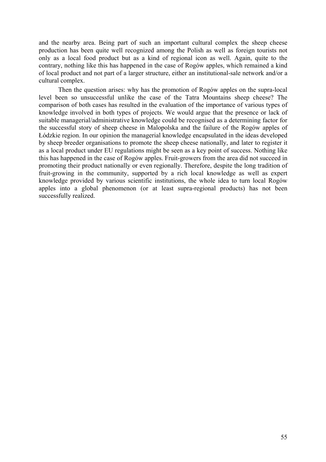and the nearby area. Being part of such an important cultural complex the sheep cheese production has been quite well recognized among the Polish as well as foreign tourists not only as a local food product but as a kind of regional icon as well. Again, quite to the contrary, nothing like this has happened in the case of Rogów apples, which remained a kind of local product and not part of a larger structure, either an institutional-sale network and/or a cultural complex.

Then the question arises: why has the promotion of Rogów apples on the supra-local level been so unsuccessful unlike the case of the Tatra Mountains sheep cheese? The comparison of both cases has resulted in the evaluation of the importance of various types of knowledge involved in both types of projects. We would argue that the presence or lack of suitable managerial/administrative knowledge could be recognised as a determining factor for the successful story of sheep cheese in Malopolska and the failure of the Rogów apples of Łódzkie region. In our opinion the managerial knowledge encapsulated in the ideas developed by sheep breeder organisations to promote the sheep cheese nationally, and later to register it as a local product under EU regulations might be seen as a key point of success. Nothing like this has happened in the case of Rogów apples. Fruit-growers from the area did not succeed in promoting their product nationally or even regionally. Therefore, despite the long tradition of fruit-growing in the community, supported by a rich local knowledge as well as expert knowledge provided by various scientific institutions, the whole idea to turn local Rogów apples into a global phenomenon (or at least supra-regional products) has not been successfully realized.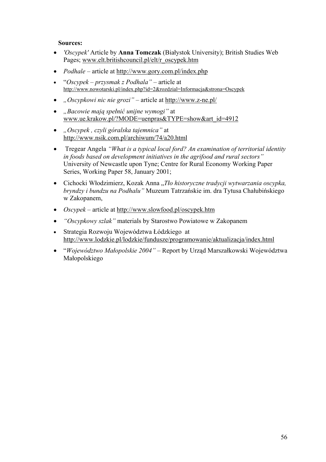## **Sources:**

- *'Oscypek'* Article by **Anna Tomczak** (Białystok University); British Studies Web Pages; [www.elt.britishcouncil.pl/elt/r\\_oscypek.htm](http://www.elt.britishcouncil.pl/elt/r_oscypek.htm)
- *Podhale* article at <u><http://www.gory.com.pl/index.php></u>
- "*Oscypek przysmak z Podhala"* article at <http://www.nowotarski.pl/index.php?id=2&rozdzial=Informacja&strona=Oscypek>
- *"Oscypkowi nic nie grozi"* article at <http://www.z-ne.pl/>
- *"Bacowie mają spełnić unijne wymogi"* at [www.ue.krakow.pl/?MODE=uenpras&TYPE=show&art\\_id=4912](http://www.ue.krakow.pl/?MODE=uenpras&TYPE=show&art_id=4912)
- *"Oscypek , czyli góralska tajemnica"* at <http://www.nsik.com.pl/archiwum/74/a20.html>
- Tregear Angela *"What is a typical local ford? An examination of territorial identity in foods based on development initiatives in the agrifood and rural sectors"* University of Newcastle upon Tyne; Centre for Rural Economy Working Paper Series, Working Paper 58, January 2001;
- Cichocki Włodzimierz, Kozak Anna "*Tło historyczne tradycji wytwarzania oscypka, bryndzy i bundzu na Podhalu"* Muzeum Tatrzańskie im. dra Tytusa Chałubińskiego w Zakopanem,
- *Oscypek* article at<http://www.slowfood.pl/oscypek.htm>
- *"Oscypkowy szlak"* materials by Starostwo Powiatowe w Zakopanem
- Strategia Rozwoju Województwa Łódzkiego at <http://www.lodzkie.pl/lodzkie/fundusze/programowanie/aktualizacja/index.html>
- "*Województwo Małopolskie 2004"* Report by Urząd Marszałkowski Województwa Małopolskiego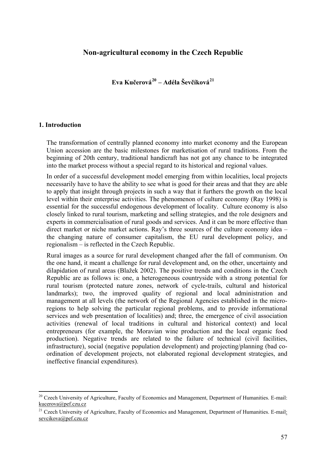# **Non-agricultural economy in the Czech Republic**

**Eva Kučerová[20](#page-56-0) – Adéla Ševčíková[21](#page-56-1)**

## **1. Introduction**

1

The transformation of centrally planned economy into market economy and the European Union accession are the basic milestones for marketisation of rural traditions. From the beginning of 20th century, traditional handicraft has not got any chance to be integrated into the market process without a special regard to its historical and regional values.

In order of a successful development model emerging from within localities, local projects necessarily have to have the ability to see what is good for their areas and that they are able to apply that insight through projects in such a way that it furthers the growth on the local level within their enterprise activities. The phenomenon of culture economy (Ray 1998) is essential for the successful endogenous development of locality. Culture economy is also closely linked to rural tourism, marketing and selling strategies, and the role designers and experts in commercialisation of rural goods and services. And it can be more effective than direct market or niche market actions. Ray's three sources of the culture economy idea – the changing nature of consumer capitalism, the EU rural development policy, and regionalism – is reflected in the Czech Republic.

Rural images as a source for rural development changed after the fall of communism. On the one hand, it meant a challenge for rural development and, on the other, uncertainty and dilapidation of rural areas (Blažek 2002). The positive trends and conditions in the Czech Republic are as follows is: one, a heterogeneous countryside with a strong potential for rural tourism (protected nature zones, network of cycle-trails, cultural and historical landmarks); two, the improved quality of regional and local administration and management at all levels (the network of the Regional Agencies established in the microregions to help solving the particular regional problems, and to provide informational services and web presentation of localities) and; three, the emergence of civil association activities (renewal of local traditions in cultural and historical context) and local entrepreneurs (for example, the Moravian wine production and the local organic food production). Negative trends are related to the failure of technical (civil facilities, infrastructure), social (negative population development) and projecting/planning (bad coordination of development projects, not elaborated regional development strategies, and ineffective financial expenditures).

<span id="page-56-0"></span> $20$  Czech University of Agriculture, Faculty of Economics and Management, Department of Humanities. E-mail: [kucerova@pef.czu.cz](mailto:kucerova@pef.czu.cz)

<span id="page-56-1"></span><sup>&</sup>lt;sup>21</sup> Czech University of Agriculture, Faculty of Economics and Management, Department of Humanities. E-mail: sevcikova@pef.czu.cz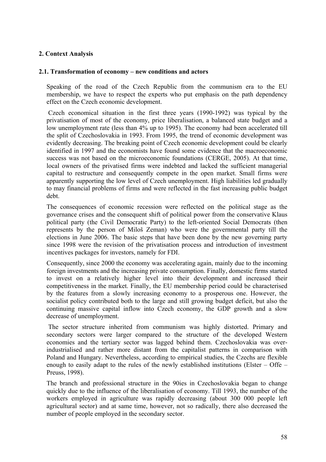## **2. Context Analysis**

## **2.1. Transformation of economy – new conditions and actors**

Speaking of the road of the Czech Republic from the communism era to the EU membership, we have to respect the experts who put emphasis on the path dependency effect on the Czech economic development.

 Czech economical situation in the first three years (1990-1992) was typical by the privatisation of most of the economy, price liberalisation, a balanced state budget and a low unemployment rate (less than 4% up to 1995). The economy had been accelerated till the split of Czechoslovakia in 1993. From 1995, the trend of economic development was evidently decreasing. The breaking point of Czech economic development could be clearly identified in 1997 and the economists have found some evidence that the macroeconomic success was not based on the microeconomic foundations (CERGE, 2005). At that time, local owners of the privatised firms were indebted and lacked the sufficient managerial capital to restructure and consequently compete in the open market. Small firms were apparently supporting the low level of Czech unemployment. High liabilities led gradually to may financial problems of firms and were reflected in the fast increasing public budget debt.

The consequences of economic recession were reflected on the political stage as the governance crises and the consequent shift of political power from the conservative Klaus political party (the Civil Democratic Party) to the left-oriented Social Democrats (then represents by the person of Miloš Zeman) who were the governmental party till the elections in June 2006. The basic steps that have been done by the new governing party since 1998 were the revision of the privatisation process and introduction of investment incentives packages for investors, namely for FDI.

Consequently, since 2000 the economy was accelerating again, mainly due to the incoming foreign investments and the increasing private consumption. Finally, domestic firms started to invest on a relatively higher level into their development and increased their competitiveness in the market. Finally, the EU membership period could be characterised by the features from a slowly increasing economy to a prosperous one. However, the socialist policy contributed both to the large and still growing budget deficit, but also the continuing massive capital inflow into Czech economy, the GDP growth and a slow decrease of unemployment.

 The sector structure inherited from communism was highly distorted. Primary and secondary sectors were larger compared to the structure of the developed Western economies and the tertiary sector was lagged behind them. Czechoslovakia was overindustrialised and rather more distant from the capitalist patterns in comparison with Poland and Hungary. Nevertheless, according to empirical studies, the Czechs are flexible enough to easily adapt to the rules of the newly established institutions (Elster – Offe – Preuss, 1998).

The branch and professional structure in the 90ies in Czechoslovakia began to change quickly due to the influence of the liberalisation of economy. Till 1993, the number of the workers employed in agriculture was rapidly decreasing (about 300 000 people left agricultural sector) and at same time, however, not so radically, there also decreased the number of people employed in the secondary sector.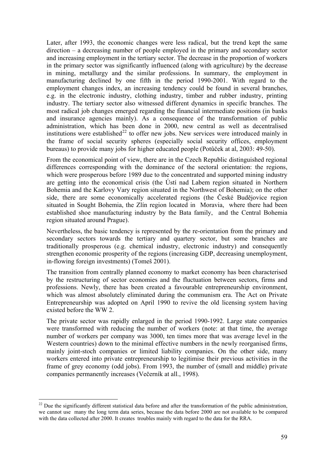Later, after 1993, the economic changes were less radical, but the trend kept the same direction – a decreasing number of people employed in the primary and secondary sector and increasing employment in the tertiary sector. The decrease in the proportion of workers in the primary sector was significantly influenced (along with agriculture) by the decrease in mining, metallurgy and the similar professions. In summary, the employment in manufacturing declined by one fifth in the period 1990-2001. With regard to the employment changes index, an increasing tendency could be found in several branches, e.g. in the electronic industry, clothing industry, timber and rubber industry, printing industry. The tertiary sector also witnessed different dynamics in specific branches. The most radical job changes emerged regarding the financial intermediate positions (in banks and insurance agencies mainly). As a consequence of the transformation of public administration, which has been done in 2000, new central as well as decentralised institutions were established<sup>[22](#page-58-0)</sup> to offer new jobs. New services were introduced mainly in the frame of social security spheres (especially social security offices, employment bureaus) to provide many jobs for higher educated people (Potůček at al, 2003: 49-50).

From the economical point of view, there are in the Czech Republic distinguished regional differences corresponding with the dominance of the sectoral orientation: the regions, which were prosperous before 1989 due to the concentrated and supported mining industry are getting into the economical crisis (the Ústí nad Labem region situated in Northern Bohemia and the Karlovy Vary region situated in the Northwest of Bohemia); on the other side, there are some economically accelerated regions (the České Budějovice region situated in Sought Bohemia, the Zlín region located in Moravia, where there had been established shoe manufacturing industry by the Bata family, and the Central Bohemia region situated around Prague).

Nevertheless, the basic tendency is represented by the re-orientation from the primary and secondary sectors towards the tertiary and quartery sector, but some branches are traditionally prosperous (e.g. chemical industry, electronic industry) and consequently strengthen economic prosperity of the regions (increasing GDP, decreasing unemployment, in-flowing foreign investments) (Tomeš 2001).

The transition from centrally planned economy to market economy has been characterised by the restructuring of sector economies and the fluctuation between sectors, firms and professions. Newly, there has been created a favourable entrepreneurship environment, which was almost absolutely eliminated during the communism era. The Act on Private Entrepreneurship was adopted on April 1990 to revive the old licensing system having existed before the WW 2.

The private sector was rapidly enlarged in the period 1990-1992. Large state companies were transformed with reducing the number of workers (note: at that time, the average number of workers per company was 3000, ten times more that was average level in the Western countries) down to the minimal effective numbers in the newly reorganised firms, mainly joint-stoch companies or limited liability companies. On the other side, many workers entered into private entrepreneurship to legitimise their previous activities in the frame of grey economy (odd jobs). From 1993, the number of (small and middle) private companies permanently increases (Večerník at all., 1998).

1

<span id="page-58-0"></span> $^{22}$  Due the significantly different statistical data before and after the transformation of the public administration, we cannot use many the long term data series, because the data before 2000 are not available to be compared with the data collected after 2000. It creates troubles mainly with regard to the data for the RRA.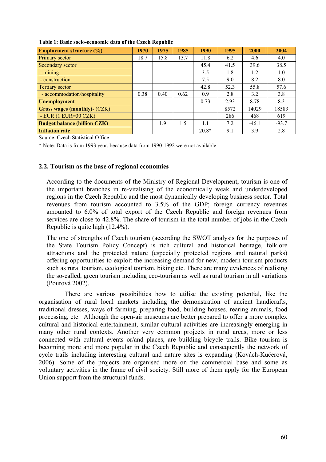| <b>Employment structure (%)</b>     | 1970 | 1975 | 1985 | 1990    | 1995 | 2000    | 2004    |
|-------------------------------------|------|------|------|---------|------|---------|---------|
| Primary sector                      | 18.7 | 15.8 | 13.7 | 11.8    | 6.2  | 4.6     | 4.0     |
| <b>Secondary sector</b>             |      |      |      | 45.4    | 41.5 | 39.6    | 38.5    |
| - mining                            |      |      |      | 3.5     | 1.8  | 1.2     | 1.0     |
| - construction                      |      |      |      | 7.5     | 9.0  | 8.2     | 8.0     |
| Tertiary sector                     |      |      |      | 42.8    | 52.3 | 55.8    | 57.6    |
| - accommodation/hospitality         | 0.38 | 0.40 | 0.62 | 0.9     | 2.8  | 3.2     | 3.8     |
| <b>Unemployment</b>                 |      |      |      | 0.73    | 2.93 | 8.78    | 8.3     |
| <b>Gross wages (monthly)- (CZK)</b> |      |      |      |         | 8572 | 14029   | 18583   |
| $-EUR(1 EUR=30 CZK)$                |      |      |      |         | 286  | 468     | 619     |
| <b>Budget balance (billion CZK)</b> |      | 1.9  | 1.5  | 1.1     | 7.2  | $-46.1$ | $-93.7$ |
| <b>Inflation rate</b>               |      |      |      | $20.8*$ | 9.1  | 3.9     | 2.8     |

**Table 1: Basic socio-economic data of the Czech Republic** 

Source: Czech Statistical Office

\* Note: Data is from 1993 year, because data from 1990-1992 were not available.

## **2.2. Tourism as the base of regional economies**

According to the documents of the Ministry of Regional Development, tourism is one of the important branches in re-vitalising of the economically weak and underdeveloped regions in the Czech Republic and the most dynamically developing business sector. Total revenues from tourism accounted to 3.5% of the GDP; foreign currency revenues amounted to 6.0% of total export of the Czech Republic and foreign revenues from services are close to 42.8%. The share of tourism in the total number of jobs in the Czech Republic is quite high (12.4%).

The one of strengths of Czech tourism (according the SWOT analysis for the purposes of the State Tourism Policy Concept) is rich cultural and historical heritage, folklore attractions and the protected nature (especially protected regions and natural parks) offering opportunities to exploit the increasing demand for new, modern tourism products such as rural tourism, ecological tourism, biking etc. There are many evidences of realising the so-called, green tourism including eco-tourism as well as rural tourism in all variations (Pourová 2002).

 There are various possibilities how to utilise the existing potential, like the organisation of rural local markets including the demonstration of ancient handicrafts, traditional dresses, ways of farming, preparing food, building houses, rearing animals, food processing, etc. Although the open-air museums are better prepared to offer a more complex cultural and historical entertainment, similar cultural activities are increasingly emerging in many other rural contexts. Another very common projects in rural areas, more or less connected with cultural events or/and places, are building bicycle trails. Bike tourism is becoming more and more popular in the Czech Republic and consequently the network of cycle trails including interesting cultural and nature sites is expanding (Kovách-Kučerová, 2006). Some of the projects are organised more on the commercial base and some as voluntary activities in the frame of civil society. Still more of them apply for the European Union support from the structural funds.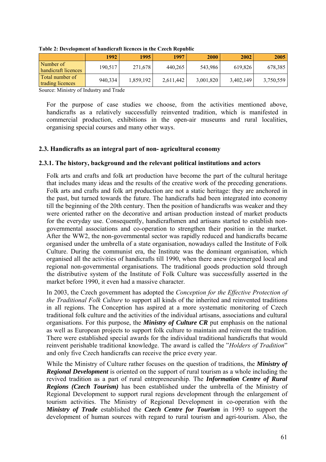|                                     | 1992    | 1995      | 1997      | 2000      | 2002      | <b>2005</b> |
|-------------------------------------|---------|-----------|-----------|-----------|-----------|-------------|
| Number of<br>handicraft licences    | 190,517 | 271,678   | 440,265   | 543,986   | 619,826   | 678,385     |
| Total number of<br>trading licences | 940,334 | 1,859,192 | 2,611,442 | 3,001,820 | 3,402,149 | 3,750,559   |

**Table 2: Development of handicraft licences in the Czech Republic** 

Source: Ministry of Industry and Trade

For the purpose of case studies we choose, from the activities mentioned above, handicrafts as a relatively successfully reinvented tradition, which is manifested in commercial production, exhibitions in the open-air museums and rural localities, organising special courses and many other ways.

## **2.3. Handicrafts as an integral part of non- agricultural economy**

## **2.3.1. The history, background and the relevant political institutions and actors**

Folk arts and crafts and folk art production have become the part of the cultural heritage that includes many ideas and the results of the creative work of the preceding generations. Folk arts and crafts and folk art production are not a static heritage: they are anchored in the past, but turned towards the future. The handicrafts had been integrated into economy till the beginning of the 20th century. Then the position of handicrafts was weaker and they were oriented rather on the decorative and artisan production instead of market products for the everyday use. Consequently, handicraftsmen and artisans started to establish nongovernmental associations and co-operation to strengthen their position in the market. After the WW2, the non-governmental sector was rapidly reduced and handicrafts became organised under the umbrella of a state organisation, nowadays called the Institute of Folk Culture. During the communist era, the Institute was the dominant organisation, which organised all the activities of handicrafts till 1990, when there anew (re)emerged local and regional non-governmental organisations. The traditional goods production sold through the distributive system of the Institute of Folk Culture was successfully asserted in the market before 1990, it even had a massive character.

In 2003, the Czech government has adopted the *Conception for the Effective Protection of the Traditional Folk Culture* to support all kinds of the inherited and reinvented traditions in all regions. The Conception has aspired at a more systematic monitoring of Czech traditional folk culture and the activities of the individual artisans, associations and cultural organisations. For this purpose, the *Ministry of Culture CR* put emphasis on the national as well as European projects to support folk culture to maintain and reinvent the tradition. There were established special awards for the individual traditional handicrafts that would reinvent perishable traditional knowledge. The award is called the "*Holders of Tradition*" and only five Czech handicrafts can receive the price every year.

While the Ministry of Culture rather focuses on the question of traditions, the *Ministry of Regional Development* is oriented on the support of rural tourism as a whole including the revived tradition as a part of rural entrepreneurship. The *Information Centre of Rural Regions (Czech Tourism)* has been established under the umbrella of the Ministry of Regional Development to support rural regions development through the enlargement of tourism activities. The Ministry of Regional Development in co-operation with the *Ministry of Trade* established the *Czech Centre for Tourism* in 1993 to support the development of human sources with regard to rural tourism and agri-tourism. Also, the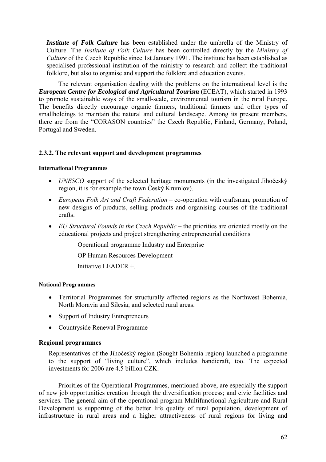*Institute of Folk Culture* has been established under the umbrella of the Ministry of Culture. The *Institute of Folk Culture* has been controlled directly by the *Ministry of Culture* of the Czech Republic since 1st January 1991. The institute has been established as specialised professional institution of the ministry to research and collect the traditional folklore, but also to organise and support the folklore and education events.

The relevant organisation dealing with the problems on the international level is the *European Centre for Ecological and Agricultural Tourism (ECEAT), which started in 1993* to promote sustainable ways of the small-scale, environmental tourism in the rural Europe. The benefits directly encourage organic farmers, traditional farmers and other types of smallholdings to maintain the natural and cultural landscape. Among its present members, there are from the "CORASON countries" the Czech Republic, Finland, Germany, Poland, Portugal and Sweden.

## **2.3.2. The relevant support and development programmes**

### **International Programmes**

- *UNESCO* support of the selected heritage monuments (in the investigated Jihočeský region, it is for example the town Český Krumlov).
- *European Folk Art and Craft Federation* co-operation with craftsman, promotion of new designs of products, selling products and organising courses of the traditional crafts.
- *EU Structural Founds in the Czech Republic* the priorities are oriented mostly on the educational projects and project strengthening entrepreneurial conditions

Operational programme Industry and Enterprise

OP Human Resources Development

Initiative LEADER +.

## **National Programmes**

- Territorial Programmes for structurally affected regions as the Northwest Bohemia, North Moravia and Silesia; and selected rural areas.
- Support of Industry Entrepreneurs
- Countryside Renewal Programme

## **Regional programmes**

Representatives of the Jihočeský region (Sought Bohemia region) launched a programme to the support of "living culture", which includes handicraft, too. The expected investments for 2006 are 4.5 billion CZK.

Priorities of the Operational Programmes, mentioned above, are especially the support of new job opportunities creation through the diversification process; and civic facilities and services. The general aim of the operational program Multifunctional Agriculture and Rural Development is supporting of the better life quality of rural population, development of infrastructure in rural areas and a higher attractiveness of rural regions for living and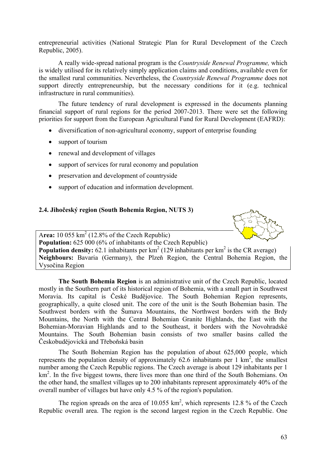entrepreneurial activities (National Strategic Plan for Rural Development of the Czech Republic, 2005).

A really wide-spread national program is the *Countryside Renewal Programme,* which is widely utilised for its relatively simply application claims and conditions, available even for the smallest rural communities. Nevertheless, the *Countryside Renewal Programme* does not support directly entrepreneurship, but the necessary conditions for it (e.g. technical infrastructure in rural communities).

The future tendency of rural development is expressed in the documents planning financial support of rural regions for the period 2007-2013. There were set the following priorities for support from the European Agricultural Fund for Rural Development (EAFRD):

- diversification of non-agricultural economy, support of enterprise founding
- support of tourism
- renewal and development of villages
- support of services for rural economy and population
- preservation and development of countryside
- support of education and information development.

## **2.4. Jihočeský region (South Bohemia Region, NUTS 3)**



Area:  $10\,055\,\mathrm{km}^2$  (12.8% of the Czech Republic) **Population:** 625 000 (6% of inhabitants of the Czech Republic) **Population density:** 62.1 inhabitants per  $km^2$  (129 inhabitants per  $km^2$  is the CR average) **Neighbours:** Bavaria (Germany), the Plzeň Region, the Central Bohemia Region, the Vysočina Region

**The South Bohemia Region** is an administrative unit of the Czech Republic, located mostly in the Southern part of its historical region of Bohemia, with a small part in Southwest Moravia. Its capital is České Budějovice. The South Bohemian Region represents, geographically, a quite closed unit. The core of the unit is the South Bohemian basin. The Southwest borders with the Šumava Mountains, the Northwest borders with the Brdy Mountains, the North with the Central Bohemian Granite Highlands, the East with the Bohemian-Moravian Highlands and to the Southeast, it borders with the Novohradské Mountains. The South Bohemian basin consists of two smaller basins called the Českobudějovická and Třeboňská basin

The South Bohemian Region has the population of about 625,000 people, which represents the population density of approximately 62.6 inhabitants per  $1 \text{ km}^2$ , the smallest number among the Czech Republic regions. The Czech average is about 129 inhabitants per 1 km<sup>2</sup>. In the five biggest towns, there lives more than one third of the South Bohemians. On the other hand, the smallest villages up to 200 inhabitants represent approximately 40% of the overall number of villages but have only 4.5 % of the region's population.

The region spreads on the area of 10.055  $km^2$ , which represents 12.8 % of the Czech Republic overall area. The region is the second largest region in the Czech Republic. One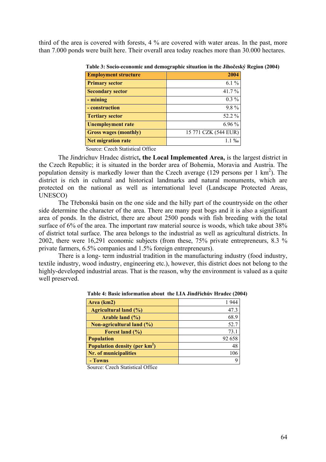third of the area is covered with forests, 4 % are covered with water areas. In the past, more than 7.000 ponds were built here. Their overall area today reaches more than 30.000 hectares.

| <b>Employment structure</b>  | 2004                 |
|------------------------------|----------------------|
| <b>Primary sector</b>        | $6.1\%$              |
| <b>Secondary sector</b>      | $41.7\%$             |
| - mining                     | $0.3\%$              |
| - construction               | $9.8\%$              |
| <b>Tertiary sector</b>       | 52.2 %               |
| <b>Unemployment rate</b>     | $6.96\%$             |
| <b>Gross wages (monthly)</b> | 15 771 CZK (544 EUR) |
| <b>Net migration rate</b>    | $1.1\%$              |

 **Table 3: Socio-economic and demographic situation in the Jihočeský Region (2004)** 

Source: Czech Statistical Office

The Jindrichuv Hradec district**, the Local Implemented Area,** is the largest district in the Czech Republic; it is situated in the border area of Bohemia, Moravia and Austria. The population density is markedly lower than the Czech average  $(129)$  persons per 1 km<sup>2</sup>). The district is rich in cultural and historical landmarks and natural monuments, which are protected on the national as well as international level (Landscape Protected Areas, UNESCO)

The Třebonská basin on the one side and the hilly part of the countryside on the other side determine the character of the area. There are many peat bogs and it is also a significant area of ponds. In the district, there are about 2500 ponds with fish breeding with the total surface of 6% of the area. The important raw material source is woods, which take about 38% of district total surface. The area belongs to the industrial as well as agricultural districts. In 2002, there were 16,291 economic subjects (from these, 75% private entrepreneurs, 8.3 % private farmers, 6.5% companies and 1.5% foreign entrepreneurs).

There is a long- term industrial tradition in the manufacturing industry (food industry, textile industry, wood industry, engineering etc.), however, this district does not belong to the highly-developed industrial areas. That is the reason, why the environment is valued as a quite well preserved.

| Area (km2)                                | 1944   |
|-------------------------------------------|--------|
| <b>Agricultural land (%)</b>              | 47.3   |
| Arable land (%)                           | 68.9   |
| <b>Non-agricultural land (%)</b>          | 52.7   |
| Forest land $(\% )$                       | 73.1   |
| <b>Population</b>                         | 92 658 |
| Population density (per km <sup>2</sup> ) | 48     |
| <b>Nr. of municipalities</b>              | 106    |
| - Towns                                   | q      |

 **Table 4: Basic information about the LIA Jindřichův Hradec (2004)** 

Source: Czech Statistical Office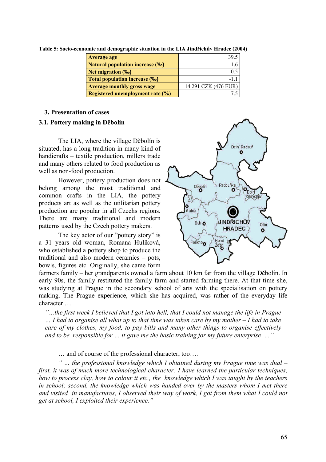| <b>Average age</b>                     | 39.5                 |
|----------------------------------------|----------------------|
| <b>Natural population increase (%)</b> | $-1.6$               |
| Net migration (‰)                      | 0.5                  |
| <b>Total population increase (%o)</b>  | $-11$                |
| <b>Average monthly gross wage</b>      | 14 291 CZK (476 EUR) |
| Registered unemployment rate (%)       |                      |

**Table 5: Socio-economic and demographic situation in the LIA Jindřichův Hradec (2004)** 

## **3. Presentation of cases**

## **3.1. Pottery making in Děbolín**

The LIA, where the village Děbolín is situated, has a long tradition in many kind of handicrafts – textile production, millers trade and many others related to food production as well as non-food production.

However, pottery production does not belong among the most traditional and common crafts in the LIA, the pottery products art as well as the utilitarian pottery production are popular in all Czechs regions. There are many traditional and modern patterns used by the Czech pottery makers.

The key actor of our "pottery story" is a 31 years old woman, Romana Hulíková, who established a pottery shop to produce the traditional and also modern ceramics – pots, bowls, figures etc. Originally, she came form



farmers family – her grandparents owned a farm about 10 km far from the village Děbolín. In early 90s, the family restituted the family farm and started farming there. At that time she, was studying at Prague in the secondary school of arts with the specialisation on pottery making. The Prague experience, which she has acquired, was rather of the everyday life character …

*"…the first week I believed that I got into hell, that I could not manage the life in Prague … I had to organise all what up to that time was taken care by my mother – I had to take care of my clothes, my food, to pay bills and many other things to organise effectively and to be responsible for … it gave me the basic training for my future enterprise …"* 

… and of course of the professional character, too….

*" … the professional knowledge which I obtained during my Prague time was dual – first, it was of much more technological character: I have learned the particular techniques, how to process clay, how to colour it etc., the knowledge which I was taught by the teachers in school; second, the knowledge which was handed over by the masters whom I met there and visited in manufactures, I observed their way of work, I got from them what I could not get at school, I exploited their experience."*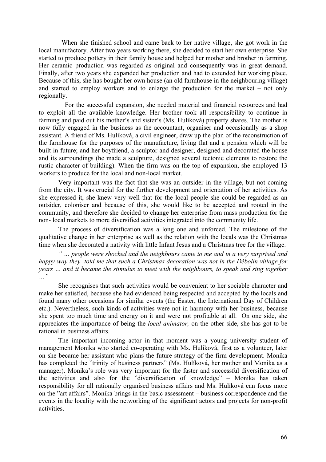When she finished school and came back to her native village, she got work in the local manufactory. After two years working there, she decided to start her own enterprise. She started to produce pottery in their family house and helped her mother and brother in farming. Her ceramic production was regarded as original and consequently was in great demand. Finally, after two years she expanded her production and had to extended her working place. Because of this, she has bought her own house (an old farmhouse in the neighbouring village) and started to employ workers and to enlarge the production for the market – not only regionally.

 For the successful expansion, she needed material and financial resources and had to exploit all the available knowledge. Her brother took all responsibility to continue in farming and paid out his mother's and sister's (Ms. Hulíková) property shares. The mother is now fully engaged in the business as the accountant, organiser and occasionally as a shop assistant. A friend of Ms. Hulíková, a civil engineer, draw up the plan of the reconstruction of the farmhouse for the purposes of the manufacture, living flat and a pension which will be built in future; and her boyfriend, a sculptor and designer, designed and decorated the house and its surroundings (he made a sculpture, designed several tectonic elements to restore the rustic character of building). When the firm was on the top of expansion, she employed 13 workers to produce for the local and non-local market.

Very important was the fact that she was an outsider in the village, but not coming from the city. It was crucial for the further development and orientation of her activities. As she expressed it, she knew very well that for the local people she could be regarded as an outsider, coloniser and because of this, she would like to be accepted and rooted in the community, and therefore she decided to change her enterprise from mass production for the non- local markets to more diversified activities integrated into the community life.

The process of diversification was a long one and unforced. The milestone of the qualitative change in her enterprise as well as the relation with the locals was the Christmas time when she decorated a nativity with little Infant Jesus and a Christmas tree for the village.

*" … people were shocked and the neighbours came to me and in a very surprised and happy way they told me that such a Christmas decoration was not in the Děbolín village for years … and it became the stimulus to meet with the neighbours, to speak and sing together …"* 

She recognises that such activities would be convenient to her sociable character and make her satisfied, because she had evidenced being respected and accepted by the locals and found many other occasions for similar events (the Easter, the International Day of Children etc.). Nevertheless, such kinds of activities were not in harmony with her business, because she spent too much time and energy on it and were not profitable at all. On one side, she appreciates the importance of being the *local animator,* on the other side, she has got to be rational in business affairs.

The important incoming actor in that moment was a young university student of management Monika who started co-operating with Ms. Hulíková, first as a volunteer, later on she became her assistant who plans the future strategy of the firm development. Monika has completed the "trinity of business partners" (Ms. Hulíková, her mother and Monika as a manager). Monika's role was very important for the faster and successful diversification of the activities and also for the "diversification of knowledge" – Monika has taken responsibility for all rationally organised business affairs and Ms. Hulíková can focus more on the "art affairs". Monika brings in the basic assessment – business correspondence and the events in the locality with the networking of the significant actors and projects for non-profit activities.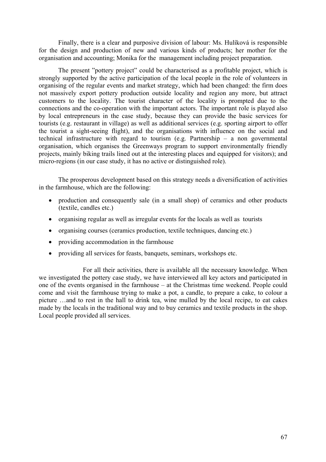Finally, there is a clear and purposive division of labour: Ms. Hulíková is responsible for the design and production of new and various kinds of products; her mother for the organisation and accounting; Monika for the management including project preparation.

The present "pottery project" could be characterised as a profitable project, which is strongly supported by the active participation of the local people in the role of volunteers in organising of the regular events and market strategy, which had been changed: the firm does not massively export pottery production outside locality and region any more, but attract customers to the locality. The tourist character of the locality is prompted due to the connections and the co-operation with the important actors. The important role is played also by local entrepreneurs in the case study, because they can provide the basic services for tourists (e.g. restaurant in village) as well as additional services (e.g. sporting airport to offer the tourist a sight-seeing flight), and the organisations with influence on the social and technical infrastructure with regard to tourism (e.g. Partnership – a non governmental organisation, which organises the Greenways program to support environmentally friendly projects, mainly biking trails lined out at the interesting places and equipped for visitors); and micro-regions (in our case study, it has no active or distinguished role).

The prosperous development based on this strategy needs a diversification of activities in the farmhouse, which are the following:

- production and consequently sale (in a small shop) of ceramics and other products (textile, candles etc.)
- organising regular as well as irregular events for the locals as well as tourists
- organising courses (ceramics production, textile techniques, dancing etc.)
- providing accommodation in the farmhouse
- providing all services for feasts, banquets, seminars, workshops etc.

For all their activities, there is available all the necessary knowledge. When we investigated the pottery case study, we have interviewed all key actors and participated in one of the events organised in the farmhouse – at the Christmas time weekend. People could come and visit the farmhouse trying to make a pot, a candle, to prepare a cake, to colour a picture …and to rest in the hall to drink tea, wine mulled by the local recipe, to eat cakes made by the locals in the traditional way and to buy ceramics and textile products in the shop. Local people provided all services.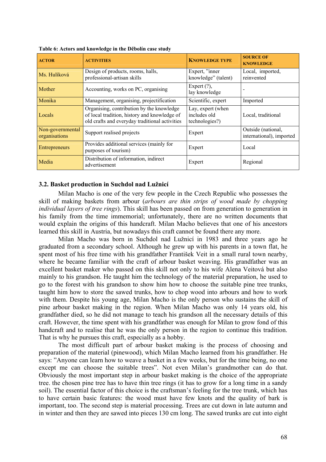| <b>ACTOR</b>                      | <b>ACTIVITIES</b>                                                                                                                           | <b>KNOWLEDGE TYPE</b>                               | <b>SOURCE OF</b><br><b>KNOWLEDGE</b>           |
|-----------------------------------|---------------------------------------------------------------------------------------------------------------------------------------------|-----------------------------------------------------|------------------------------------------------|
| Ms. Hulíková                      | Design of products, rooms, halls,<br>professional-artisan skills                                                                            | Expert, "inner<br>knowledge" (talent)               | Local, imported,<br>reinvented                 |
| Mother                            | Accounting, works on PC, organising                                                                                                         | Expert $(?)$ ,<br>lay knowledge                     |                                                |
| Monika                            | Management, organising, projectification                                                                                                    | Scientific, expert                                  | Imported                                       |
| Locals                            | Organising, contribution by the knowledge<br>of local tradition, history and knowledge of<br>old crafts and everyday traditional activities | Lay, expert (when<br>includes old<br>technologies?) | Local, traditional                             |
| Non-governmental<br>organisations | Support realised projects                                                                                                                   | Expert                                              | Outside (national,<br>international), imported |
| Entrepreneurs                     | Provides additional services (mainly for<br>purposes of tourism)                                                                            | Expert                                              | Local                                          |
| Media                             | Distribution of information, indirect<br>advertisement                                                                                      | Expert                                              | Regional                                       |

**Table 6: Actors and knowledge in the Děbolín case study** 

### **3.2. Basket production in Suchdol nad Lužnicí**

Milan Macho is one of the very few people in the Czech Republic who possesses the skill of making baskets from arbour (*arbours are thin strips of wood made by chopping individual layers of tree rings*). This skill has been passed on from generation to generation in his family from the time immemorial; unfortunately, there are no written documents that would explain the origins of this handcraft. Milan Macho believes that one of his ancestors learned this skill in Austria, but nowadays this craft cannot be found there any more.

Milan Macho was born in Suchdol nad Lužnicí in 1983 and three years ago he graduated from a secondary school. Although he grew up with his parents in a town flat, he spent most of his free time with his grandfather František Veit in a small rural town nearby, where he became familiar with the craft of arbour basket weaving. His grandfather was an excellent basket maker who passed on this skill not only to his wife Alena Veitová but also mainly to his grandson. He taught him the technology of the material preparation, he used to go to the forest with his grandson to show him how to choose the suitable pine tree trunks, taught him how to store the sawed trunks, how to chop wood into arbours and how to work with them. Despite his young age, Milan Macho is the only person who sustains the skill of pine arbour basket making in the region. When Milan Macho was only 14 years old, his grandfather died, so he did not manage to teach his grandson all the necessary details of this craft. However, the time spent with his grandfather was enough for Milan to grow fond of this handcraft and to realise that he was the only person in the region to continue this tradition. That is why he pursues this craft, especially as a hobby.

The most difficult part of arbour basket making is the process of choosing and preparation of the material (pinewood), which Milan Macho learned from his grandfather. He says: "Anyone can learn how to weave a basket in a few weeks, but for the time being, no one except me can choose the suitable trees". Not even Milan's grandmother can do that. Obviously the most important step in arbour basket making is the choice of the appropriate tree. the chosen pine tree has to have thin tree rings (it has to grow for a long time in a sandy soil). The essential factor of this choice is the craftsman's feeling for the tree trunk, which has to have certain basic features: the wood must have few knots and the quality of bark is important, too. The second step is material processing. Trees are cut down in late autumn and in winter and then they are sawed into pieces 130 cm long. The sawed trunks are cut into eight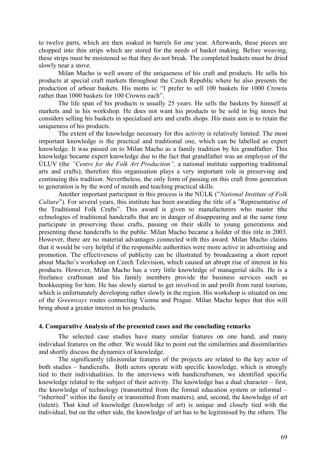to twelve parts, which are then soaked in barrels for one year. Afterwards, these pieces are chopped into thin strips which are stored for the needs of basket making. Before weaving, these strips must be moistened so that they do not break. The completed baskets must be dried slowly near a stove.

Milan Macho is well aware of the uniqueness of his craft and products. He sells his products at special craft markets throughout the Czech Republic where he also presents the production of arbour baskets. His motto is: "I prefer to sell 100 baskets for 1000 Crowns rather than 1000 baskets for 100 Crowns each".

The life span of his products is usually 25 years. He sells the baskets by himself at markets and in his workshop. He does not want his products to be sold in big stores but considers selling his baskets in specialised arts and crafts shops. His main aim is to retain the uniqueness of his products.

The extent of the knowledge necessary for this activity is relatively limited. The most important knowledge is the practical and traditional one, which can be labelled as expert knowledge. It was passed on to Milan Macho as a family tradition by his grandfather. This knowledge became expert knowledge due to the fact that grandfather was an employee of the ÚLUV (the *"Centre for the Folk Art Production",* a national institute supporting traditional arts and crafts); therefore this organisation plays a very important role in preserving and continuing this tradition. Nevertheless, the only form of passing on this craft from generation to generation is by the word of mouth and teaching practical skills.

Another important participant in this process is the NÚLK ("*National Institute of Folk Culture*"). For several years, this institute has been awarding the title of a "Representative of the Traditional Folk Crafts". This award is given to manufacturers who master tthe echnologies of traditional handcrafts that are in danger of disappearing and at the same time participate in preserving these crafts, passing on their skills to young generations and presenting these handcrafts to the public. Milan Macho became a holder of this title in 2003. However, there are no material advantages connected with this award. Milan Macho claims that it would be very helpful if the responsible authorities were more active in advertising and promotion. The effectiveness of publicity can be illustrated by broadcasting a short report about Macho's workshop on Czech Television, which caused an abrupt rise of interest in his products. However, Milan Macho has a very little knowledge of managerial skills. He is a freelance craftsman and his family members provide the business services such as bookkeeping for him. He has slowly started to get involved in and profit from rural tourism, which is unfortunately developing rather slowly in the region. His workshop is situated on one of the *Greenways* routes connecting Vienna and Prague. Milan Macho hopes that this will bring about a greater interest in his products.

### **4. Comparative Analysis of the presented cases and the concluding remarks**

The selected case studies have many similar features on one hand, and many individual features on the other. We would like to point out the similarities and dissimilarities and shortly discuss the dynamics of knowledge.

The significantly (dis)similar features of the projects are related to the key actor of both studies – handicrafts. Both actors operate with specific knowledge, which is strongly tied to their individualities. In the interviews with handicraftsmen, we identified specific knowledge related to the subject of their activity. The knowledge has a dual character – first, the knowledge of technology (transmitted from the formal education system or informal – "inherited" within the family or transmitted from masters), and, second, the knowledge of art (talent). That kind of knowledge (knowledge of art) is unique and closely tied with the individual, but on the other side, the knowledge of art has to be legitimised by the others. The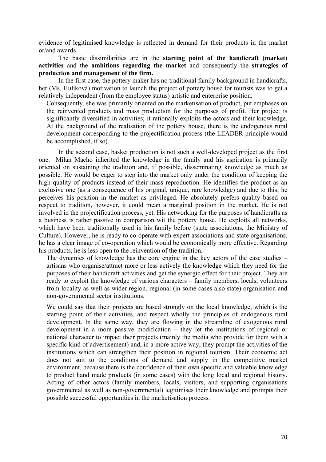evidence of legitimised knowledge is reflected in demand for their products in the market or/and awards.

The basic dissimilarities are in the **starting point of the handicraft (market) activities** and the **ambitions regarding the market** and consequently the **strategies of production and management of the firm.** 

In the first case, the pottery maker has no traditional family background in handicrafts, her (Ms. Hulíková) motivation to launch the project of pottery house for tourists was to get a relatively independent (from the employee status) artistic and enterprise position.

Consequently, she was primarily oriented on the marketisation of product, put emphases on the reinvented products and mass production for the purposes of profit. Her project is significantly diversified in activities; it rationally exploits the actors and their knowledge. At the background of the realisation of the pottery house, there is the endogenous rural development corresponding to the projectification process (the LEADER principle would be accomplished, if so).

In the second case, basket production is not such a well-developed project as the first one. Milan Macho inherited the knowledge in the family and his aspiration is primarily oriented on sustaining the tradition and, if possible, disseminating knowledge as much as possible. He would be eager to step into the market only under the condition of keeping the high quality of products instead of their mass reproduction. He identifies the product as an exclusive one (as a consequence of his original, unique, rare knowledge) and due to this; he perceives his position in the market as privileged. He absolutely prefers quality based on respect to tradition, however, it could mean a marginal position in the market. He is not involved in the projectification process, yet. His networking for the purposes of handicrafts as a business is rather passive in comparison wit the pottery house. He exploits all networks, which have been traditionally used in his family before (state associations, the Ministry of Culture). However, he is ready to co-operate with expert associations and state organisations, he has a clear image of co-operation which would be economically more effective. Regarding his products, he is less open to the reinvention of the tradition.

The dynamics of knowledge has the core engine in the key actors of the case studies – artisans who organise/attract more or less actively the knowledge which they need for the purposes of their handicraft activities and get the synergic effect for their project. They are ready to exploit the knowledge of various characters – family members, locals, volunteers from locality as well as wider region, regional (in some cases also state) organisation and non-governmental sector institutions.

We could say that their projects are based strongly on the local knowledge, which is the starting point of their activities, and respect wholly the principles of endogenous rural development. In the same way, they are flowing in the streamline of exogenous rural development in a more passive modification – they let the institutions of regional or national character to impact their projects (mainly the media who provide for them with a specific kind of advertisement) and, in a more active way, they prompt the activities of the institutions which can strengthen their position in regional tourism. Their economic act does not suit to the conditions of demand and supply in the competitive market environment, because there is the confidence of their own specific and valuable knowledge to product hand made products (in some cases) with the long local and regional history. Acting of other actors (family members, locals, visitors, and supporting organisations governmental as well as non-governmental) legitimises their knowledge and prompts their possible successful opportunities in the marketisation process.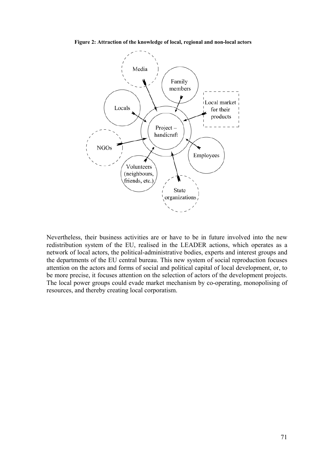**Figure 2: Attraction of the knowledge of local, regional and non-local actors**



Nevertheless, their business activities are or have to be in future involved into the new redistribution system of the EU, realised in the LEADER actions, which operates as a network of local actors, the political-administrative bodies, experts and interest groups and the departments of the EU central bureau. This new system of social reproduction focuses attention on the actors and forms of social and political capital of local development, or, to be more precise, it focuses attention on the selection of actors of the development projects. The local power groups could evade market mechanism by co-operating, monopolising of resources, and thereby creating local corporatism.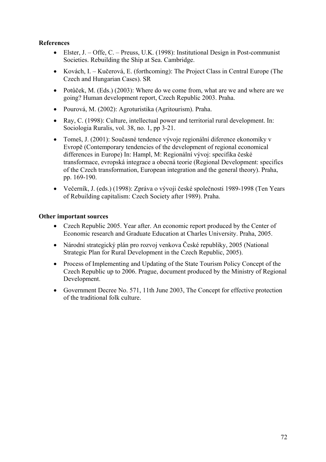# **References**

- Elster, J. Offe, C. Preuss, U.K. (1998): Institutional Design in Post-communist Societies. Rebuilding the Ship at Sea. Cambridge.
- Kovách, I. Kučerová, E. (forthcoming): The Project Class in Central Europe (The Czech and Hungarian Cases). SR
- Potůček, M. (Eds.) (2003): Where do we come from, what are we and where are we going? Human development report, Czech Republic 2003. Praha.
- Pourová, M. (2002): Agroturistika (Agritourism). Praha.
- Ray, C. (1998): Culture, intellectual power and territorial rural development. In: Sociologia Ruralis, vol. 38, no. 1, pp 3-21.
- Tomeš, J. (2001): Současné tendence vývoje regionální diference ekonomiky v Evropě (Contemporary tendencies of the development of regional economical differences in Europe) In: Hampl, M: Regionální vývoj: specifika české transformace, evropská integrace a obecná teorie (Regional Development: specifics of the Czech transformation, European integration and the general theory). Praha, pp. 169-190.
- Večerník, J. (eds.) (1998): Zpráva o vývoji české společnosti 1989-1998 (Ten Years of Rebuilding capitalism: Czech Society after 1989). Praha.

## **Other important sources**

- Czech Republic 2005. Year after. An economic report produced by the Center of Economic research and Graduate Education at Charles University. Praha, 2005.
- Národní strategický plán pro rozvoj venkova České republiky, 2005 (National Strategic Plan for Rural Development in the Czech Republic, 2005).
- Process of Implementing and Updating of the State Tourism Policy Concept of the Czech Republic up to 2006. Prague, document produced by the Ministry of Regional Development.
- Government Decree No. 571, 11th June 2003, The Concept for effective protection of the traditional folk culture.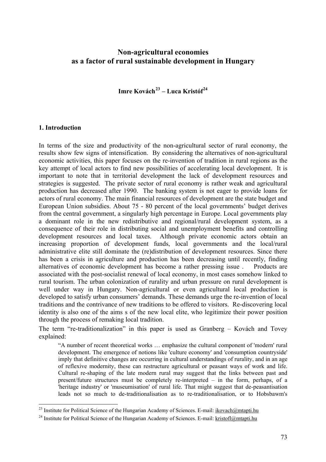# **Non-agricultural economies as a factor of rural sustainable development in Hungary**

**Imre Kovách[23](#page-72-0) – Luca Kristóf[24](#page-72-1)**

### **1. Introduction**

1

In terms of the size and productivity of the non-agricultural sector of rural economy, the results show few signs of intensification. By considering the alternatives of non-agricultural economic activities, this paper focuses on the re-invention of tradition in rural regions as the key attempt of local actors to find new possibilities of accelerating local development. It is important to note that in territorial development the lack of development resources and strategies is suggested. The private sector of rural economy is rather weak and agricultural production has decreased after 1990. The banking system is not eager to provide loans for actors of rural economy. The main financial resources of development are the state budget and European Union subsidies. About 75 - 80 percent of the local governments' budget derives from the central government, a singularly high percentage in Europe. Local governments play a dominant role in the new redistributive and regional/rural development system, as a consequence of their role in distributing social and unemployment benefits and controlling development resources and local taxes. Although private economic actors obtain an increasing proportion of development funds, local governments and the local/rural administrative elite still dominate the (re)distribution of development resources. Since there has been a crisis in agriculture and production has been decreasing until recently, finding alternatives of economic development has become a rather pressing issue . Products are associated with the post-socialist renewal of local economy, in most cases somehow linked to rural tourism. The urban colonization of rurality and urban pressure on rural development is well under way in Hungary. Non-agricultural or even agricultural local production is developed to satisfy urban consumers' demands. These demands urge the re-invention of local traditions and the contrivance of new traditions to be offered to visitors. Re-discovering local identity is also one of the aims s of the new local elite, who legitimize their power position through the process of remaking local tradition.

The term "re-traditionalization" in this paper is used as Granberg – Kovách and Tovey explained:

"A number of recent theoretical works … emphasize the cultural component of 'modern' rural development. The emergence of notions like 'culture economy' and 'consumption countryside' imply that definitive changes are occurring in cultural understandings of rurality, and in an age of reflexive modernity, these can restructure agricultural or peasant ways of work and life. Cultural re-shaping of the late modern rural may suggest that the links between past and present/future structures must be completely re-interpreted – in the form, perhaps, of a 'heritage industry' or 'museumisation' of rural life. That might suggest that de-peasantisation leads not so much to de-traditionalisation as to re-traditionalisation, or to Hobsbawm's

<span id="page-72-0"></span><sup>&</sup>lt;sup>23</sup> Institute for Political Science of the Hungarian Academy of Sciences. E-mail:  $ikovach@mtapti.hu$ 

<span id="page-72-1"></span><sup>&</sup>lt;sup>24</sup> Institute for Political Science of the Hungarian Academy of Sciences. E-mail: [kristofl@mtapti.hu](mailto:kristofl@mtapti.hu)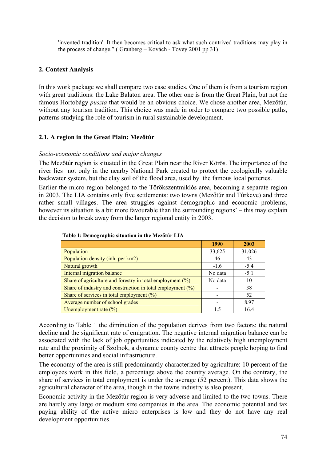'invented tradition'. It then becomes critical to ask what such contrived traditions may play in the process of change." ( Granberg – Kovách - Tovey 2001 pp 31)

## **2. Context Analysis**

In this work package we shall compare two case studies. One of them is from a tourism region with great traditions: the Lake Balaton area. The other one is from the Great Plain, but not the famous Hortobágy *puszta* that would be an obvious choice. We chose another area, Mezőtúr, without any tourism tradition. This choice was made in order to compare two possible paths, patterns studying the role of tourism in rural sustainable development.

## **2.1. A region in the Great Plain: Mezőtúr**

### *Socio-economic conditions and major changes*

The Mezőtúr region is situated in the Great Plain near the River Körös. The importance of the river lies not only in the nearby National Park created to protect the ecologically valuable backwater system, but the clay soil of the flood area, used by the famous local potteries.

Earlier the micro region belonged to the Törökszentmiklós area, becoming a separate region in 2003. The LIA contains only five settlements: two towns (Mezőtúr and Túrkeve) and three rather small villages. The area struggles against demographic and economic problems, however its situation is a bit more favourable than the surrounding regions' – this may explain the decision to break away from the larger regional entity in 2003.

|                                                               | <b>1990</b> | 2003   |
|---------------------------------------------------------------|-------------|--------|
| Population                                                    | 33,625      | 31,026 |
| Population density (inh. per km2)                             | 46          | 43     |
| Natural growth                                                | $-1.6$      | $-5.4$ |
| Internal migration balance                                    | No data     | $-5.1$ |
| Share of agriculture and forestry in total employment $(\%)$  | No data     | 10     |
| Share of industry and construction in total employment $(\%)$ |             | 38     |
| Share of services in total employment $(\%)$                  |             | 52     |
| Average number of school grades                               |             | 8.97   |
| Unemployment rate $(\% )$                                     | 1.5         | 16.4   |

| Table 1: Demographic situation in the Mezőtúr LIA |  |  |
|---------------------------------------------------|--|--|
|                                                   |  |  |

According to Table 1 the diminution of the population derives from two factors: the natural decline and the significant rate of emigration. The negative internal migration balance can be associated with the lack of job opportunities indicated by the relatively high unemployment rate and the proximity of Szolnok, a dynamic county centre that attracts people hoping to find better opportunities and social infrastructure.

The economy of the area is still predominantly characterized by agriculture: 10 percent of the employees work in this field, a percentage above the country average. On the contrary, the share of services in total employment is under the average (52 percent). This data shows the agricultural character of the area, though in the towns industry is also present.

Economic activity in the Mezőtúr region is very adverse and limited to the two towns. There are hardly any large or medium size companies in the area. The economic potential and tax paying ability of the active micro enterprises is low and they do not have any real development opportunities.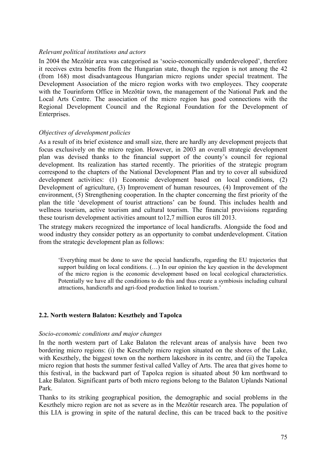### *Relevant political institutions and actors*

In 2004 the Mezőtúr area was categorised as 'socio-economically underdeveloped', therefore it receives extra benefits from the Hungarian state, though the region is not among the 42 (from 168) most disadvantageous Hungarian micro regions under special treatment. The Development Association of the micro region works with two employees. They cooperate with the Tourinform Office in Mezőtúr town, the management of the National Park and the Local Arts Centre. The association of the micro region has good connections with the Regional Development Council and the Regional Foundation for the Development of Enterprises.

### *Objectives of development policies*

As a result of its brief existence and small size, there are hardly any development projects that focus exclusively on the micro region. However, in 2003 an overall strategic development plan was devised thanks to the financial support of the county's council for regional development. Its realization has started recently. The priorities of the strategic program correspond to the chapters of the National Development Plan and try to cover all subsidized development activities: (1) Economic development based on local conditions, (2) Development of agriculture, (3) Improvement of human resources, (4) Improvement of the environment, (5) Strengthening cooperation. In the chapter concerning the first priority of the plan the title 'development of tourist attractions' can be found. This includes health and wellness tourism, active tourism and cultural tourism. The financial provisions regarding these tourism development activities amount to12,7 million euros till 2013.

The strategy makers recognized the importance of local handicrafts. Alongside the food and wood industry they consider pottery as an opportunity to combat underdevelopment. Citation from the strategic development plan as follows:

'Everything must be done to save the special handicrafts, regarding the EU trajectories that support building on local conditions. (…) In our opinion the key question in the development of the micro region is the economic development based on local ecological characteristics. Potentially we have all the conditions to do this and thus create a symbiosis including cultural attractions, handicrafts and agri-food production linked to tourism.'

### **2.2. North western Balaton: Keszthely and Tapolca**

#### *Socio-economic conditions and major changes*

In the north western part of Lake Balaton the relevant areas of analysis have been two bordering micro regions: (i) the Keszthely micro region situated on the shores of the Lake, with Keszthely, the biggest town on the northern lakeshore in its centre, and (ii) the Tapolca micro region that hosts the summer festival called Valley of Arts. The area that gives home to this festival, in the backward part of Tapolca region is situated about 50 km northward to Lake Balaton. Significant parts of both micro regions belong to the Balaton Uplands National Park.

Thanks to its striking geographical position, the demographic and social problems in the Keszthely micro region are not as severe as in the Mezőtúr research area. The population of this LIA is growing in spite of the natural decline, this can be traced back to the positive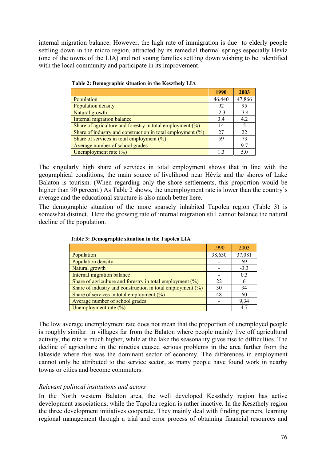internal migration balance. However, the high rate of immigration is due to elderly people settling down in the micro region, attracted by its remedial thermal springs especially Hévíz (one of the towns of the LIA) and not young families settling down wishing to be identified with the local community and participate in its improvement.

|                                                               | 1990   | 2003   |
|---------------------------------------------------------------|--------|--------|
| Population                                                    | 46,440 | 47,866 |
| Population density                                            | 92     | 95     |
| Natural growth                                                | $-2.3$ | $-3.4$ |
| Internal migration balance                                    | 3.4    | 4.2    |
| Share of agriculture and forestry in total employment $(\%)$  | 14     | 5      |
| Share of industry and construction in total employment $(\%)$ | 27     | 22     |
| Share of services in total employment $(\%)$                  | 59     | 73     |
| Average number of school grades                               |        | 9.7    |
| Unemployment rate $(\%)$                                      | 13     | 5.0    |

 **Table 2: Demographic situation in the Keszthely LIA** 

The singularly high share of services in total employment shows that in line with the geographical conditions, the main source of livelihood near Hévíz and the shores of Lake Balaton is tourism. (When regarding only the shore settlements, this proportion would be higher than 90 percent.) As Table 2 shows, the unemployment rate is lower than the country's average and the educational structure is also much better here.

The demographic situation of the more sparsely inhabited Tapolca region (Table 3) is somewhat distinct. Here the growing rate of internal migration still cannot balance the natural decline of the population.

|                                                               | 1990   | 2003   |
|---------------------------------------------------------------|--------|--------|
| Population                                                    | 38,630 | 37,081 |
| Population density                                            |        | 69     |
| Natural growth                                                |        | $-3.3$ |
| Internal migration balance                                    |        | 0.3    |
| Share of agriculture and forestry in total employment $(\%)$  | 22     |        |
| Share of industry and construction in total employment $(\%)$ | 30     | 34     |
| Share of services in total employment $(\%)$                  | 48     | 60     |
| Average number of school grades                               |        | 9.34   |
| Unemployment rate $(\% )$                                     |        | 4.7    |

 **Table 3: Demographic situation in the Tapolca LIA** 

The low average unemployment rate does not mean that the proportion of unemployed people is roughly similar: in villages far from the Balaton where people mainly live off agricultural activity, the rate is much higher, while at the lake the seasonality gives rise to difficulties. The decline of agriculture in the nineties caused serious problems in the area farther from the lakeside where this was the dominant sector of economy. The differences in employment cannot only be attributed to the service sector, as many people have found work in nearby towns or cities and become commuters.

## *Relevant political institutions and actors*

In the North western Balaton area, the well developed Keszthely region has active development associations, while the Tapolca region is rather inactive. In the Keszthely region the three development initiatives cooperate. They mainly deal with finding partners, learning regional management through a trial and error process of obtaining financial resources and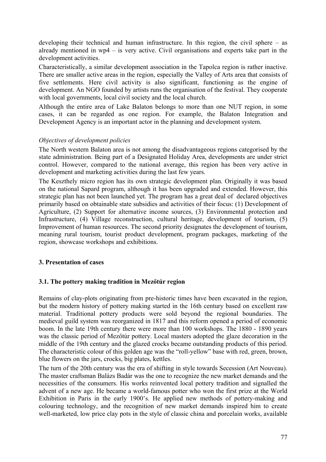developing their technical and human infrastructure. In this region, the civil sphere – as already mentioned in  $wp4 - is$  very active. Civil organisations and experts take part in the development activities.

Characteristically, a similar development association in the Tapolca region is rather inactive. There are smaller active areas in the region, especially the Valley of Arts area that consists of five settlements. Here civil activity is also significant, functioning as the engine of development. An NGO founded by artists runs the organisation of the festival. They cooperate with local governments, local civil society and the local church.

Although the entire area of Lake Balaton belongs to more than one NUT region, in some cases, it can be regarded as one region. For example, the Balaton Integration and Development Agency is an important actor in the planning and development system.

## *Objectives of development policies*

The North western Balaton area is not among the disadvantageous regions categorised by the state administration. Being part of a Designated Holiday Area, developments are under strict control. However, compared to the national average, this region has been very active in development and marketing activities during the last few years.

The Keszthely micro region has its own strategic development plan. Originally it was based on the national Sapard program, although it has been upgraded and extended. However, this strategic plan has not been launched yet. The program has a great deal of declared objectives primarily based on obtainable state subsidies and activities of their focus: (1) Development of Agriculture, (2) Support for alternative income sources, (3) Environmental protection and Infrastructure, (4) Village reconstruction, cultural heritage, development of tourism, (5) Improvement of human resources. The second priority designates the development of tourism, meaning rural tourism, tourist product development, program packages, marketing of the region, showcase workshops and exhibitions.

## **3. Presentation of cases**

## **3.1. The pottery making tradition in Mezőtúr region**

Remains of clay-plots originating from pre-historic times have been excavated in the region, but the modern history of pottery making started in the 16th century based on excellent raw material. Traditional pottery products were sold beyond the regional boundaries. The medieval guild system was reorganized in 1817 and this reform opened a period of economic boom. In the late 19th century there were more than 100 workshops. The 1880 - 1890 years was the classic period of Mezőtúr pottery. Local masters adopted the glaze decoration in the middle of the 19th century and the glazed crocks became outstanding products of this period. The characteristic colour of this golden age was the "roll-yellow" base with red, green, brown, blue flowers on the jars, crocks, big plates, kettles.

The turn of the 20th century was the era of shifting in style towards Secession (Art Nouveau). The master craftsman Balázs Badár was the one to recognize the new market demands and the necessities of the consumers. His works reinvented local pottery tradition and signalled the advent of a new age. He became a world-famous potter who won the first prize at the World Exhibition in Paris in the early 1900's. He applied new methods of pottery-making and colouring technology, and the recognition of new market demands inspired him to create well-marketed, low price clay pots in the style of classic china and porcelain works, available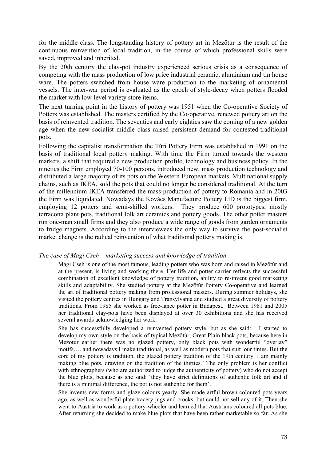for the middle class. The longstanding history of pottery art in Mezőtúr is the result of the continuous reinvention of local tradition, in the course of which professional skills were saved, improved and inherited.

By the 20th century the clay-pot industry experienced serious crisis as a consequence of competing with the mass production of low price industrial ceramic, aluminium and tin house ware. The potters switched from house ware production to the marketing of ornamental vessels. The inter-war period is evaluated as the epoch of style-decay when potters flooded the market with low-level variety store items.

The next turning point in the history of pottery was 1951 when the Co-operative Society of Potters was established. The masters certified by the Co-operative, renewed pottery art on the basis of reinvented tradition. The seventies and early eighties saw the coming of a new golden age when the new socialist middle class raised persistent demand for contested-traditional pots.

Following the capitalist transformation the Túri Pottery Firm was established in 1991 on the basis of traditional local pottery making. With time the Firm turned towards the western markets, a shift that required a new production profile, technology and business policy. In the nineties the Firm employed 70-100 persons, introduced new, mass production technology and distributed a large majority of its pots on the Western European markets. Multinational supply chains, such as IKEA, sold the pots that could no longer be considered traditional. At the turn of the millennium IKEA transferred the mass-production of pottery to Romania and in 2003 the Firm was liquidated. Nowadays the Kovács Manufacture Pottery LtD is the biggest firm, employing 12 potters and semi-skilled workers. They produce 600 prototypes, mostly terracotta plant pots, traditional folk art ceramics and pottery goods. The other potter masters run one-man small firms and they also produce a wide range of goods from garden ornaments to fridge magnets. According to the interviewees the only way to survive the post-socialist market change is the radical reinvention of what traditional pottery making is.

### *The case of Magi Cseh – marketing success and knowledge of tradition*

Magi Cseh is one of the most famous, leading potters who was born and raised in Mezőtúr and at the present, is living and working there. Her life and potter carrier reflects the successful combination of excellent knowledge of pottery tradition, ability to re-invent good marketing skills and adaptability. She studied pottery at the Mezőtúr Pottery Co-operative and learned the art of traditional pottery making from professional masters. During summer holidays, she visited the pottery centres in Hungary and Transylvania and studied a great diversity of pottery traditions. From 1985 she worked as free-lance potter in Budapest. Between 1981 and 2005 her traditional clay-pots have been displayed at over 30 exhibitions and she has received several awards acknowledging her work.

She has successfully developed a reinvented pottery style, but as she said: ' I started to develop my own style on the basis of typical Mezőtúr, Great Plain black pots, because here in Mezőtúr earlier there was no glazed pottery, only black pots with wonderful "overlay" motifs…. and nowadays I make traditional, as well as modern pots that suit our times. But the core of my pottery is tradition, the glazed pottery tradition of the 19th century. I am mainly making blue pots, drawing on the tradition of the thirties.' The only problem is her conflict with ethnographers (who are authorized to judge the authorities of pottery) who do not accept the blue plots, because as she said: 'they have strict definitions of authentic folk art and if there is a minimal difference, the pot is not authentic for them'.

She invents new forms and glaze colours yearly. She made artful brown-coloured pots years ago, as well as wonderful plate-tracery jugs and crocks, but could not sell any of it. Then she went to Austria to work as a pottery-wheeler and learned that Austrians coloured all pots blue. After returning she decided to make blue plots that have been rather marketable so far. As she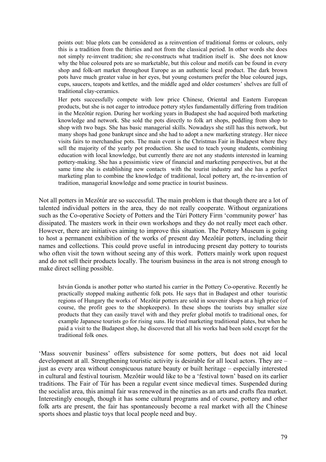points out: blue plots can be considered as a reinvention of traditional forms or colours, only this is a tradition from the thirties and not from the classical period. In other words she does not simply re-invent tradition; she re-constructs what tradition itself is. She does not know why the blue coloured pots are so marketable, but this colour and motifs can be found in every shop and folk-art market throughout Europe as an authentic local product. The dark brown pots have much greater value in her eyes, but young costumers prefer the blue coloured jugs, cups, saucers, teapots and kettles, and the middle aged and older costumers' shelves are full of traditional clay-ceramics.

Her pots successfully compete with low price Chinese, Oriental and Eastern European products, but she is not eager to introduce pottery styles fundamentally differing from tradition in the Mezőtúr region. During her working years in Budapest she had acquired both marketing knowledge and network. She sold the pots directly to folk art shops, peddling from shop to shop with two bags. She has basic managerial skills. Nowadays she still has this network, but many shops had gone bankrupt since and she had to adopt a new marketing strategy. Her niece visits fairs to merchandise pots. The main event is the Christmas Fair in Budapest where they sell the majority of the yearly pot production. She used to teach young students, combining education with local knowledge, but currently there are not any students interested in learning pottery-making. She has a pessimistic view of financial and marketing perspectives, but at the same time she is establishing new contacts with the tourist industry and she has a perfect marketing plan to combine the knowledge of traditional, local pottery art, the re-invention of tradition, managerial knowledge and some practice in tourist business.

Not all potters in Mezőtúr are so successful. The main problem is that though there are a lot of talented individual potters in the area, they do not really cooperate. Without organizations such as the Co-operative Society of Potters and the Túri Pottery Firm 'community power' has dissipated. The masters work in their own workshops and they do not really meet each other. However, there are initiatives aiming to improve this situation. The Pottery Museum is going to host a permanent exhibition of the works of present day Mezőtúr potters, including their names and collections. This could prove useful in introducing present day pottery to tourists who often visit the town without seeing any of this work. Potters mainly work upon request and do not sell their products locally. The tourism business in the area is not strong enough to make direct selling possible.

István Gonda is another potter who started his carrier in the Pottery Co-operative. Recently he practically stopped making authentic folk pots. He says that in Budapest and other touristic regions of Hungary the works of Mezőtúr potters are sold in souvenir shops at a high price (of course, the profit goes to the shopkeepers). In these shops the tourists buy smaller size products that they can easily travel with and they prefer global motifs to traditional ones, for example Japanese tourists go for rising suns. He tried marketing traditional plates, but when he paid a visit to the Budapest shop, he discovered that all his works had been sold except for the traditional folk ones.

'Mass souvenir business' offers subsistence for some potters, but does not aid local development at all. Strengthening touristic activity is desirable for all local actors. They are – just as every area without conspicuous nature beauty or built heritage – especially interested in cultural and festival tourism. Mezőtúr would like to be a 'festival town' based on its earlier traditions. The Fair of Túr has been a regular event since medieval times. Suspended during the socialist area, this animal fair was renewed in the nineties as an arts and crafts flea market. Interestingly enough, though it has some cultural programs and of course, pottery and other folk arts are present, the fair has spontaneously become a real market with all the Chinese sports shoes and plastic toys that local people need and buy.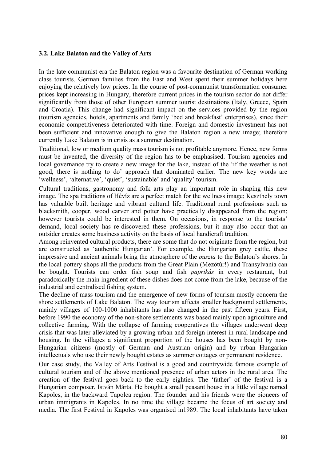### **3.2. Lake Balaton and the Valley of Arts**

In the late communist era the Balaton region was a favourite destination of German working class tourists. German families from the East and West spent their summer holidays here enjoying the relatively low prices. In the course of post-communist transformation consumer prices kept increasing in Hungary, therefore current prices in the tourism sector do not differ significantly from those of other European summer tourist destinations (Italy, Greece, Spain and Croatia). This change had significant impact on the services provided by the region (tourism agencies, hotels, apartments and family 'bed and breakfast' enterprises), since their economic competitiveness deteriorated with time. Foreign and domestic investment has not been sufficient and innovative enough to give the Balaton region a new image; therefore currently Lake Balaton is in crisis as a summer destination.

Traditional, low or medium quality mass tourism is not profitable anymore. Hence, new forms must be invented, the diversity of the region has to be emphasised. Tourism agencies and local governance try to create a new image for the lake, instead of the 'if the weather is not good, there is nothing to do' approach that dominated earlier. The new key words are 'wellness', 'alternative', 'quiet', 'sustainable' and 'quality' tourism.

Cultural traditions, gastronomy and folk arts play an important role in shaping this new image. The spa traditions of Hévíz are a perfect match for the wellness image; Keszthely town has valuable built heritage and vibrant cultural life. Traditional rural professions such as blacksmith, cooper, wood carver and potter have practically disappeared from the region; however tourists could be interested in them. On occasions, in response to the tourists' demand, local society has re-discovered these professions, but it may also occur that an outsider creates some business activity on the basis of local handicraft tradition.

Among reinvented cultural products, there are some that do not originate from the region, but are constructed as 'authentic Hungarian'. For example, the Hungarian grey cattle, these impressive and ancient animals bring the atmosphere of the *puszta* to the Balaton's shores. In the local pottery shops all the products from the Great Plain (Mezőtúr!) and Transylvania can be bought. Tourists can order fish soup and fish *paprikás* in every restaurant, but paradoxically the main ingredient of these dishes does not come from the lake, because of the industrial and centralised fishing system.

The decline of mass tourism and the emergence of new forms of tourism mostly concern the shore settlements of Lake Balaton. The way tourism affects smaller background settlements, mainly villages of 100-1000 inhabitants has also changed in the past fifteen years. First, before 1990 the economy of the non-shore settlements was based mainly upon agriculture and collective farming. With the collapse of farming cooperatives the villages underwent deep crisis that was later alleviated by a growing urban and foreign interest in rural landscape and housing. In the villages a significant proportion of the houses has been bought by non-Hungarian citizens (mostly of German and Austrian origin) and by urban Hungarian intellectuals who use their newly bought estates as summer cottages or permanent residence.

Our case study, the Valley of Arts Festival is a good and countrywide famous example of cultural tourism and of the above mentioned presence of urban actors in the rural area. The creation of the festival goes back to the early eighties. The 'father' of the festival is a Hungarian composer, István Márta. He bought a small peasant house in a little village named Kapolcs, in the backward Tapolca region. The founder and his friends were the pioneers of urban immigrants in Kapolcs. In no time the village became the focus of art society and media. The first Festival in Kapolcs was organised in1989. The local inhabitants have taken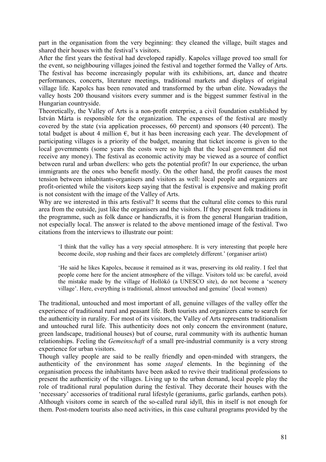part in the organisation from the very beginning: they cleaned the village, built stages and shared their houses with the festival's visitors.

After the first years the festival had developed rapidly. Kapolcs village proved too small for the event, so neighbouring villages joined the festival and together formed the Valley of Arts. The festival has become increasingly popular with its exhibitions, art, dance and theatre performances, concerts, literature meetings, traditional markets and displays of original village life. Kapolcs has been renovated and transformed by the urban elite. Nowadays the valley hosts 200 thousand visitors every summer and is the biggest summer festival in the Hungarian countryside.

Theoretically, the Valley of Arts is a non-profit enterprise, a civil foundation established by István Márta is responsible for the organization. The expenses of the festival are mostly covered by the state (via application processes, 60 percent) and sponsors (40 percent). The total budget is about 4 million  $\epsilon$ , but it has been increasing each year. The development of participating villages is a priority of the budget, meaning that ticket income is given to the local governments (some years the costs were so high that the local government did not receive any money). The festival as economic activity may be viewed as a source of conflict between rural and urban dwellers: who gets the potential profit? In our experience, the urban immigrants are the ones who benefit mostly. On the other hand, the profit causes the most tension between inhabitants-organisers and visitors as well: local people and organizers are profit-oriented while the visitors keep saying that the festival is expensive and making profit is not consistent with the image of the Valley of Arts.

Why are we interested in this arts festival? It seems that the cultural elite comes to this rural area from the outside, just like the organisers and the visitors. If they present folk traditions in the programme, such as folk dance or handicrafts, it is from the general Hungarian tradition, not especially local. The answer is related to the above mentioned image of the festival. Two citations from the interviews to illustrate our point:

'I think that the valley has a very special atmosphere. It is very interesting that people here become docile, stop rushing and their faces are completely different.' (organiser artist)

'He said he likes Kapolcs, because it remained as it was, preserving its old reality. I feel that people come here for the ancient atmosphere of the village. Visitors told us: be careful, avoid the mistake made by the village of Hollókő (a UNESCO site), do not become a 'scenery village'. Here, everything is traditional, almost untouched and genuine' (local women)

The traditional, untouched and most important of all, genuine villages of the valley offer the experience of traditional rural and peasant life. Both tourists and organizers came to search for the authenticity in rurality. For most of its visitors, the Valley of Arts represents traditionalism and untouched rural life. This authenticity does not only concern the environment (nature, green landscape, traditional houses) but of course, rural community with its authentic human relationships. Feeling the *Gemeinschaft* of a small pre-industrial community is a very strong experience for urban visitors.

Though valley people are said to be really friendly and open-minded with strangers, the authenticity of the environment has some *staged* elements. In the beginning of the organisation process the inhabitants have been asked to revive their traditional professions to present the authenticity of the villages. Living up to the urban demand, local people play the role of traditional rural population during the festival. They decorate their houses with the 'necessary' accessories of traditional rural lifestyle (geraniums, garlic garlands, earthen pots). Although visitors come in search of the so-called rural idyll, this in itself is not enough for them. Post-modern tourists also need activities, in this case cultural programs provided by the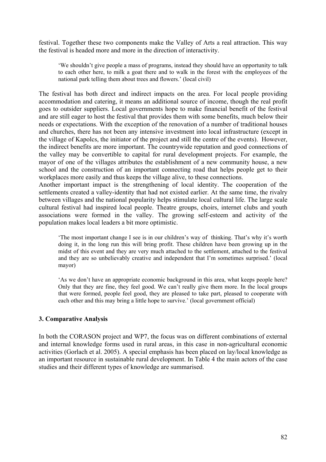festival. Together these two components make the Valley of Arts a real attraction. This way the festival is headed more and more in the direction of interactivity.

'We shouldn't give people a mass of programs, instead they should have an opportunity to talk to each other here, to milk a goat there and to walk in the forest with the employees of the national park telling them about trees and flowers.' (local civil)

The festival has both direct and indirect impacts on the area. For local people providing accommodation and catering, it means an additional source of income, though the real profit goes to outsider suppliers. Local governments hope to make financial benefit of the festival and are still eager to host the festival that provides them with some benefits, much below their needs or expectations. With the exception of the renovation of a number of traditional houses and churches, there has not been any intensive investment into local infrastructure (except in the village of Kapolcs, the initiator of the project and still the centre of the events). However, the indirect benefits are more important. The countrywide reputation and good connections of the valley may be convertible to capital for rural development projects. For example, the mayor of one of the villages attributes the establishment of a new community house, a new school and the construction of an important connecting road that helps people get to their workplaces more easily and thus keeps the village alive, to these connections.

Another important impact is the strengthening of local identity. The cooperation of the settlements created a valley-identity that had not existed earlier. At the same time, the rivalry between villages and the national popularity helps stimulate local cultural life. The large scale cultural festival had inspired local people. Theatre groups, choirs, internet clubs and youth associations were formed in the valley. The growing self-esteem and activity of the population makes local leaders a bit more optimistic.

'The most important change I see is in our children's way of thinking. That's why it's worth doing it, in the long run this will bring profit. These children have been growing up in the midst of this event and they are very much attached to the settlement, attached to the festival and they are so unbelievably creative and independent that I'm sometimes surprised.' (local mayor)

'As we don't have an appropriate economic background in this area, what keeps people here? Only that they are fine, they feel good. We can't really give them more. In the local groups that were formed, people feel good, they are pleased to take part, pleased to cooperate with each other and this may bring a little hope to survive.' (local government official)

## **3. Comparative Analysis**

In both the CORASON project and WP7, the focus was on different combinations of external and internal knowledge forms used in rural areas, in this case in non-agricultural economic activities (Gorlach et al. 2005). A special emphasis has been placed on lay/local knowledge as an important resource in sustainable rural development. In Table 4 the main actors of the case studies and their different types of knowledge are summarised.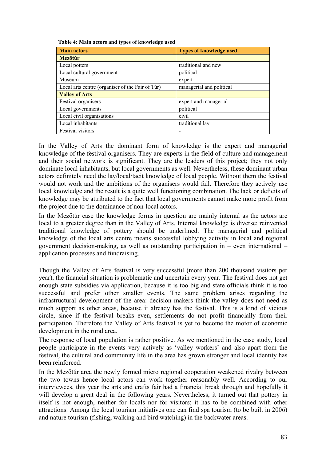| <b>Main actors</b>                               | <b>Types of knowledge used</b> |
|--------------------------------------------------|--------------------------------|
| <b>Mezőtúr</b>                                   |                                |
| Local potters                                    | traditional and new            |
| Local cultural government                        | political                      |
| Museum                                           | expert                         |
| Local arts centre (organiser of the Fair of Túr) | managerial and political       |
| <b>Valley of Arts</b>                            |                                |
| Festival organisers                              | expert and managerial          |
| Local governments                                | political                      |
| Local civil organisations                        | civil                          |
| Local inhabitants                                | traditional lay                |
| Festival visitors                                |                                |

In the Valley of Arts the dominant form of knowledge is the expert and managerial knowledge of the festival organisers. They are experts in the field of culture and management and their social network is significant. They are the leaders of this project; they not only dominate local inhabitants, but local governments as well. Nevertheless, these dominant urban actors definitely need the lay/local/tacit knowledge of local people. Without them the festival would not work and the ambitions of the organisers would fail. Therefore they actively use local knowledge and the result is a quite well functioning combination. The lack or deficits of knowledge may be attributed to the fact that local governments cannot make more profit from the project due to the dominance of non-local actors.

In the Mezőtúr case the knowledge forms in question are mainly internal as the actors are local to a greater degree than in the Valley of Arts. Internal knowledge is diverse; reinvented traditional knowledge of pottery should be underlined. The managerial and political knowledge of the local arts centre means successful lobbying activity in local and regional government decision-making, as well as outstanding participation in – even international – application processes and fundraising.

Though the Valley of Arts festival is very successful (more than 200 thousand visitors per year), the financial situation is problematic and uncertain every year. The festival does not get enough state subsidies via application, because it is too big and state officials think it is too successful and prefer other smaller events. The same problem arises regarding the infrastructural development of the area: decision makers think the valley does not need as much support as other areas, because it already has the festival. This is a kind of vicious circle, since if the festival breaks even, settlements do not profit financially from their participation. Therefore the Valley of Arts festival is yet to become the motor of economic development in the rural area.

The response of local population is rather positive. As we mentioned in the case study, local people participate in the events very actively as 'valley workers' and also apart from the festival, the cultural and community life in the area has grown stronger and local identity has been reinforced.

In the Mezőtúr area the newly formed micro regional cooperation weakened rivalry between the two towns hence local actors can work together reasonably well. According to our interviewees, this year the arts and crafts fair had a financial break through and hopefully it will develop a great deal in the following years. Nevertheless, it turned out that pottery in itself is not enough, neither for locals nor for visitors; it has to be combined with other attractions. Among the local tourism initiatives one can find spa tourism (to be built in 2006) and nature tourism (fishing, walking and bird watching) in the backwater areas.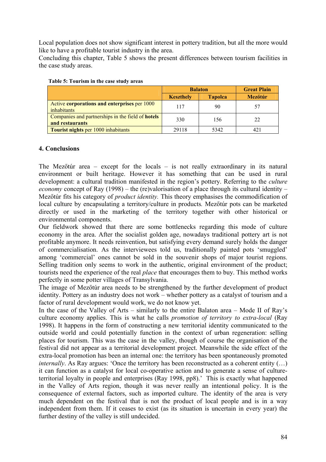Local population does not show significant interest in pottery tradition, but all the more would like to have a profitable tourist industry in the area.

Concluding this chapter, Table 5 shows the present differences between tourism facilities in the case study areas.

|                                                                      | <b>Balaton</b>   | <b>Great Plain</b> |                |
|----------------------------------------------------------------------|------------------|--------------------|----------------|
|                                                                      | <b>Keszthely</b> | <b>Tapolca</b>     | <b>Mezőtúr</b> |
| Active corporations and enterprises per 1000<br><i>inhabitants</i>   | 117              | 90                 | 57             |
| Companies and partnerships in the field of hotels<br>and restaurants | 330              | 156                | 22             |
| <b>Tourist nights per 1000 inhabitants</b>                           | 29118            | 5342               | 421            |

| Table 5: Tourism in the case study areas |  |  |  |
|------------------------------------------|--|--|--|
|                                          |  |  |  |

### **4. Conclusions**

The Mezőtúr area – except for the locals – is not really extraordinary in its natural environment or built heritage. However it has something that can be used in rural development: a cultural tradition manifested in the region's pottery. Referring to the *culture economy* concept of Ray (1998) – the (re)valorisation of a place through its cultural identity – Mezőtúr fits his category of *product identity.* This theory emphasises the commodification of local culture by encapsulating a territory/culture in products*.* Mezőtúr pots can be marketed directly or used in the marketing of the territory together with other historical or environmental components.

Our fieldwork showed that there are some bottlenecks regarding this mode of culture economy in the area. After the socialist golden age, nowadays traditional pottery art is not profitable anymore. It needs reinvention, but satisfying every demand surely holds the danger of commercialisation. As the interviewees told us, traditionally painted pots 'smuggled' among 'commercial' ones cannot be sold in the souvenir shops of major tourist regions. Selling tradition only seems to work in the authentic, original environment of the product; tourists need the experience of the real *place* that encourages them to buy. This method works perfectly in some potter villages of Transylvania.

The image of Mezőtúr area needs to be strengthened by the further development of product identity. Pottery as an industry does not work – whether pottery as a catalyst of tourism and a factor of rural development would work, we do not know yet.

In the case of the Valley of Arts – similarly to the entire Balaton area – Mode II of Ray's culture economy applies. This is what he calls *promotion of territory to extra-local* (Ray 1998). It happens in the form of constructing a new territorial identity communicated to the outside world and could potentially function in the context of urban regeneration: selling places for tourism. This was the case in the valley, though of course the organisation of the festival did not appear as a territorial development project. Meanwhile the side effect of the extra-local promotion has been an internal one: the territory has been spontaneously promoted *internally*. As Ray argues: 'Once the territory has been reconstructed as a coherent entity (...) it can function as a catalyst for local co-operative action and to generate a sense of cultureterritorial loyalty in people and enterprises (Ray 1998, pp8).' This is exactly what happened in the Valley of Arts region, though it was never really an intentional policy. It is the consequence of external factors, such as imported culture. The identity of the area is very much dependent on the festival that is not the product of local people and is in a way independent from them. If it ceases to exist (as its situation is uncertain in every year) the further destiny of the valley is still undecided.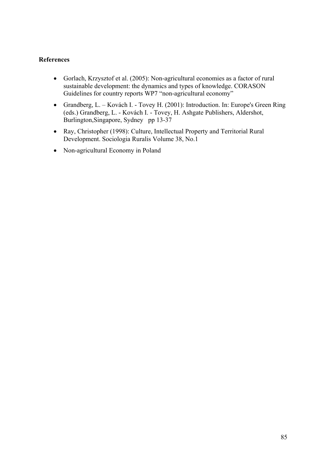## **References**

- Gorlach, Krzysztof et al. (2005): Non-agricultural economies as a factor of rural sustainable development: the dynamics and types of knowledge. CORASON Guidelines for country reports WP7 "non-agricultural economy"
- Grandberg, L. Kovách I. Tovey H. (2001): Introduction. In: Europe's Green Ring (eds.) Grandberg, L. - Kovách I. - Tovey, H. Ashgate Publishers, Aldershot, Burlington, Singapore, Sydney pp 13-37
- Ray, Christopher (1998): Culture, Intellectual Property and Territorial Rural Development. Sociologia Ruralis Volume 38, No.1
- Non-agricultural Economy in Poland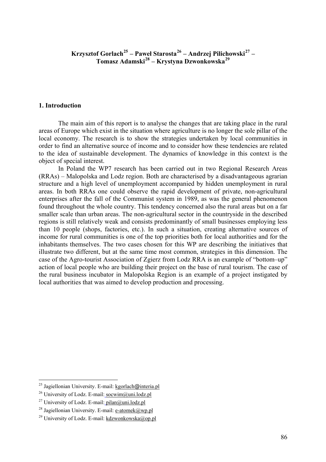## **Krzysztof Gorlach[25](#page-85-0) – Paweł Starosta[26](#page-85-1) – Andrzej Pilichowski[27](#page-85-2) – Tomasz Adamski[28](#page-85-3) – Krystyna Dzwonkowska[29](#page-85-4)**

### **1. Introduction**

 The main aim of this report is to analyse the changes that are taking place in the rural areas of Europe which exist in the situation where agriculture is no longer the sole pillar of the local economy. The research is to show the strategies undertaken by local communities in order to find an alternative source of income and to consider how these tendencies are related to the idea of sustainable development. The dynamics of knowledge in this context is the object of special interest.

 In Poland the WP7 research has been carried out in two Regional Research Areas (RRAs) – Malopolska and Lodz region. Both are characterised by a disadvantageous agrarian structure and a high level of unemployment accompanied by hidden unemployment in rural areas. In both RRAs one could observe the rapid development of private, non-agricultural enterprises after the fall of the Communist system in 1989, as was the general phenomenon found throughout the whole country. This tendency concerned also the rural areas but on a far smaller scale than urban areas. The non-agricultural sector in the countryside in the described regions is still relatively weak and consists predominantly of small businesses employing less than 10 people (shops, factories, etc.). In such a situation, creating alternative sources of income for rural communities is one of the top priorities both for local authorities and for the inhabitants themselves. The two cases chosen for this WP are describing the initiatives that illustrate two different, but at the same time most common, strategies in this dimension. The case of the Agro-tourist Association of Zgierz from Lodz RRA is an example of "bottom–up" action of local people who are building their project on the base of rural tourism. The case of the rural business incubator in Malopolska Region is an example of a project instigated by local authorities that was aimed to develop production and processing.

1

<span id="page-85-0"></span><sup>&</sup>lt;sup>25</sup> Jagiellonian University. E-mail: kgorlach@interia.pl

<span id="page-85-1"></span><sup>&</sup>lt;sup>26</sup> University of Lodz. E-mail: [socwim@uni.lodz.pl](mailto:socwim@uni.lodz.pl)

<span id="page-85-2"></span><sup>&</sup>lt;sup>27</sup> University of Lodz. E-mail: [pilan@uni.lodz.pl](mailto:pilan@uni.lodz.pl)

<span id="page-85-3"></span><sup>&</sup>lt;sup>28</sup> Jagiellonian University. E-mail:  $e$ -atomek@wp.pl

<span id="page-85-4"></span><sup>&</sup>lt;sup>29</sup> University of Lodz. E-mail: [kdzwonkowska@op.pl](mailto:kdzwonkowska@op.pl)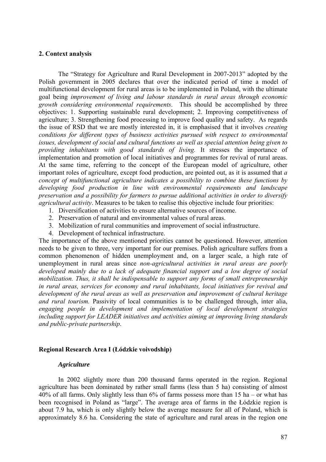#### **2. Context analysis**

The "Strategy for Agriculture and Rural Development in 2007-2013" adopted by the Polish government in 2005 declares that over the indicated period of time a model of multifunctional development for rural areas is to be implemented in Poland, with the ultimate goal being *improvement of living and labour standards in rural areas through economic growth considering environmental requirements*. This should be accomplished by three objectives: 1. Supporting sustainable rural development; 2. Improving competitiveness of agriculture; 3. Strengthening food processing to improve food quality and safety. As regards the issue of RSD that we are mostly interested in, it is emphasised that it involves *creating conditions for different types of business activities pursued with respect to environmental issues, development of social and cultural functions as well as special attention being given to providing inhabitants with good standards of living.* It stresses the importance of implementation and promotion of local initiatives and programmes for revival of rural areas. At the same time, referring to the concept of the European model of agriculture, other important roles of agriculture, except food production, are pointed out, as it is assumed that *a concept of multifunctional agriculture indicates a possibility to combine these functions by developing food production in line with environmental requirements and landscape preservation and a possibility for farmers to pursue additional activities in order to diversify agricultural activity*. Measures to be taken to realise this objective include four priorities:

- 1. Diversification of activities to ensure alternative sources of income.
- 2. Preservation of natural and environmental values of rural areas.
- 3. Mobilization of rural communities and improvement of social infrastructure.
- 4. Development of technical infrastructure.

The importance of the above mentioned priorities cannot be questioned. However, attention needs to be given to three, very important for our premises. Polish agriculture suffers from a common phenomenon of hidden unemployment and, on a larger scale, a high rate of unemployment in rural areas since *non-agricultural activities in rural areas are poorly developed mainly due to a lack of adequate financial support and a low degree of social mobilization. Thus, it shall be indispensable to support any forms of small entrepreneurship in rural areas, services for economy and rural inhabitants, local initiatives for revival and development of the rural areas as well as preservation and improvement of cultural heritage and rural tourism.* Passivity of local communities is to be challenged through, inter alia, *engaging people in development and implementation of local development strategies including support for LEADER initiatives and activities aiming at improving living standards and public-private partnership*.

#### **Regional Research Area I (Łódzkie voivodship)**

#### *Agriculture*

 In 2002 slightly more than 200 thousand farms operated in the region. Regional agriculture has been dominated by rather small farms (less than 5 ha) consisting of almost 40% of all farms. Only slightly less than  $6\%$  of farms possess more than 15 ha – or what has been recognised in Poland as "large". The average area of farms in the Łódzkie region is about 7.9 ha, which is only slightly below the average measure for all of Poland, which is approximately 8.6 ha. Considering the state of agriculture and rural areas in the region one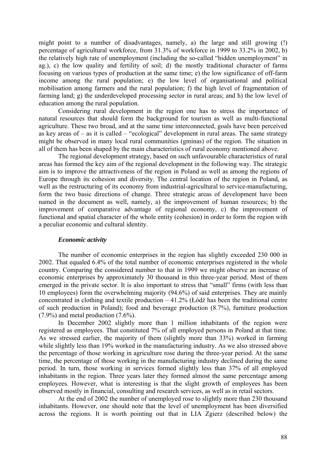might point to a number of disadvantages, namely, a) the large and still growing (!) percentage of agricultural workforce, from 31.3% of workforce in 1999 to 33.2% in 2002, b) the relatively high rate of unemployment (including the so-called "hidden unemployment" in ag.), c) the low quality and fertility of soil; d) the mostly traditional character of farms focusing on various types of production at the same time; e) the low significance of off-farm income among the rural population; e) the low level of organisational and political mobilisation among farmers and the rural population; f) the high level of fragmentation of farming land; g) the underdeveloped processing sector in rural areas; and h) the low level of education among the rural population.

 Considering rural development in the region one has to stress the importance of natural resources that should form the background for tourism as well as multi-functional agriculture. These two broad, and at the same time interconnected, goals have been perceived as key areas of  $-$  as it is called  $-$  "ecological" development in rural areas. The same strategy might be observed in many local rural communities (gminas) of the region. The situation in all of them has been shaped by the main characteristics of rural economy mentioned above.

 The regional development strategy, based on such unfavourable characteristics of rural areas has formed the key aim of the regional development in the following way. The strategic aim is to improve the attractiveness of the region in Poland as well as among the regions of Europe through its cohesion and diversity. The central location of the region in Poland, as well as the restructuring of its economy from industrial-agricultural to service-manufacturing, form the two basic directions of change. Three strategic areas of development have been named in the document as well, namely, a) the improvement of human resources; b) the improvement of comparative advantage of regional economy, c) the improvement of functional and spatial character of the whole entity (cohesion) in order to form the region with a peculiar economic and cultural identity.

#### *Economic activity*

 The number of economic enterprises in the region has slightly exceeded 230 000 in 2002. That equaled 6.4% of the total number of economic enterprises registered in the whole country. Comparing the considered number to that in 1999 we might observe an increase of economic enterprises by approximately 30 thousand in this three-year period. Most of them emerged in the private sector. It is also important to stress that "small" firms (with less than 10 employees) form the overwhelming majority (94.6%) of said enterprises. They are mainly concentrated in clothing and textile production  $-41.2\%$  (Łódź has been the traditional centre of such production in Poland); food and beverage production (8.7%), furniture production (7.9%) and metal production (7.6%).

 In December 2002 slightly more than 1 million inhabitants of the region were registered as employees. That constituted 7% of all employed persons in Poland at that time. As we stressed earlier, the majority of them (slightly more than 33%) worked in farming while slightly less than 19% worked in the manufacturing industry. As we also stressed above the percentage of those working in agriculture rose during the three-year period. At the same time, the percentage of those working in the manufacturing industry declined during the same period. In turn, those working in services formed slightly less than 37% of all employed inhabitants in the region. Three years later they formed almost the same percentage among employees. However, what is interesting is that the slight growth of employees has been observed mostly in financial, consulting and research services, as well as in retail sectors.

 At the end of 2002 the number of unemployed rose to slightly more than 230 thousand inhabitants. However, one should note that the level of unemployment has been diversified across the regions. It is worth pointing out that in LIA Zgierz (described below) the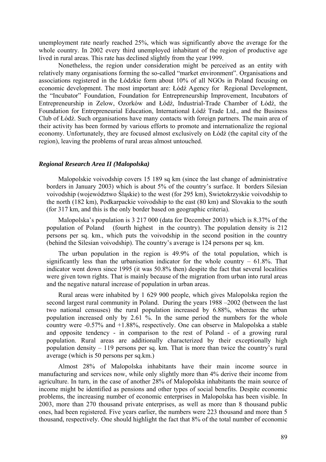unemployment rate nearly reached 25%, which was significantly above the average for the whole country. In 2002 every third unemployed inhabitant of the region of productive age lived in rural areas. This rate has declined slightly from the year 1999.

 Nonetheless, the region under consideration might be perceived as an entity with relatively many organisations forming the so-called "market environment". Organisations and associations registered in the Łódzkie form about 10% of all NGOs in Poland focusing on economic development. The most important are: Łódź Agency for Regional Development, the "Incubator" Foundation, Foundation for Entrepreneurship Improvement, Incubators of Entrepreneurship in Zelow, Ozorków and Łódź, Industrial-Trade Chamber of Łódź, the Foundation for Entrepreneurial Education, International Łódź Trade Ltd., and the Business Club of Łódź. Such organisations have many contacts with foreign partners. The main area of their activity has been formed by various efforts to promote and internationalize the regional economy. Unfortunately, they are focused almost exclusively on Łódź (the capital city of the region), leaving the problems of rural areas almost untouched.

### *Regional Research Area II (Malopolska)*

 Malopolskie voivodship covers 15 189 sq km (since the last change of administrative borders in January 2003) which is about 5% of the country's surface. It borders Silesian voivodship (województwo Śląskie) to the west (for 295 km), Swietokrzyskie voivodship to the north (182 km), Podkarpackie voivodship to the east (80 km) and Slovakia to the south (for 317 km, and this is the only border based on geographic criteria).

 Malopolska's population is 3 217 000 (data for December 2003) which is 8.37% of the population of Poland (fourth highest in the country). The population density is 212 persons per sq. km., which puts the voivodship in the second position in the country (behind the Silesian voivodship). The country's average is 124 persons per sq. km.

 The urban population in the region is 49.9% of the total population, which is significantly less than the urbanisation indicator for the whole country  $-61.8\%$ . That indicator went down since 1995 (it was 50.8% then) despite the fact that several localities were given town rights. That is mainly because of the migration from urban into rural areas and the negative natural increase of population in urban areas.

 Rural areas were inhabited by 1 629 900 people, which gives Malopolska region the second largest rural community in Poland. During the years 1988 –2002 (between the last two national censuses) the rural population increased by 6.88%, whereas the urban population increased only by  $2.61\%$ . In the same period the numbers for the whole country were -0.57% and +1.88%, respectively. One can observe in Malopolska a stable and opposite tendency - in comparison to the rest of Poland - of a growing rural population. Rural areas are additionally characterized by their exceptionally high population density – 119 persons per sq. km. That is more than twice the country's rural average (which is 50 persons per sq.km.)

Almost 28% of Malopolska inhabitants have their main income source in manufacturing and services now, while only slightly more than 4% derive their income from agriculture. In turn, in the case of another 28% of Malopolska inhabitants the main source of income might be identified as pensions and other types of social benefits. Despite economic problems, the increasing number of economic enterprises in Malopolska has been visible. In 2003, more than 270 thousand private enterprises, as well as more than 8 thousand public ones, had been registered. Five years earlier, the numbers were 223 thousand and more than 5 thousand, respectively. One should highlight the fact that 8% of the total number of economic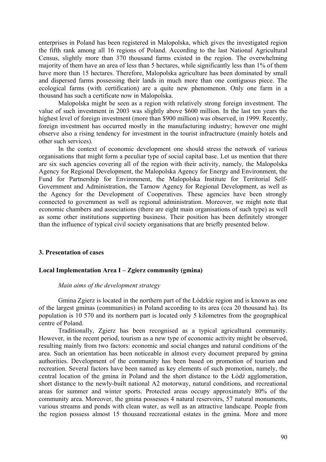enterprises in Poland has been registered in Malopolska, which gives the investigated region the fifth rank among all 16 regions of Poland. According to the last National Agricultural Census, slightly more than 370 thousand farms existed in the region. The overwhelming majority of them have an area of less than 5 hectares, while significantly less than 1% of them have more than 15 hectares. Therefore, Malopolska agriculture has been dominated by small and dispersed farms possessing their lands in much more than one contiguous piece. The ecological farms (with certification) are a quite new phenomenon. Only one farm in a thousand has such a certificate now in Malopolska.

 Malopolska might be seen as a region with relatively strong foreign investment. The value of such investment in 2003 was slightly above \$600 million. In the last ten years the highest level of foreign investment (more than \$900 million) was observed, in 1999. Recently, foreign investment has occurred mostly in the manufacturing industry; however one might observe also a rising tendency for investment in the tourist infractructure (mainly hotels and other such services).

 In the context of economic development one should stress the network of various organisations that might form a peculiar type of social capital base. Let us mention that there are six such agencies covering all of the region with their activity, namely, the Malopolska Agency for Regional Development, the Malopolska Agency for Energy and Environment, the Fund for Partnership for Environment, the Malopolska Institute for Territorial Self-Government and Administration, the Tarnow Agency for Regional Development, as well as the Agency for the Development of Cooperatives. These agencies have been strongly connected to government as well as regional administration. Moreover, we might note that economic chambers and associations (there are eight main organisations of such type) as well as some other institutions supporting business. Their position has been definitely stronger than the influence of typical civil society organisations that are briefly presented below.

#### **3. Presentation of cases**

#### **Local Implementation Area I – Zgierz community (gmina)**

### *Main aims of the development strategy*

Gmina Zgierz is located in the northern part of the Łódzkie region and is known as one of the largest gminas (communities) in Poland according to its area (cca 20 thousand ha). Its population is 10 570 and its northern part is located only 5 kilometres from the geographical centre of Poland.

 Traditionally, Zgierz has been recognised as a typical agricultural community. However, in the recent period, tourism as a new type of economic activity might be observed, resulting mainly from two factors: economic and social changes and natural conditions of the area. Such an orientation has been noticeable in almost every document prepared by gmina authorities. Development of the community has been based on promotion of tourism and recreation. Several factors have been named as key elements of such promotion, namely, the central location of the gmina in Poland and the short distance to the Łódź agglomeration, short distance to the newly-built national A2 motorway, natural conditions, and recreational areas for summer and winter sports. Protected areas occupy approximately 80% of the community area. Moreover, the gmina possesses 4 natural reservoirs, 57 natural monuments, various streams and ponds with clean water, as well as an attractive landscape. People from the region possess almost 15 thousand recreational estates in the gmina. More and more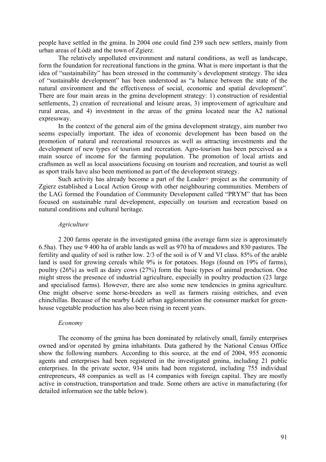people have settled in the gmina. In 2004 one could find 239 such new settlers, mainly from urban areas of Łódź and the town of Zgierz.

 The relatively unpolluted environment and natural conditions, as well as landscape, form the foundation for recreational functions in the gmina. What is more important is that the idea of "sustainability" has been stressed in the community's development strategy. The idea of "sustainable development" has been understood as "a balance between the state of the natural environment and the effectiveness of social, economic and spatial development". There are four main areas in the gmina development strategy: 1) construction of residential settlements, 2) creation of recreational and leisure areas, 3) improvement of agriculture and rural areas, and 4) investment in the areas of the gmina located near the A2 national expressway.

 In the context of the general aim of the gmina development strategy, aim number two seems especially important. The idea of economic development has been based on the promotion of natural and recreational resources as well as attracting investments and the development of new types of tourism and recreation. Agro-tourism has been perceived as a main source of income for the farming population. The promotion of local artists and craftsmen as well as local associations focusing on tourism and recreation, and tourist as well as sport trails have also been mentioned as part of the development strategy.

 Such activity has already become a part of the Leader+ project as the community of Zgierz established a Local Action Group with other neighbouring communities. Members of the LAG formed the Foundation of Community Development called "PRYM" that has been focused on sustainable rural development, especially on tourism and recreation based on natural conditions and cultural heritage.

#### *Agriculture*

 2 200 farms operate in the investigated gmina (the average farm size is approximately 6.5ha). They use 9 400 ha of arable lands as well as 970 ha of meadows and 830 pastures. The fertility and quality of soil is rather low. 2/3 of the soil is of V and VI class. 85% of the arable land is used for growing cereals while 9% is for potatoes. Hogs (found on 19% of farms), poultry (26%) as well as dairy cows (27%) form the basic types of animal production. One might stress the presence of industrial agriculture, especially in poultry production (23 large and specialised farms). However, there are also some new tendencies in gmina agriculture. One might observe some horse-breeders as well as farmers raising ostriches, and even chinchillas. Because of the nearby Łódź urban agglomeration the consumer market for greenhouse vegetable production has also been rising in recent years.

#### *Economy*

 The economy of the gmina has been dominated by relatively small, family enterprises owned and/or operated by gmina inhabitants. Data gathered by the National Census Office show the following numbers. According to this source, at the end of 2004, 955 economic agents and enterprises had been registered in the investigated gmina, including 21 public enterprises. In the private sector, 934 units had been registered, including 755 individual entrepreneurs, 48 companies as well as 14 companies with foreign capital. They are mostly active in construction, transportation and trade. Some others are active in manufacturing (for detailed information see the table below).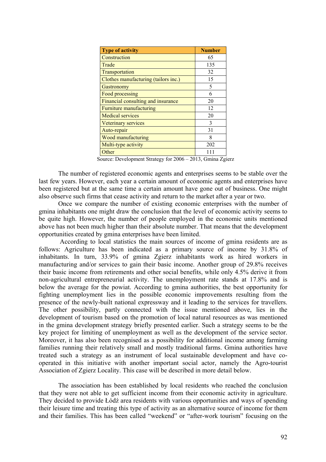| <b>Type of activity</b>              | <b>Number</b> |
|--------------------------------------|---------------|
| Construction                         | 65            |
| Trade                                | 135           |
| Transportation                       | 32            |
| Clothes manufacturing (tailors inc.) | 15            |
| Gastronomy                           | 5             |
| Food processing                      | 6             |
| Financial consulting and insurance   | 20            |
| Furniture manufacturing              | 12            |
| <b>Medical services</b>              | 20            |
| Veterinary services                  | 3             |
| Auto-repair                          | 31            |
| Wood manufacturing                   | 8             |
| Multi-type activity                  | 202           |
| Other                                |               |

Source: Development Strategy for 2006 – 2013, Gmina Zgierz

 The number of registered economic agents and enterprises seems to be stable over the last few years. However, each year a certain amount of economic agents and enterprises have been registered but at the same time a certain amount have gone out of business. One might also observe such firms that cease activity and return to the market after a year or two.

 Once we compare the number of existing economic enterprises with the number of gmina inhabitants one might draw the conclusion that the level of economic activity seems to be quite high. However, the number of people employed in the economic units mentioned above has not been much higher than their absolute number. That means that the development opportunities created by gmina enterprises have been limited.

 According to local statistics the main sources of income of gmina residents are as follows: Agriculture has been indicated as a primary source of income by 31.8% of inhabitants. In turn, 33.9% of gmina Zgierz inhabitants work as hired workers in manufacturing and/or services to gain their basic income. Another group of 29.8% receives their basic income from retirements and other social benefits, while only 4.5% derive it from non-agricultural entrepreneurial activity. The unemployment rate stands at 17.8% and is below the average for the powiat. According to gmina authorities, the best opportunity for fighting unemployment lies in the possible economic improvements resulting from the presence of the newly-built national expressway and it leading to the services for travellers. The other possibility, partly connected with the issue mentioned above, lies in the development of tourism based on the promotion of local natural resources as was mentioned in the gmina development strategy briefly presented earlier. Such a strategy seems to be the key project for limiting of unemployment as well as the development of the service sector. Moreover, it has also been recognised as a possibility for additional income among farming families running their relatively small and mostly traditional farms. Gmina authorities have treated such a strategy as an instrument of local sustainable development and have cooperated in this initiative with another important social actor, namely the Agro-tourist Association of Zgierz Locality. This case will be described in more detail below.

 The association has been established by local residents who reached the conclusion that they were not able to get sufficient income from their economic activity in agriculture. They decided to provide Łódź area residents with various opportunities and ways of spending their leisure time and treating this type of activity as an alternative source of income for them and their families. This has been called "weekend" or "after-work tourism" focusing on the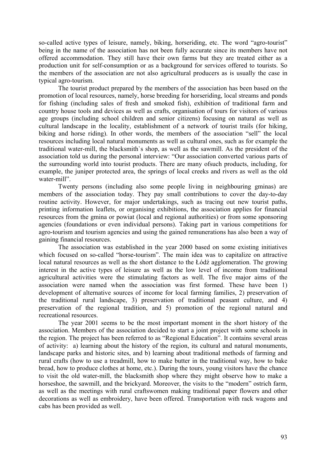so-called active types of leisure, namely, biking, horseriding, etc. The word "agro-tourist" being in the name of the association has not been fully accurate since its members have not offered accommodation. They still have their own farms but they are treated either as a production unit for self-consumption or as a background for services offered to tourists. So the members of the association are not also agricultural producers as is usually the case in typical agro-tourism.

 The tourist product prepared by the members of the association has been based on the promotion of local resources, namely, horse breeding for horseriding, local streams and ponds for fishing (including sales of fresh and smoked fish), exhibition of traditional farm and country house tools and devices as well as crafts, organisation of tours for visitors of various age groups (including school children and senior citizens) focusing on natural as well as cultural landscape in the locality, establishment of a network of tourist trails (for hiking, biking and horse riding). In other words, the members of the association "sell" the local resources including local natural monuments as well as cultural ones, such as for example the traditional water-mill, the blacksmith`s shop, as well as the sawmill. As the president of the association told us during the personal interview: "Our association converted various parts of the surrounding world into tourist products. There are many ofsuch products, including, for example, the juniper protected area, the springs of local creeks and rivers as well as the old water-mill".

 Twenty persons (including also some people living in neighbouring gminas) are members of the association today. They pay small contributions to cover the day-to-day routine activity. However, for major undertakings, such as tracing out new tourist paths, printing information leaflets, or organising exhibitions, the association applies for financial resources from the gmina or powiat (local and regional authorities) or from some sponsoring agencies (foundations or even individual persons). Taking part in various competitions for agro-tourism and tourism agencies and using the gained remunerations has also been a way of gaining financial resources.

 The association was established in the year 2000 based on some existing initiatives which focused on so-called "horse-tourism". The main idea was to capitalize on attractive local natural resources as well as the short distance to the Łódź agglomeration. The growing interest in the active types of leisure as well as the low level of income from traditional agricultural activities were the stimulating factors as well. The five major aims of the association were named when the association was first formed. These have been 1) development of alternative sources of income for local farming families, 2) preservation of the traditional rural landscape, 3) preservation of traditional peasant culture, and 4) preservation of the regional tradition, and 5) promotion of the regional natural and recreational resources.

 The year 2001 seems to be the most important moment in the short history of the association. Members of the association decided to start a joint project with some schools in the region. The project has been referred to as "Regional Education". It contains several areas of activity: a) learning about the history of the region, its cultural and natural monuments, landscape parks and historic sites, and b) learning about traditional methods of farming and rural crafts (how to use a treadmill, how to make butter in the traditional way, how to bake bread, how to produce clothes at home, etc.). During the tours, young visitors have the chance to visit the old water-mill, the blacksmith shop where they might observe how to make a horseshoe, the sawmill, and the brickyard. Moreover, the visits to the "modern" ostrich farm, as well as the meetings with rural craftswomen making traditional paper flowers and other decorations as well as embroidery, have been offered. Transportation with rack wagons and cabs has been provided as well.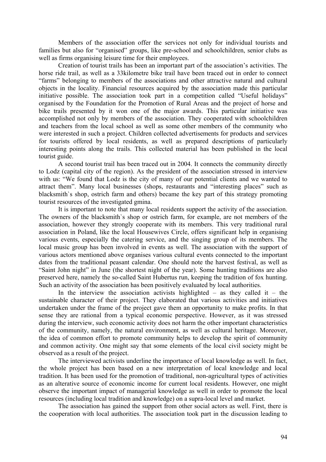Members of the association offer the services not only for individual tourists and families but also for "organised" groups, like pre-school and schoolchildren, senior clubs as well as firms organising leisure time for their employees.

 Creation of tourist trails has been an important part of the association's activities. The horse ride trail, as well as a 33kilometre bike trail have been traced out in order to connect "farms" belonging to members of the associations and other attractive natural and cultural objects in the locality. Financial resources acquired by the association made this particular initiative possible. The association took part in a competition called "Useful holidays" organised by the Foundation for the Promotion of Rural Areas and the project of horse and bike trails presented by it won one of the major awards. This particular initiative was accomplished not only by members of the association. They cooperated with schoolchildren and teachers from the local school as well as some other members of the community who were interested in such a project. Children collected advertisements for products and services for tourists offered by local residents, as well as prepared descriptions of particularly interesting points along the trails. This collected material has been published in the local tourist guide.

 A second tourist trail has been traced out in 2004. It connects the community directly to Lodz (capital city of the region). As the president of the association stressed in interview with us: "We found that Lodz is the city of many of our potential clients and we wanted to attract them". Many local businesses (shops, restaurants and "interesting places" such as blacksmith`s shop, ostrich farm and others) became the key part of this strategy promoting tourist resources of the investigated gmina.

 It is important to note that many local residents support the activity of the association. The owners of the blacksmith`s shop or ostrich farm, for example, are not members of the association, however they strongly cooperate with its members. This very traditional rural association in Poland, like the local Housewives Circle, offers significant help in organising various events, especially the catering service, and the singing group of its members. The local music group has been involved in events as well. The association with the support of various actors mentioned above organises various cultural events connected to the important dates from the traditional peasant calendar. One should note the harvest festival, as well as "Saint John night" in June (the shortest night of the year). Some hunting traditions are also preserved here, namely the so-called Saint Hubertus run, keeping the tradition of fox hunting. Such an activity of the association has been positively evaluated by local authorities.

In the interview the association activists highlighted – as they called it – the sustainable character of their project. They elaborated that various activities and initiatives undertaken under the frame of the project gave them an opportunity to make profits. In that sense they are rational from a typical economic perspective. However, as it was stressed during the interview, such economic activity does not harm the other important characteristics of the community, namely, the natural environment, as well as cultural heritage. Moreover, the idea of common effort to promote community helps to develop the spirit of community and common activity. One might say that some elements of the local civil society might be observed as a result of the project.

 The interviewed activists underline the importance of local knowledge as well. In fact, the whole project has been based on a new interpretation of local knowledge and local tradition. It has been used for the promotion of traditional, non-agricultural types of activities as an alterative source of economic income for current local residents. However, one might observe the important impact of managerial knowledge as well in order to promote the local resources (including local tradition and knowledge) on a supra-local level and market.

 The association has gained the support from other social actors as well. First, there is the cooperation with local authorities. The association took part in the discussion leading to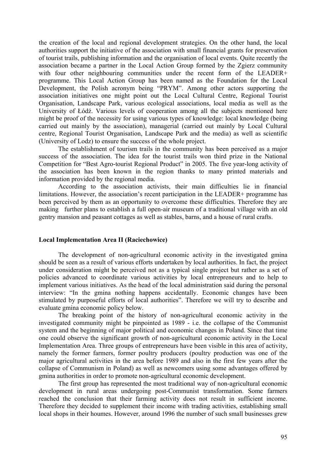the creation of the local and regional development strategies. On the other hand, the local authorities support the initiative of the association with small financial grants for preservation of tourist trails, publishing information and the organisation of local events. Quite recently the association became a partner in the Local Action Group formed by the Zgierz community with four other neighbouring communities under the recent form of the LEADER+ programme. This Local Action Group has been named as the Foundation for the Local Development, the Polish acronym being "PRYM". Among other actors supporting the association initiatives one might point out the Local Cultural Centre, Regional Tourist Organisation, Landscape Park, various ecological associations, local media as well as the University of Łódź. Various levels of cooperation among all the subjects mentioned here might be proof of the necessity for using various types of knowledge: local knowledge (being carried out mainly by the association), managerial (carried out mainly by Local Cultural centre, Regional Tourist Organisation, Landscape Park and the media) as well as scientific (University of Lodz) to ensure the success of the whole project.

 The establishment of tourism trails in the community has been perceived as a major success of the association. The idea for the tourist trails won third prize in the National Competition for "Best Agro-tourist Regional Product" in 2005. The five year-long activity of the association has been known in the region thanks to many printed materials and information provided by the regional media.

 According to the association activists, their main difficulties lie in financial limitations. However, the association's recent participation in the LEADER+ programme has been perceived by them as an opportunity to overcome these difficulties. Therefore they are making further plans to establish a full open-air museum of a traditional village with an old gentry mansion and peasant cottages as well as stables, barns, and a house of rural crafts.

#### **Local Implementation Area II (Raciechowice)**

 The development of non-agricultural economic activity in the investigated gmina should be seen as a result of various efforts undertaken by local authorities. In fact, the project under consideration might be perceived not as a typical single project but rather as a set of policies advanced to coordinate various activities by local entrepreneurs and to help to implement various initiatives. As the head of the local administration said during the personal interview: "In the gmina nothing happens accidentally. Economic changes have been stimulated by purposeful efforts of local authorities". Therefore we will try to describe and evaluate gmina economic policy below.

 The breaking point of the history of non-agricultural economic activity in the investigated community might be pinpointed as 1989 - i.e. the collapse of the Communist system and the beginning of major political and economic changes in Poland. Since that time one could observe the significant growth of non-agricultural economic activity in the Local Implementation Area. Three groups of entrepreneurs have been visible in this area of activity, namely the former farmers, former poultry producers (poultry production was one of the major agricultural activities in the area before 1989 and also in the first few years after the collapse of Communism in Poland) as well as newcomers using some advantages offered by gmina authorities in order to promote non-agricultural economic development.

 The first group has represented the most traditional way of non-agricultural economic development in rural areas undergoing post-Communist transformation. Some farmers reached the conclusion that their farming activity does not result in sufficient income. Therefore they decided to supplement their income with trading activities, establishing small local shops in their houmes. However, around 1996 the number of such small businesses grew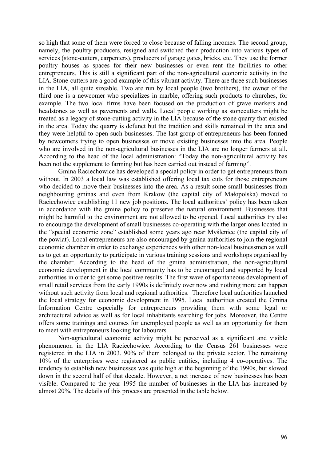so high that some of them were forced to close because of falling incomes. The second group, namely, the poultry producers, resigned and switched their production into various types of services (stone-cutters, carpenters), producers of garage gates, bricks, etc. They use the former poultry houses as spaces for their new businesses or even rent the facilities to other entrepreneurs. This is still a significant part of the non-agricultural economic activity in the LIA. Stone-cutters are a good example of this vibrant activity. There are three such businesses in the LIA, all quite sizeable. Two are run by local people (two brothers), the owner of the third one is a newcomer who specializes in marble, offering such products to churches, for example. The two local firms have been focused on the production of grave markers and headstones as well as pavements and walls. Local people working as stonecutters might be treated as a legacy of stone-cutting activity in the LIA because of the stone quarry that existed in the area. Today the quarry is defunct but the tradition and skills remained in the area and they were helpful to open such businesses. The last group of entrepreneurs has been formed by newcomers trying to open businesses or move existing businesses into the area. People who are involved in the non-agricultural businesses in the LIA are no longer farmers at all. According to the head of the local administration: "Today the non-agricultural activity has been not the supplement to farming but has been carried out instead of farming".

 Gmina Raciechowice has developed a special policy in order to get entrepreneurs from without. In 2003 a local law was established offering local tax cuts for those entrepreneurs who decided to move their businesses into the area. As a result some small businesses from neighbouring gminas and even from Krakow (the capital city of Małopolska) moved to Raciechowice establishing 11 new job positions. The local authorities` policy has been taken in accordance with the gmina policy to preserve the natural environment. Businesses that might be harmful to the environment are not allowed to be opened. Local authorities try also to encourage the development of small businesses co-operating with the larger ones located in the "special economic zone" established some years ago near Myślenice (the capital city of the powiat). Local entrepreneurs are also encouraged by gmina authorities to join the regional economic chamber in order to exchange experiences with other non-local businessmen as well as to get an opportunity to participate in various training sessions and workshops organised by the chamber. According to the head of the gmina administration, the non-agricultural economic development in the local community has to be encouraged and supported by local authorities in order to get some positive results. The first wave of spontaneous development of small retail services from the early 1990s is definitely over now and nothing more can happen without such activity from local and regional authorities. Therefore local authorities launched the local strategy for economic development in 1995. Local authorities created the Gmina Information Centre especially for entrepreneurs providing them with some legal or architectural advice as well as for local inhabitants searching for jobs. Moreover, the Centre offers some trainings and courses for unemployed people as well as an opportunity for them to meet with entrepreneurs looking for labourers.

 Non-agricultural economic activity might be perceived as a significant and visible phenomenon in the LIA Raciechowice. According to the Census 261 businesses were registered in the LIA in 2003. 90% of them belonged to the private sector. The remaining 10% of the enterprises were registered as public entities, including 4 co-operatives. The tendency to establish new businesses was quite high at the beginning of the 1990s, but slowed down in the second half of that decade. However, a net increase of new businesses has been visible. Compared to the year 1995 the number of businesses in the LIA has increased by almost 20%. The details of this process are presented in the table below.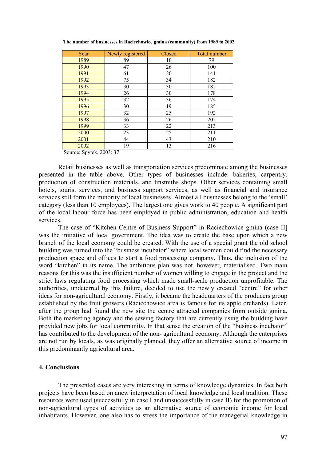| Year                              | Newly registered | Closed | Total number |
|-----------------------------------|------------------|--------|--------------|
| 1989                              | 89               | 10     | 79           |
| 1990                              | 47               | 26     | 100          |
| 1991                              | 61               | 20     | 141          |
| 1992                              | 75               | 34     | 182          |
| 1993                              | 30               | 30     | 182          |
| 1994                              | 26               | 30     | 178          |
| 1995                              | 32               | 36     | 174          |
| 1996                              | 30               | 19     | 185          |
| 1997                              | 32               | 25     | 192          |
| 1998                              | 36               | 26     | 202          |
| 1999                              | 33               | 22     | 213          |
| 2000                              | 23               | 25     | 211          |
| 2001                              | 44               | 43     | 210          |
| 2002<br>$\alpha$ $\alpha$ $\beta$ | 19<br>2002.27    | 13     | 216          |

 **The number of businesses in Raciechowice gmina (community) from 1989 to 2002** 

Source: Spytek, 2003: 37

 Retail businesses as well as transportation services predominate among the businesses presented in the table above. Other types of businesses include: bakeries, carpentry, production of construction materials, and tinsmiths shops. Other services containing small hotels, tourist services, and business support services, as well as financial and insurance services still form the minority of local businesses. Almost all businesses belong to the 'small' category (less than 10 employees). The largest one gives work to 40 people. A significant part of the local labour force has been employed in public administration, education and health services.

The case of "Kitchen Centre of Business Support" in Raciechowice gmina (case II] was the initiative of local government. The idea was to create the base upon which a new branch of the local economy could be created. With the use of a special grant the old school building was turned into the "business incubator" where local women could find the necessary production space and offices to start a food processing company. Thus, the inclusion of the word "kitchen" in its name. The ambitious plan was not, however, materialised. Two main reasons for this was the insufficient number of women willing to engage in the project and the strict laws regulating food processing which made small-scale production unprofitable. The authorities, undeterred by this failure, decided to use the newly created "centre" for other ideas for non-agricultural economy. Firstly, it became the headquarters of the producers group established by the fruit growers (Raciechowice area is famous for its apple orchards). Later, after the group had found the new site the centre attracted companies from outside gmina. Both the marketing agency and the sewing factory that are currently using the building have provided new jobs for local community. In that sense the creation of the "business incubator" has contributed to the development of the non- agricultural economy. Although the enterprises are not run by locals, as was originally planned, they offer an alternative source of income in this predominantly agricultural area.

### **4. Conclusions**

The presented cases are very interesting in terms of knowledge dynamics. In fact both projects have been based on anew interpretation of local knowledge and local tradition. These resources were used (successfully in case I and unsuccessfully in case II) for the promotion of non-agricultural types of activities as an alternative source of economic income for local inhabitants. However, one also has to stress the importance of the managerial knowledge in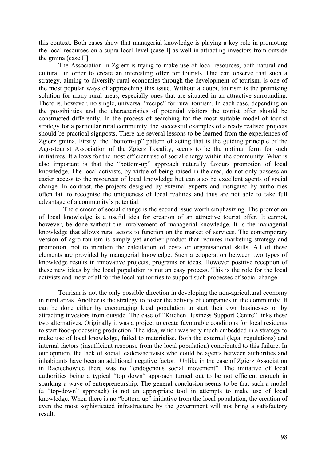this context. Both cases show that managerial knowledge is playing a key role in promoting the local resources on a supra-local level (case I] as well in attracting investors from outside the gmina (case II].

 The Association in Zgierz is trying to make use of local resources, both natural and cultural, in order to create an interesting offer for tourists. One can observe that such a strategy, aiming to diversify rural economies through the development of tourism, is one of the most popular ways of approaching this issue. Without a doubt, tourism is the promising solution for many rural areas, especially ones that are situated in an attractive surrounding. There is, however, no single, universal "recipe" for rural tourism. In each case, depending on the possibilities and the characteristics of potential visitors the tourist offer should be constructed differently. In the process of searching for the most suitable model of tourist strategy for a particular rural community, the successful examples of already realised projects should be practical signposts. There are several lessons to be learned from the experiences of Zgierz gmina. Firstly, the "bottom-up" pattern of acting that is the guiding principle of the Agro-tourist Association of the Zgierz Locality, seems to be the optimal form for such initiatives. It allows for the most efficient use of social energy within the community. What is also important is that the "bottom-up" approach naturally favours promotion of local knowledge. The local activists, by virtue of being raised in the area, do not only possess an easier access to the resources of local knowledge but can also be excellent agents of social change. In contrast, the projects designed by external experts and instigated by authorities often fail to recognise the uniqueness of local realities and thus are not able to take full advantage of a community's potential.

 The element of social change is the second issue worth emphasizing. The promotion of local knowledge is a useful idea for creation of an attractive tourist offer. It cannot, however, be done without the involvement of managerial knowledge. It is the managerial knowledge that allows rural actors to function on the market of services. The contemporary version of agro-tourism is simply yet another product that requires marketing strategy and promotion, not to mention the calculation of costs or organisational skills. All of these elements are provided by managerial knowledge. Such a cooperation between two types of knowledge results in innovative projects, programs or ideas. However positive reception of these new ideas by the local population is not an easy process. This is the role for the local activists and most of all for the local authorities to support such processes of social change.

Tourism is not the only possible direction in developing the non-agricultural economy in rural areas. Another is the strategy to foster the activity of companies in the community. It can be done either by encouraging local population to start their own businesses or by attracting investors from outside. The case of "Kitchen Business Support Centre" links these two alternatives. Originally it was a project to create favourable conditions for local residents to start food-processing production. The idea, which was very much embedded in a strategy to make use of local knowledge, failed to materialise. Both the external (legal regulations) and internal factors (insufficient response from the local population) contributed to this failure. In our opinion, the lack of social leaders/activists who could be agents between authorities and inhabitants have been an additional negative factor. Unlike in the case of Zgierz Association in Raciechowice there was no "endogenous social movement". The initiative of local authorities being a typical "top down" approach turned out to be not efficient enough in sparking a wave of entrepreneurship. The general conclusion seems to be that such a model (a "top-down" approach) is not an appropriate tool in attempts to make use of local knowledge. When there is no "bottom-up" initiative from the local population, the creation of even the most sophisticated infrastructure by the government will not bring a satisfactory result.